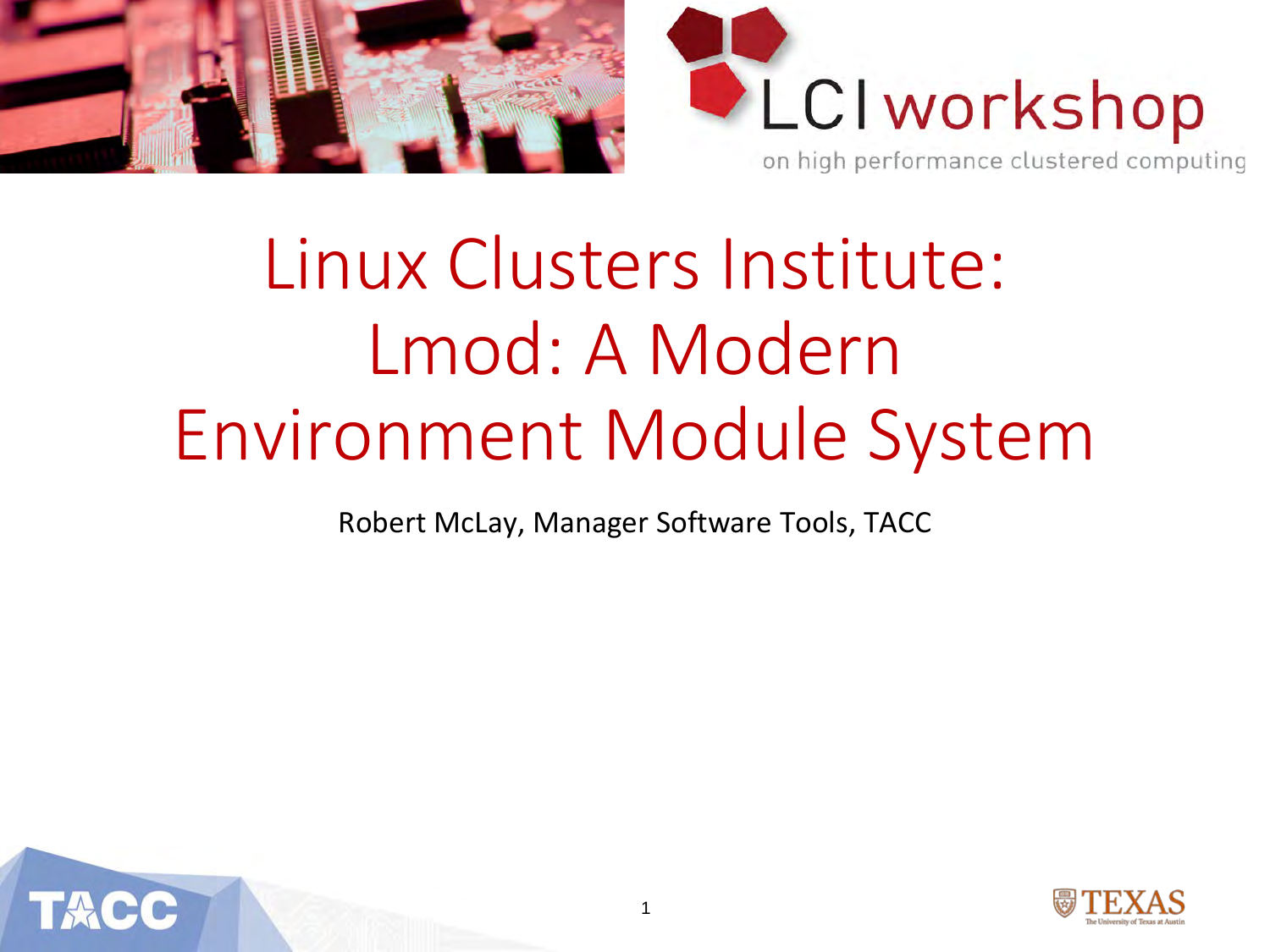



# Linux Clusters Institute: Lmod: A Modern Environment Module System

Robert McLay, Manager Software Tools, TACC



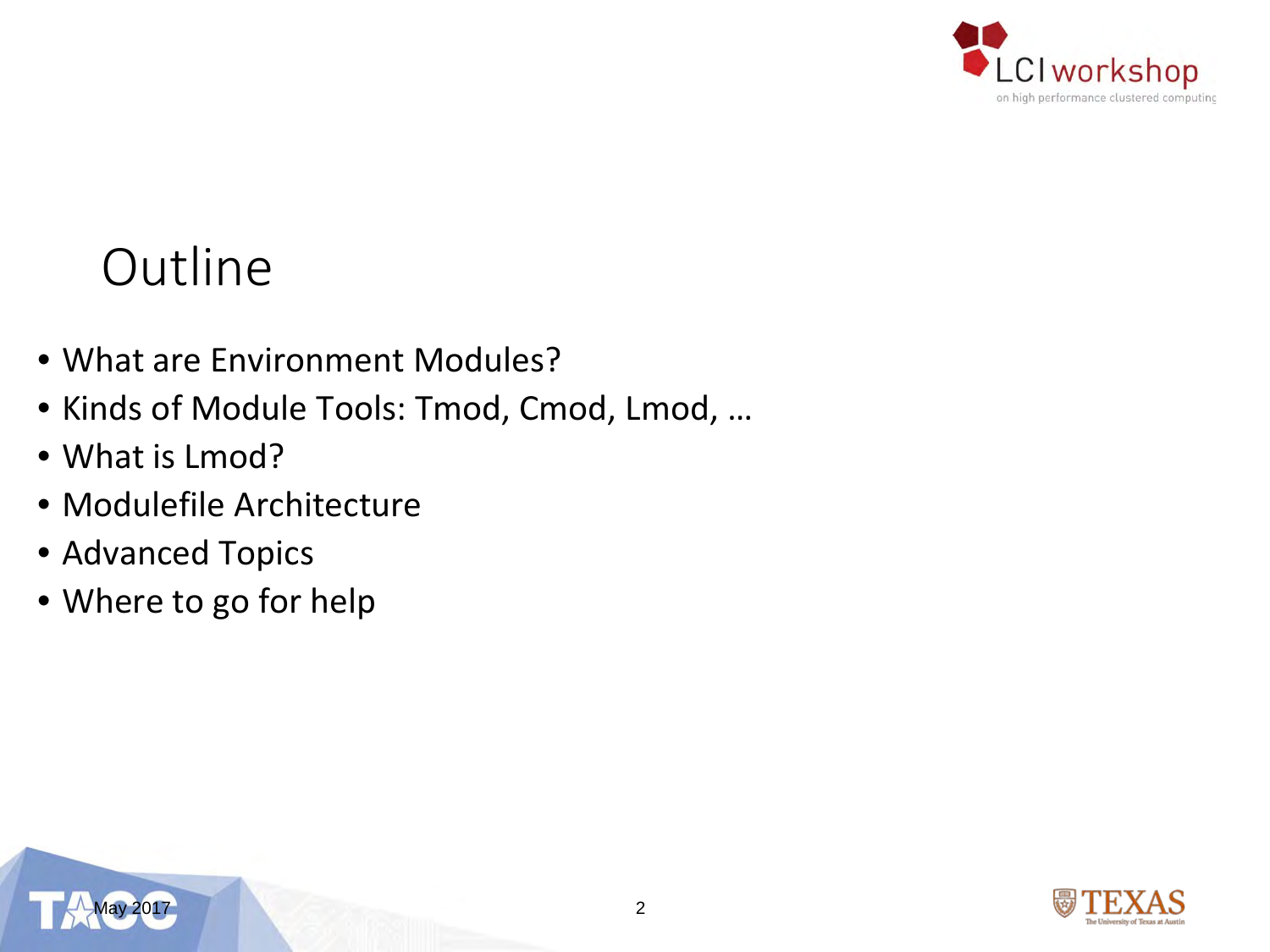

#### **Outline**

- What are Environment Modules?
- Kinds of Module Tools: Tmod, Cmod, Lmod, …
- What is Lmod?
- Modulefile Architecture
- Advanced Topics
- Where to go for help



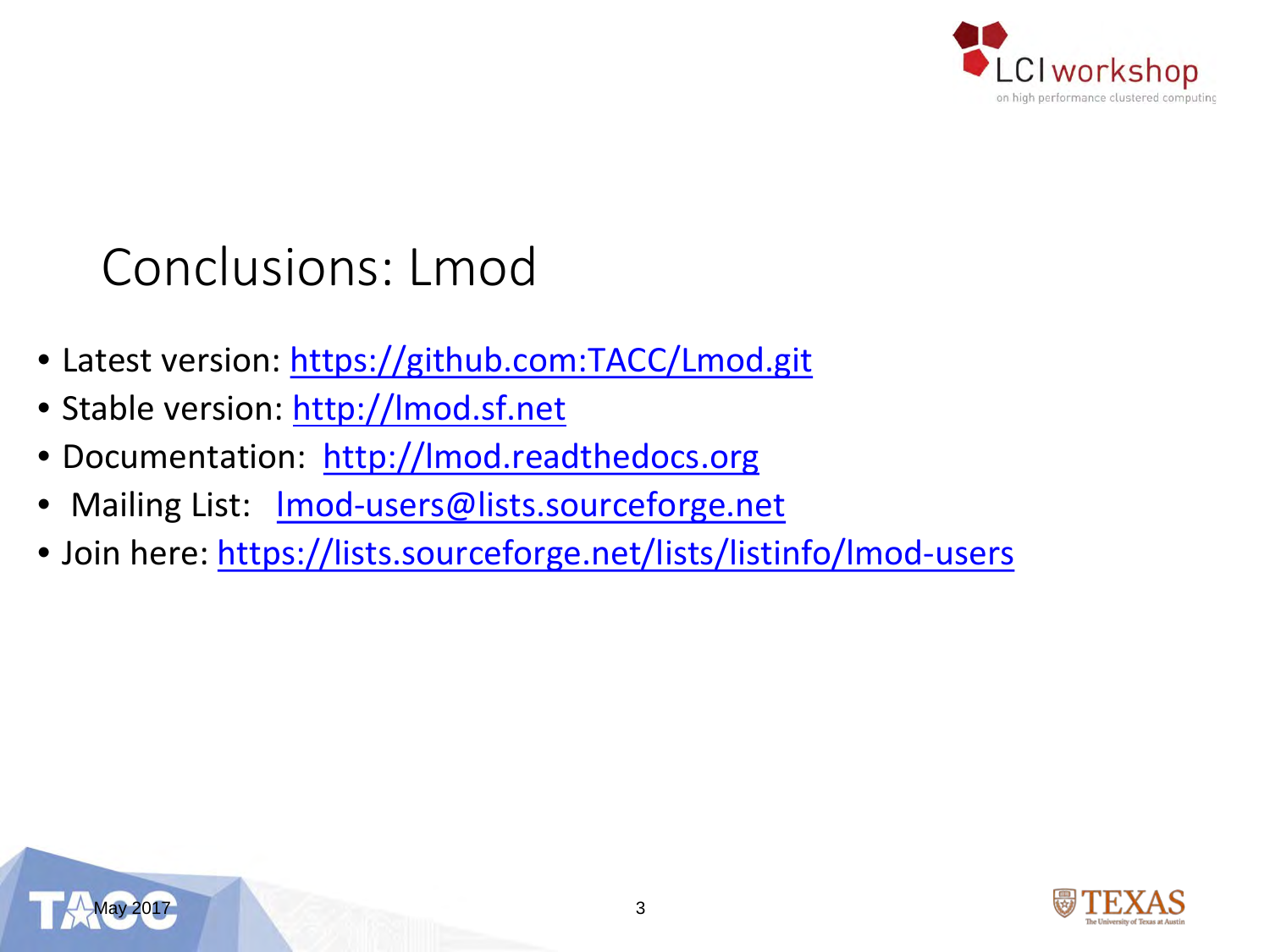

#### Conclusions: Lmod

- Latest version:<https://github.com:TACC/Lmod.git>
- Stable version: [http://lmod.sf.net](http://lmod.sf.net/)
- Documentation: [http://lmod.readthedocs.org](http://lmod.readthedocs.org/)
- Mailing List: Imod-users@lists.sourceforge.net
- Join here:<https://lists.sourceforge.net/lists/listinfo/lmod-users>



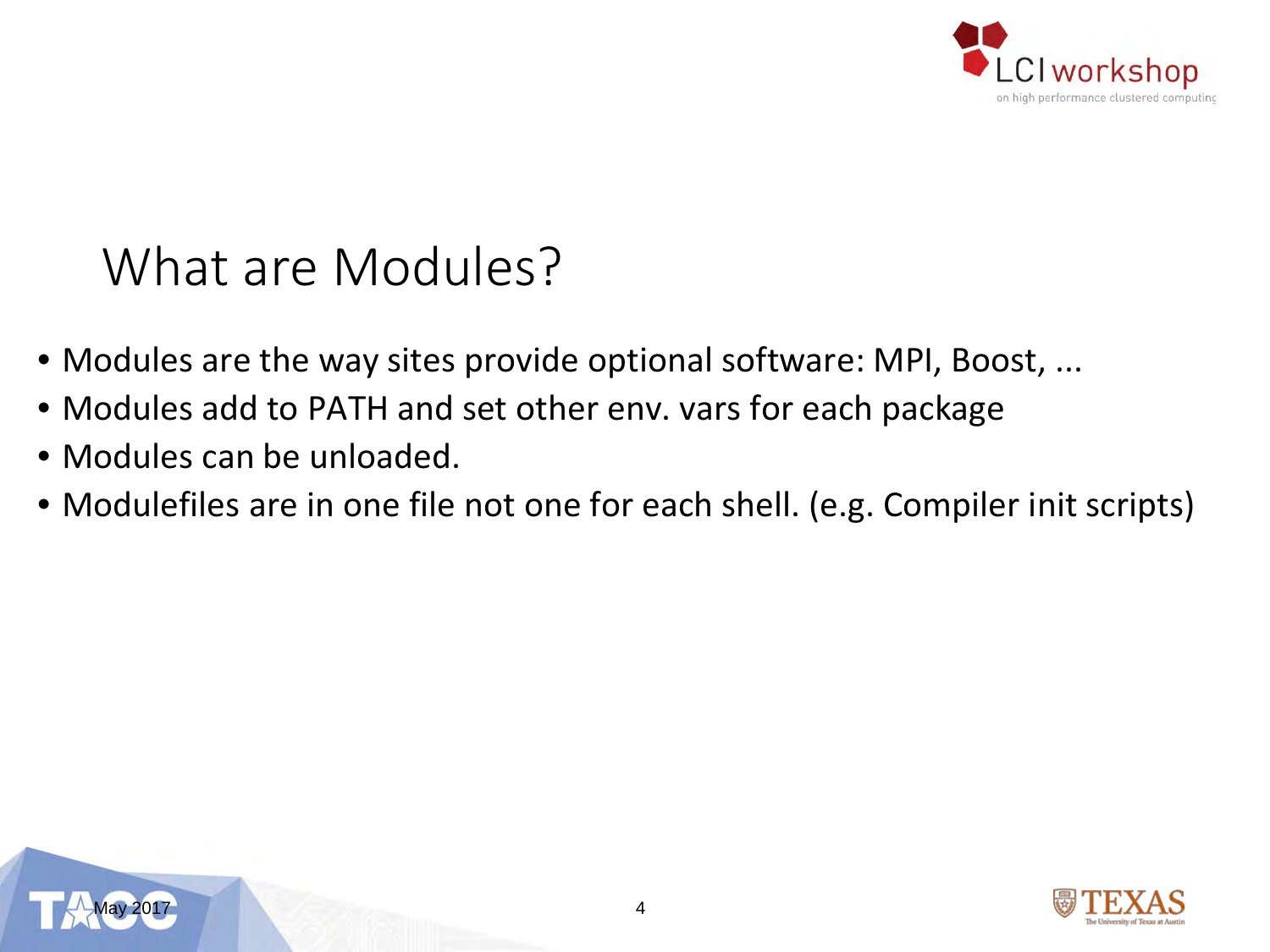

#### What are Modules?

- Modules are the way sites provide optional software: MPI, Boost, ...
- Modules add to PATH and set other env. vars for each package
- Modules can be unloaded.
- Modulefiles are in one file not one for each shell. (e.g. Compiler init scripts)



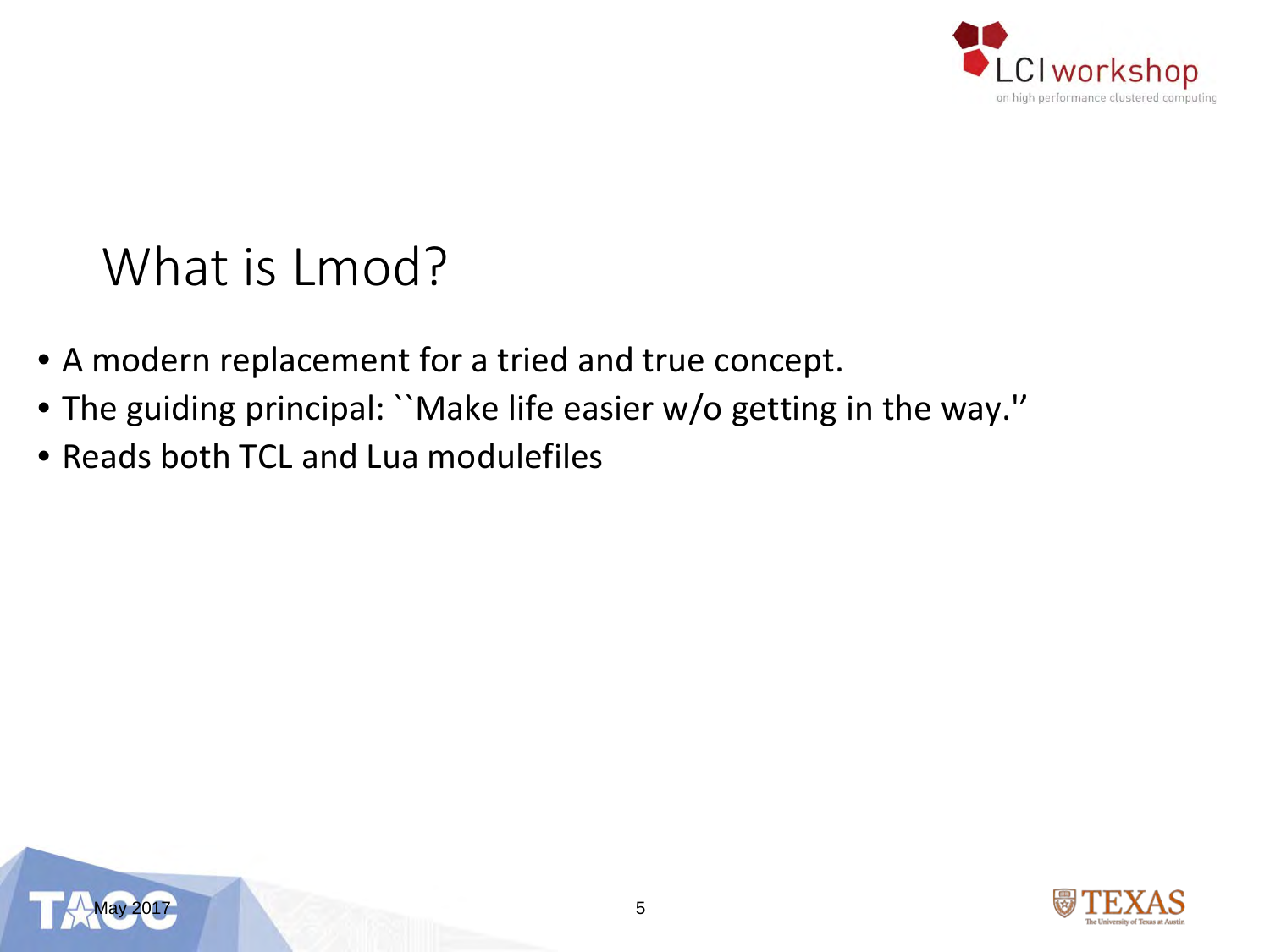

#### What is Lmod?

- A modern replacement for a tried and true concept.
- The guiding principal: ``Make life easier w/o getting in the way.''
- Reads both TCL and Lua modulefiles



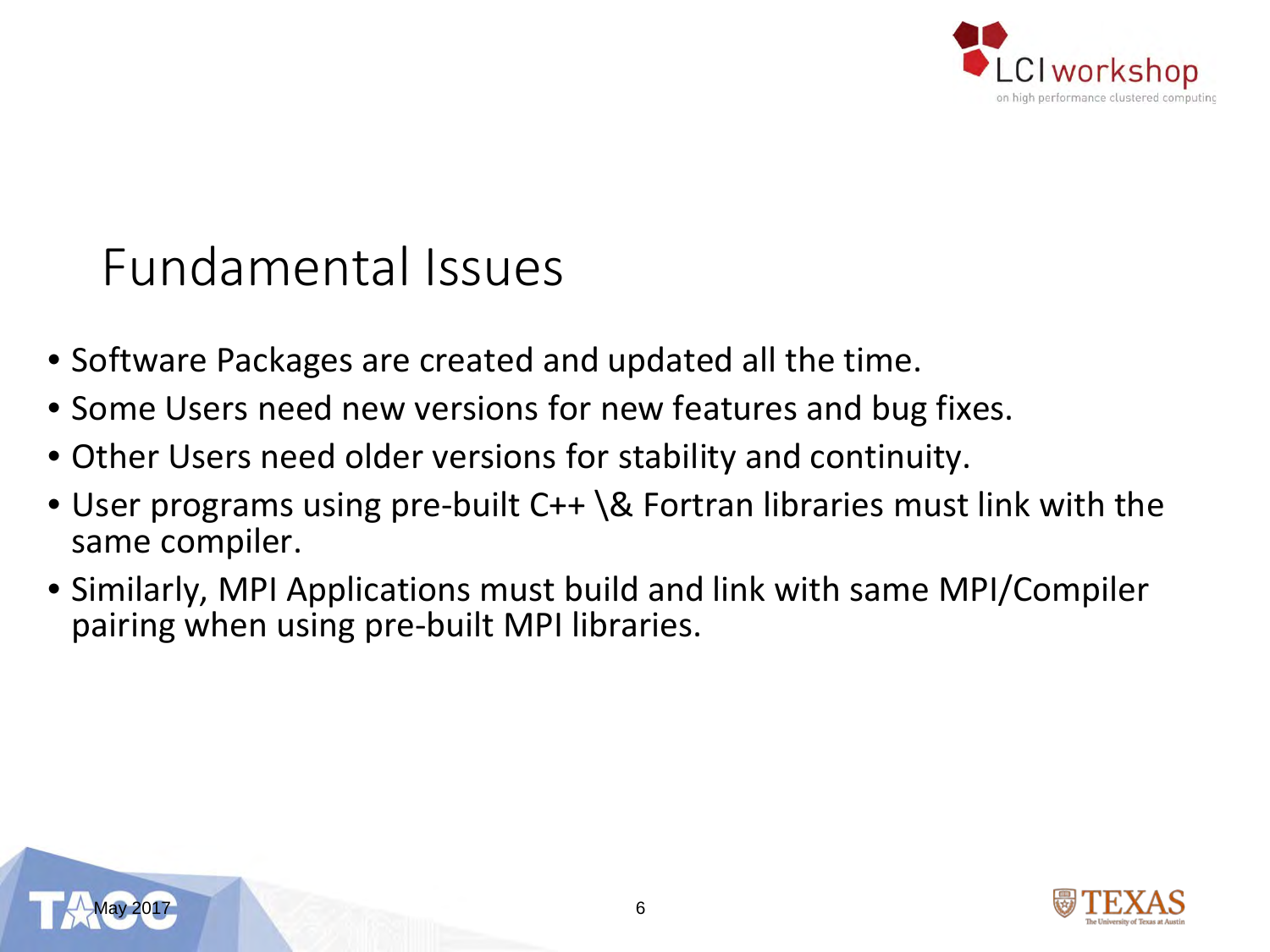

#### Fundamental Issues

- Software Packages are created and updated all the time.
- Some Users need new versions for new features and bug fixes.
- Other Users need older versions for stability and continuity.
- User programs using pre-built C++ \& Fortran libraries must link with the same compiler.
- Similarly, MPI Applications must build and link with same MPI/Compiler pairing when using pre-built MPI libraries.



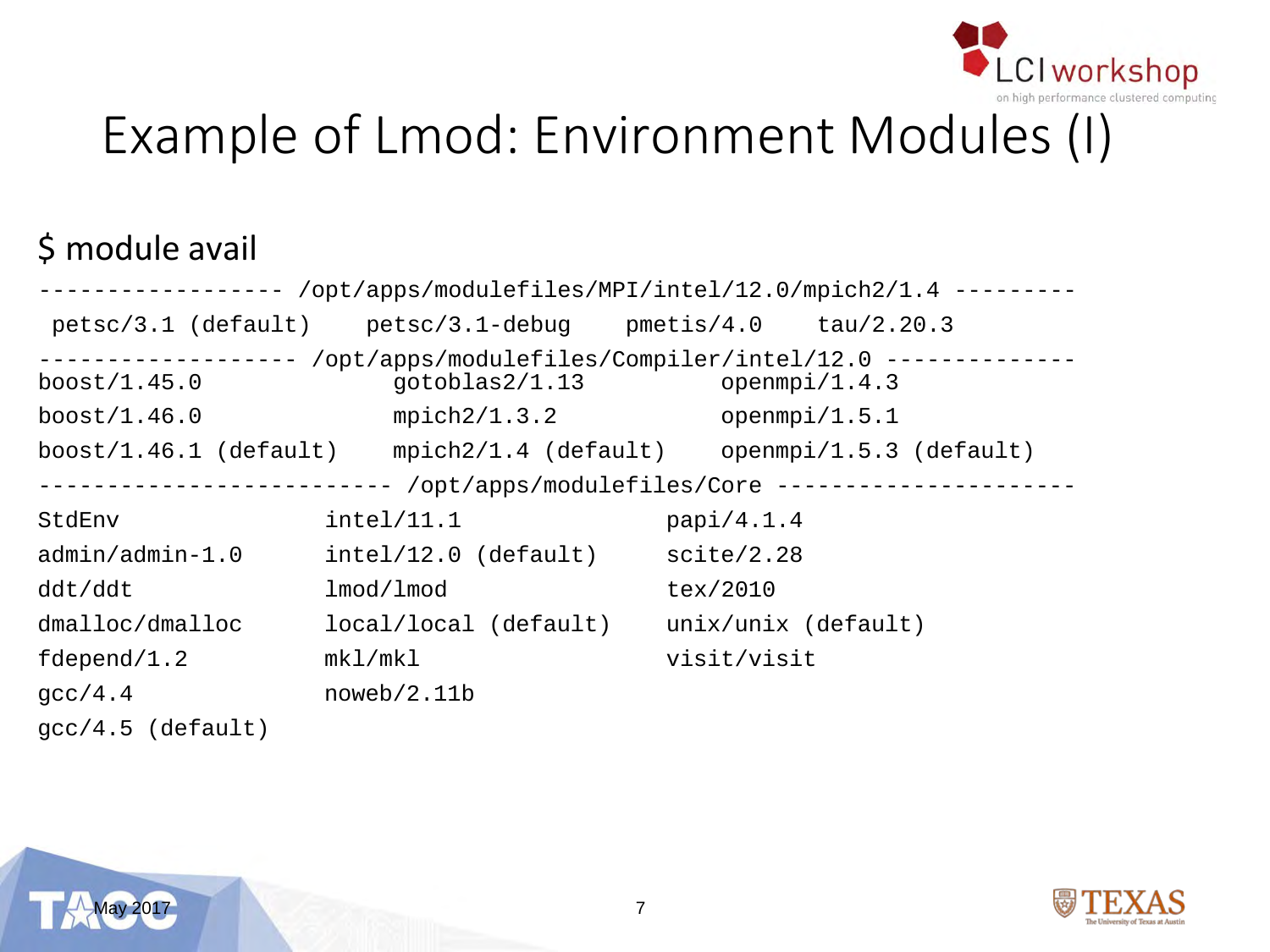

## Example of Lmod: Environment Modules (I)

#### \$ module avail

| ----------------- /opt/apps/modulefiles/MPI/intel/12.0/mpich2/1.4 --------- |                                                                           |                     |                                                                     |  |  |  |  |
|-----------------------------------------------------------------------------|---------------------------------------------------------------------------|---------------------|---------------------------------------------------------------------|--|--|--|--|
|                                                                             | $petsc/3.1$ (default) $petsc/3.1$ -debug $pmetis/4.0$ $tau/2.20.3$        |                     |                                                                     |  |  |  |  |
| $- - - - - - -$<br>boost/1.45.0                                             | /opt/apps/modulefiles/Compiler/intel/12.0 -------------<br>gotoblas2/1.13 | openmpi/1.4.3       |                                                                     |  |  |  |  |
| mpich2/1.3.2<br>boost $/1.46.0$                                             |                                                                           | openmpi/1.5.1       |                                                                     |  |  |  |  |
|                                                                             |                                                                           |                     | boost/1.46.1 (default) mpich2/1.4 (default) openmpi/1.5.3 (default) |  |  |  |  |
| -------------------------- /opt/apps/modulefiles/Core --------------------  |                                                                           |                     |                                                                     |  |  |  |  |
| StdEnv                                                                      | intel/11.1                                                                | papi/4.1.4          |                                                                     |  |  |  |  |
| admin/admin-1.0                                                             | $intel/12.0$ (default)                                                    | scite/2.28          |                                                                     |  |  |  |  |
| ddt/ddt                                                                     | lmod/lmod                                                                 | tex/2010            |                                                                     |  |  |  |  |
| dmalloc/dmalloc                                                             | local/local (default)                                                     | unix/unix (default) |                                                                     |  |  |  |  |
| fdepend/ $1.2$                                                              | mk1/mk1                                                                   | visit/visit         |                                                                     |  |  |  |  |
| qcc/4.4                                                                     | noweb/2.11b                                                               |                     |                                                                     |  |  |  |  |
| $qcc/4.5$ (default)                                                         |                                                                           |                     |                                                                     |  |  |  |  |



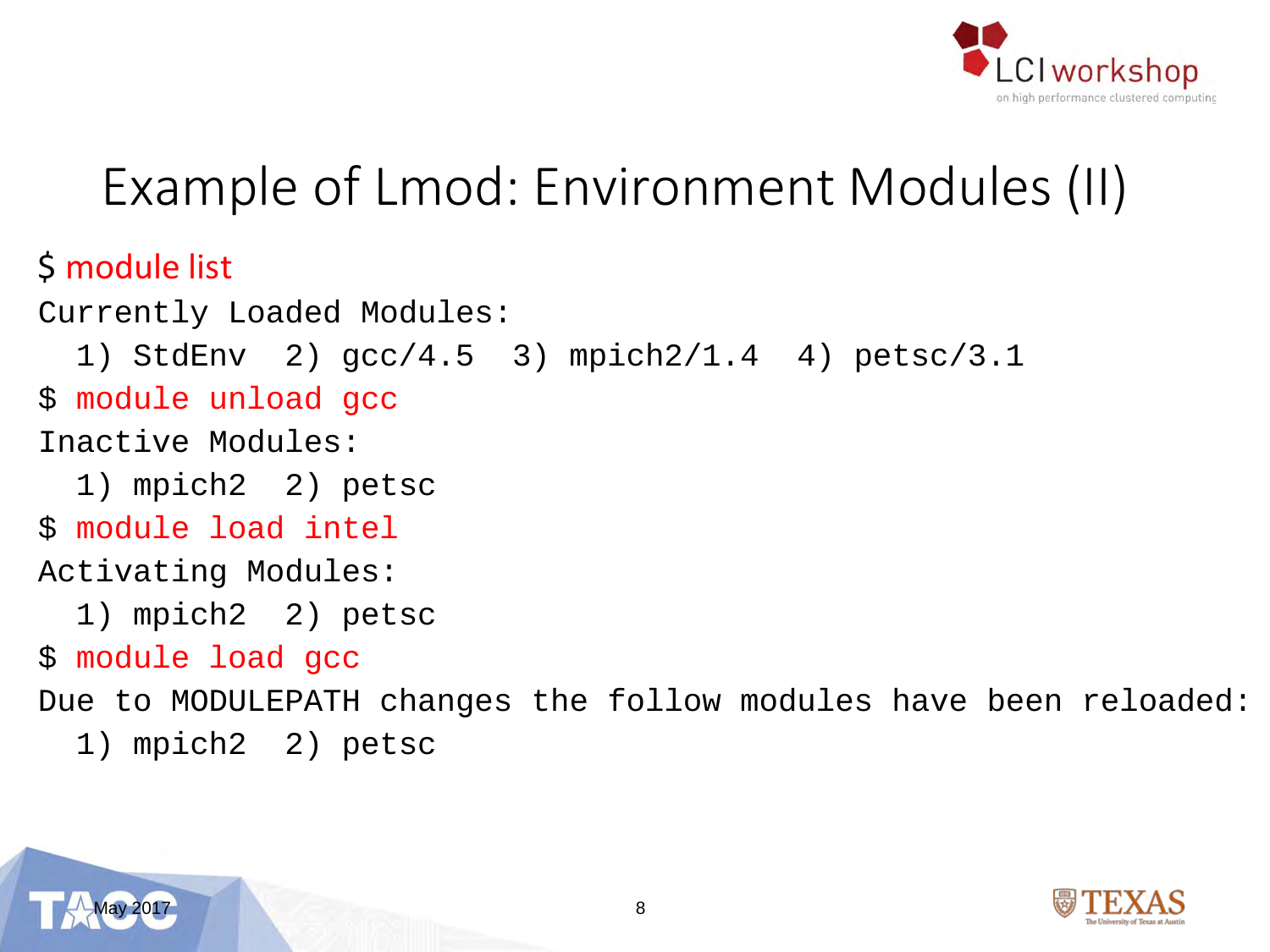

### Example of Lmod: Environment Modules (II)

#### \$ module list

```
Currently Loaded Modules:
  1) StdEnv 2) gcc/4.5 3) mpich2/1.4 4) petsc/3.1
$ module unload gcc
Inactive Modules:
  1) mpich2 2) petsc
$ module load intel
Activating Modules:
  1) mpich2 2) petsc
$ module load gcc
Due to MODULEPATH changes the follow modules have been reloaded:
```
1) mpich2 2) petsc

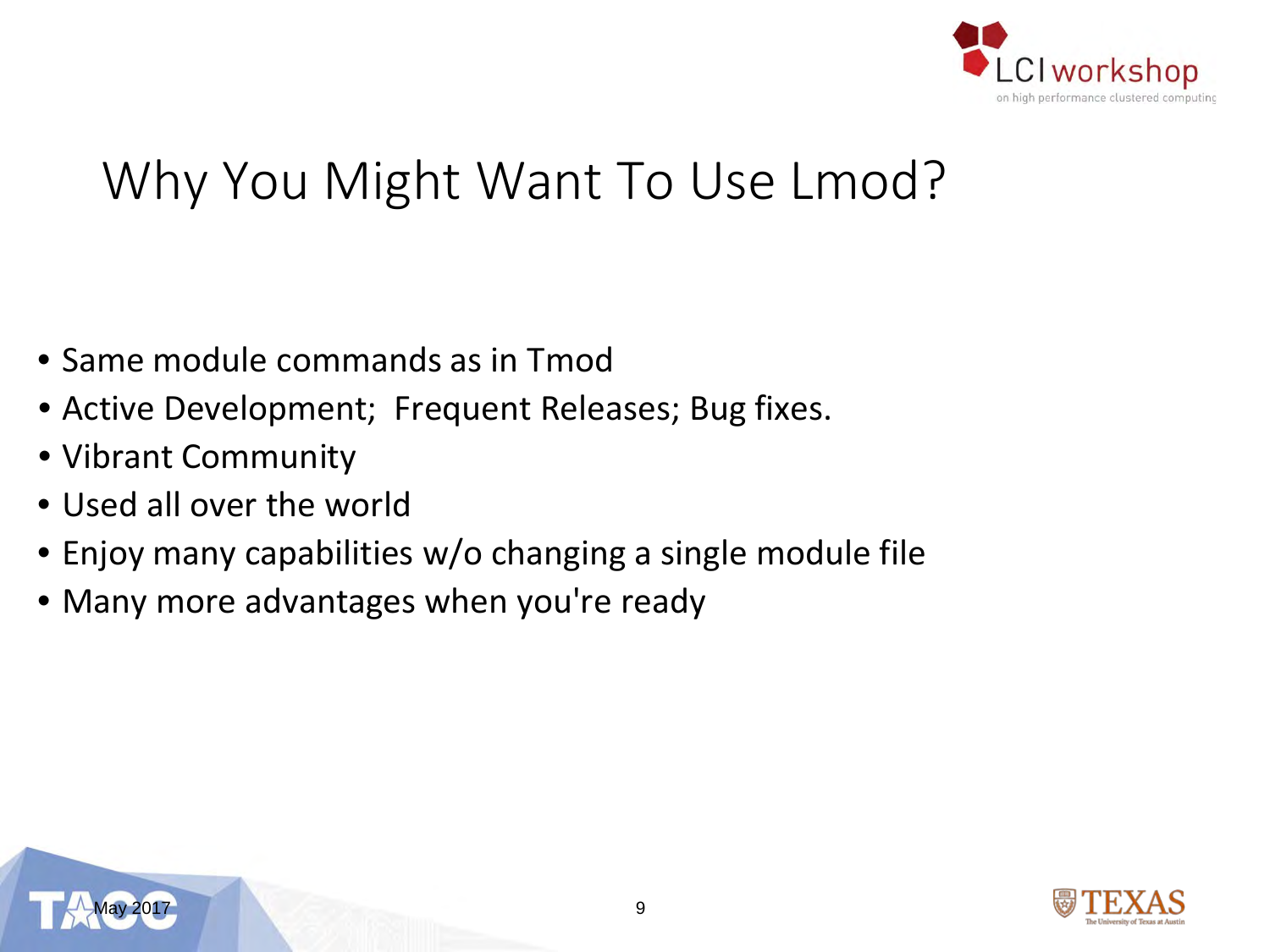

### Why You Might Want To Use Lmod?

- Same module commands as in Tmod
- Active Development; Frequent Releases; Bug fixes.
- Vibrant Community
- Used all over the world
- Enjoy many capabilities w/o changing a single module file
- Many more advantages when you're ready



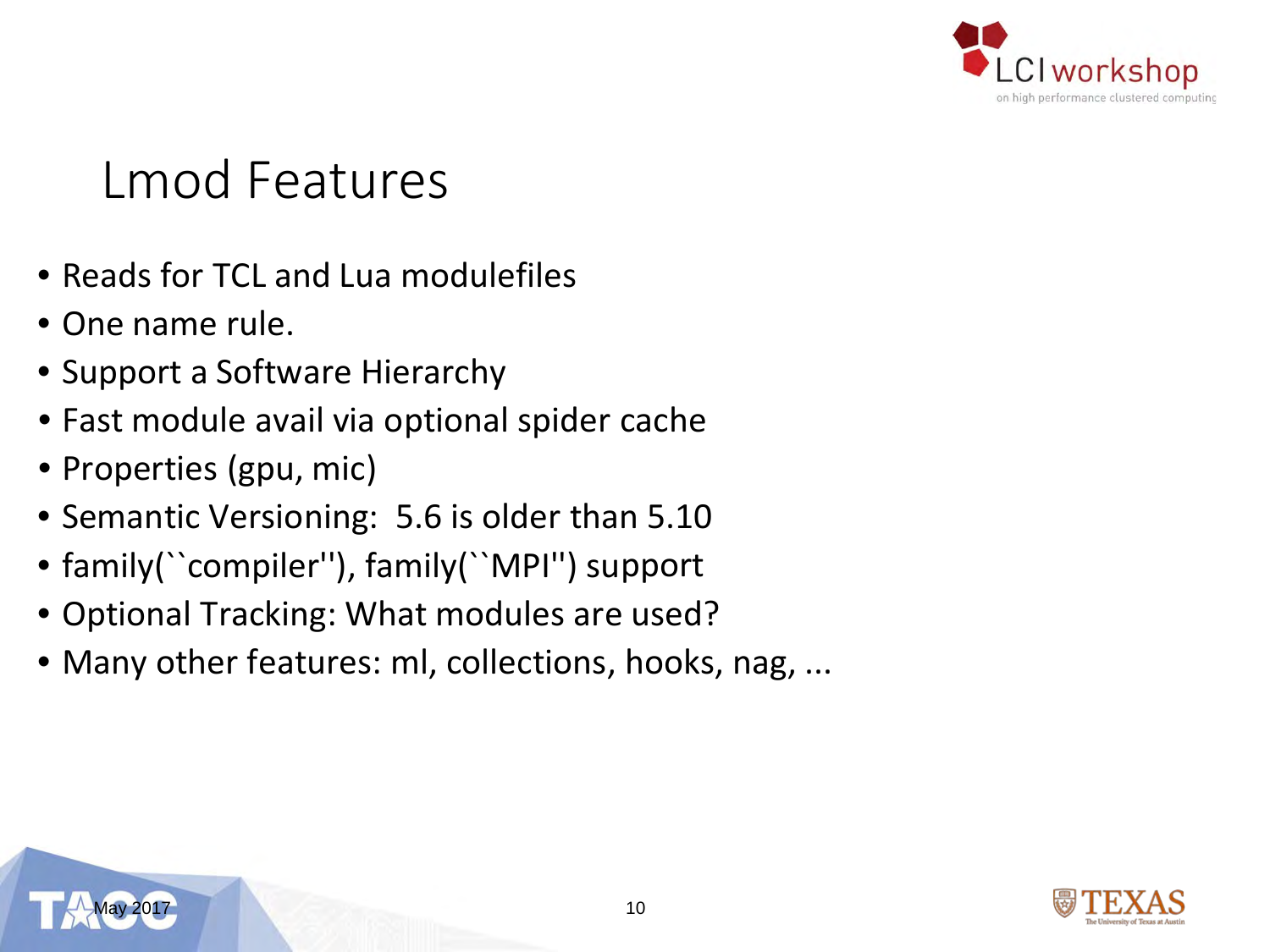

### Lmod Features

- Reads for TCL and Lua modulefiles
- One name rule.
- Support a Software Hierarchy
- Fast module avail via optional spider cache
- Properties (gpu, mic)
- Semantic Versioning: 5.6 is older than 5.10
- family(``compiler''), family(``MPI'') support
- Optional Tracking: What modules are used?
- Many other features: ml, collections, hooks, nag, ...

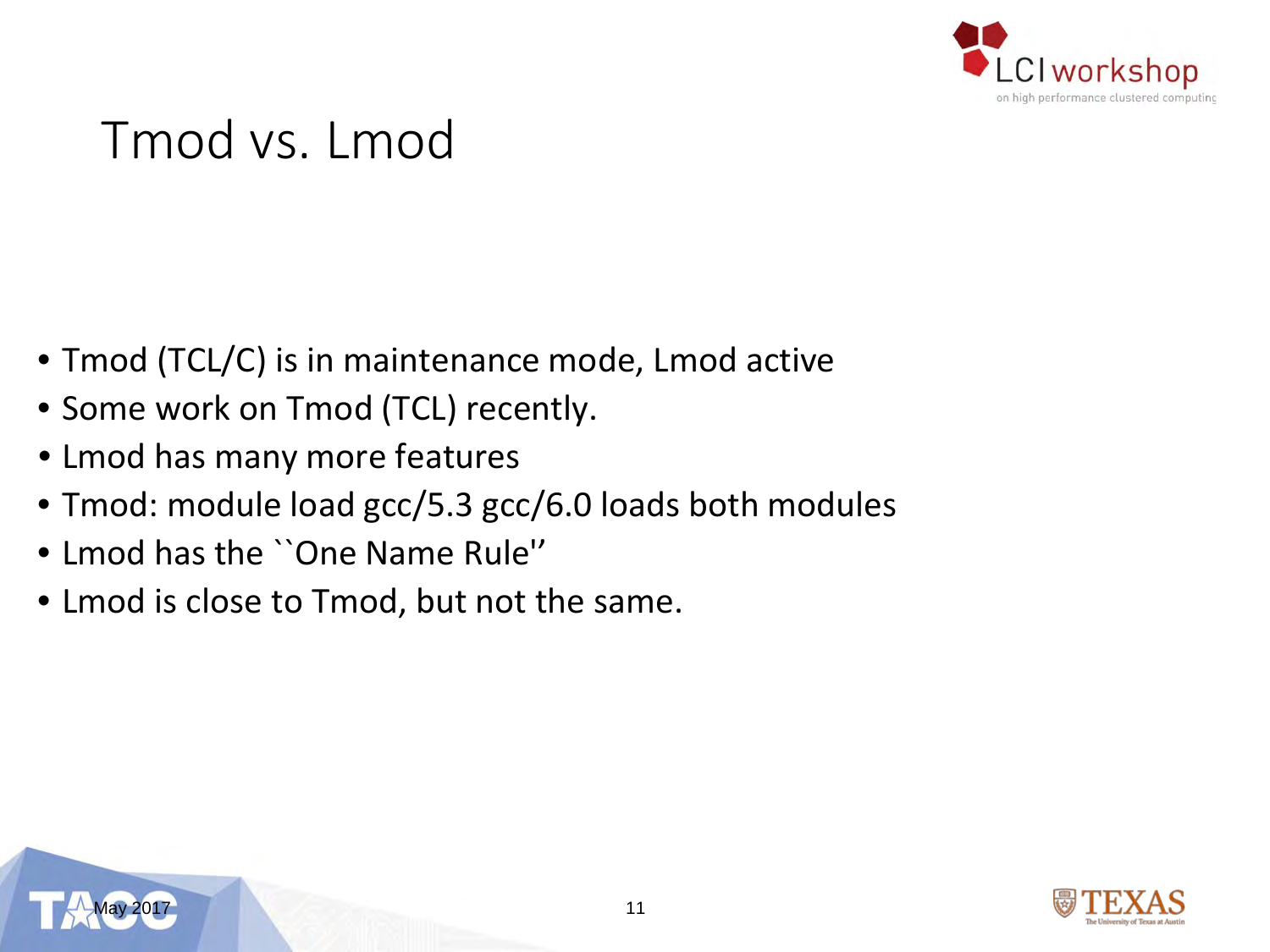

#### Tmod vs. Lmod

- Tmod (TCL/C) is in maintenance mode, Lmod active
- Some work on Tmod (TCL) recently.
- Lmod has many more features
- Tmod: module load gcc/5.3 gcc/6.0 loads both modules
- Lmod has the ``One Name Rule''
- Lmod is close to Tmod, but not the same.



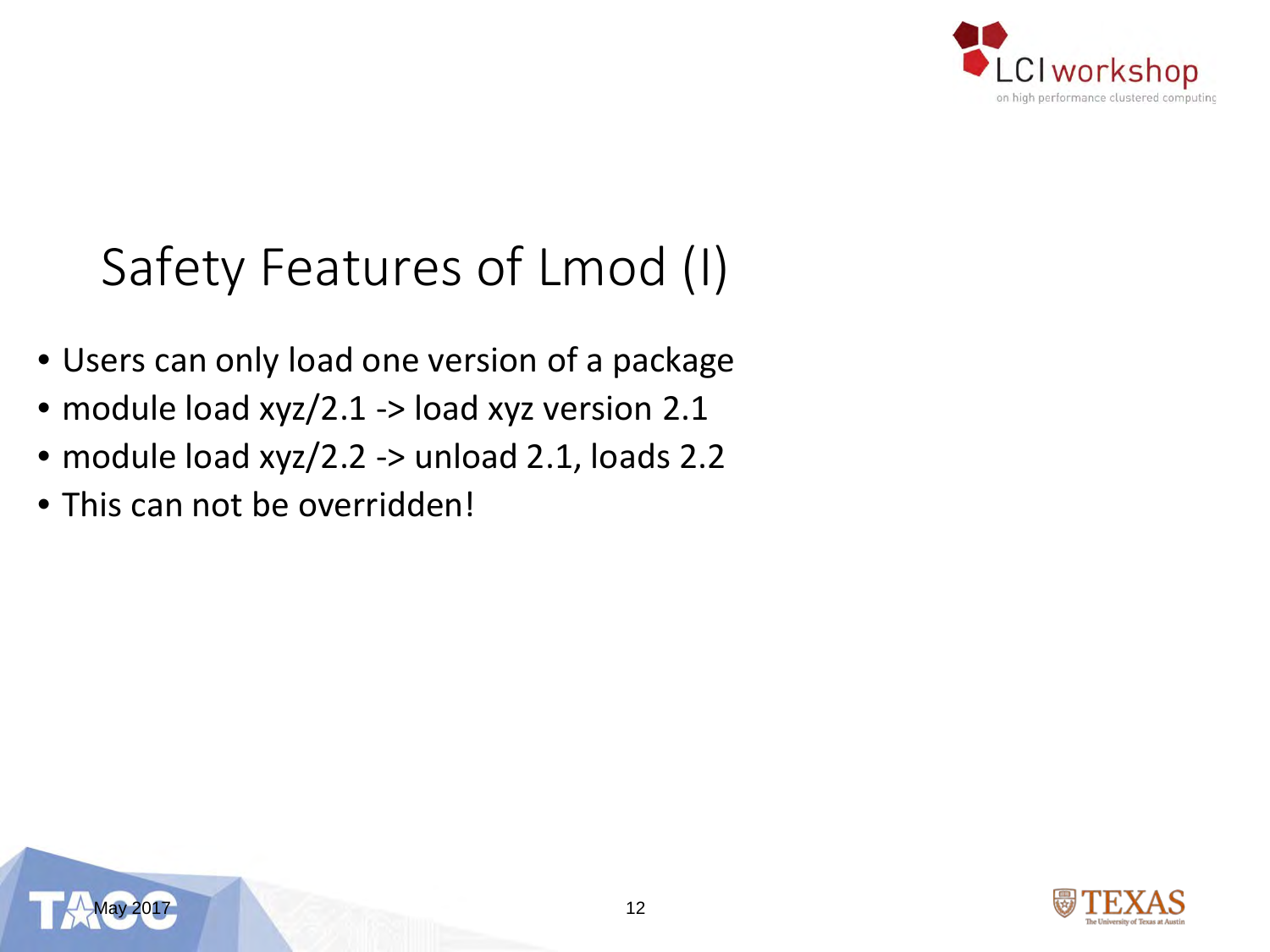

### Safety Features of Lmod (I)

- Users can only load one version of a package
- module load xyz/2.1 -> load xyz version 2.1
- module load xyz/2.2 -> unload 2.1, loads 2.2
- This can not be overridden!



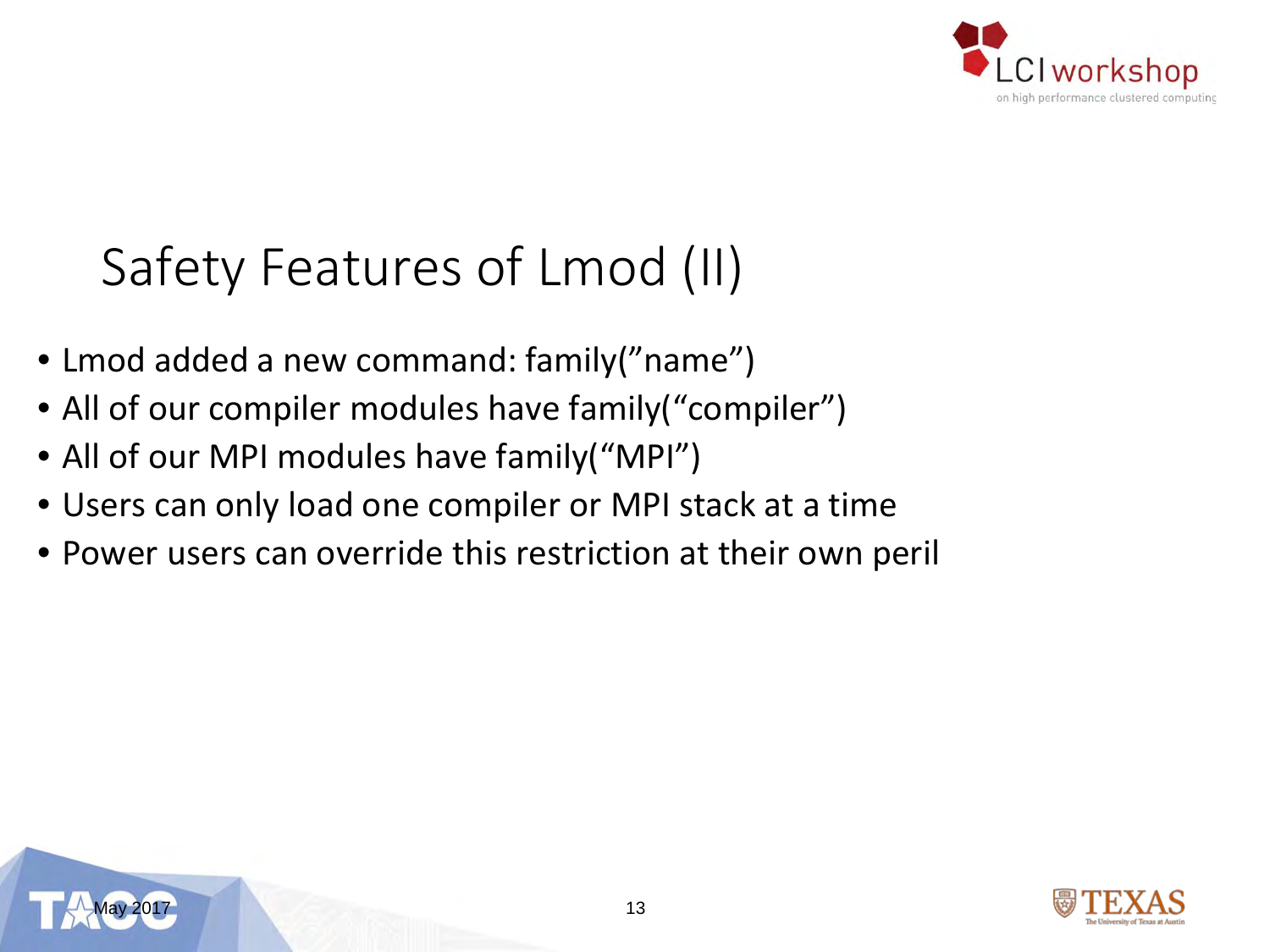

### Safety Features of Lmod (II)

- Lmod added a new command: family("name")
- All of our compiler modules have family ("compiler")
- All of our MPI modules have family("MPI")
- Users can only load one compiler or MPI stack at a time
- Power users can override this restriction at their own peril



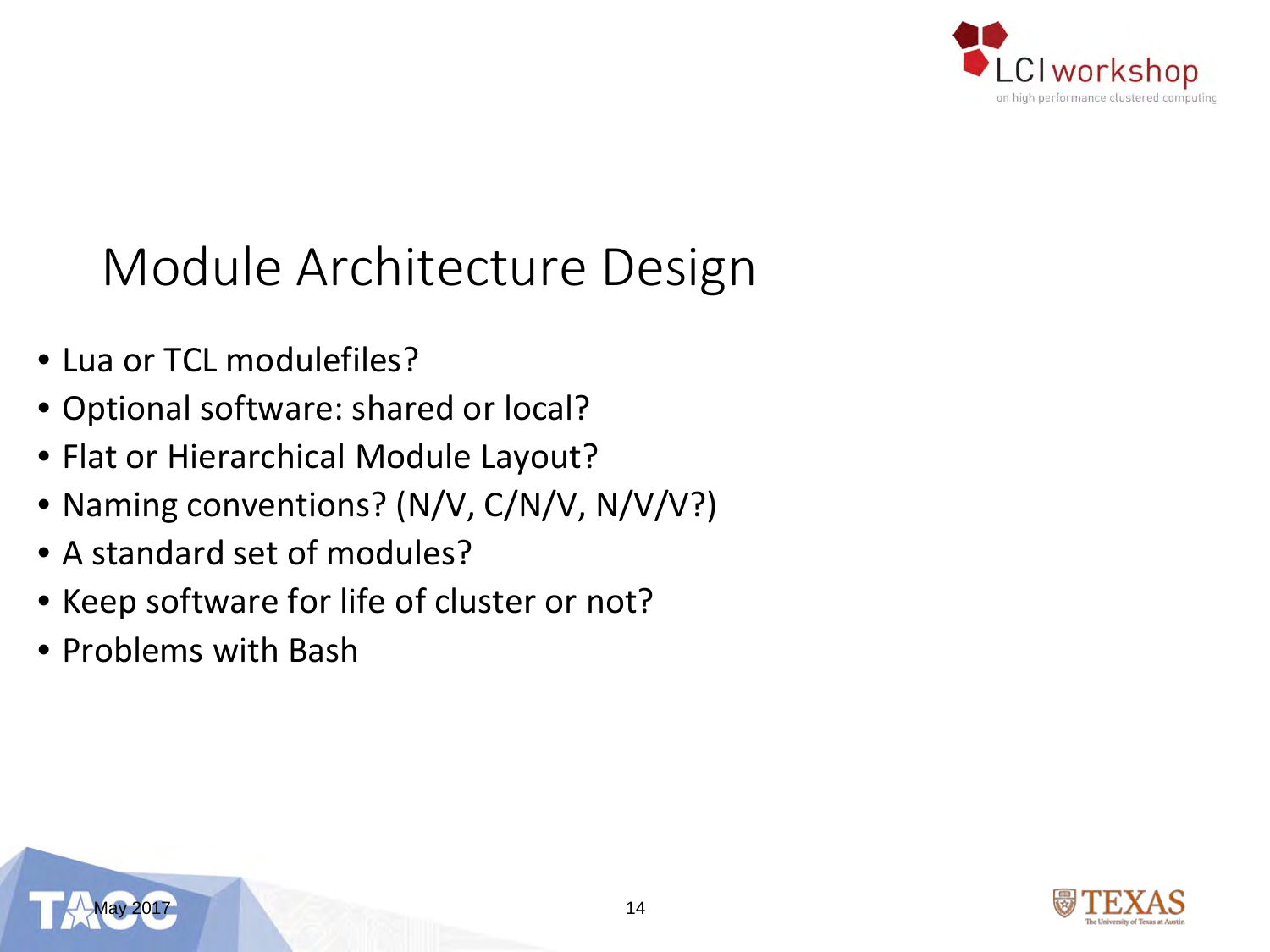

### Module Architecture Design

- Lua or TCL modulefiles?
- Optional software: shared or local?
- Flat or Hierarchical Module Layout?
- Naming conventions? (N/V, C/N/V, N/V/V?)
- A standard set of modules?
- Keep software for life of cluster or not?
- Problems with Bash

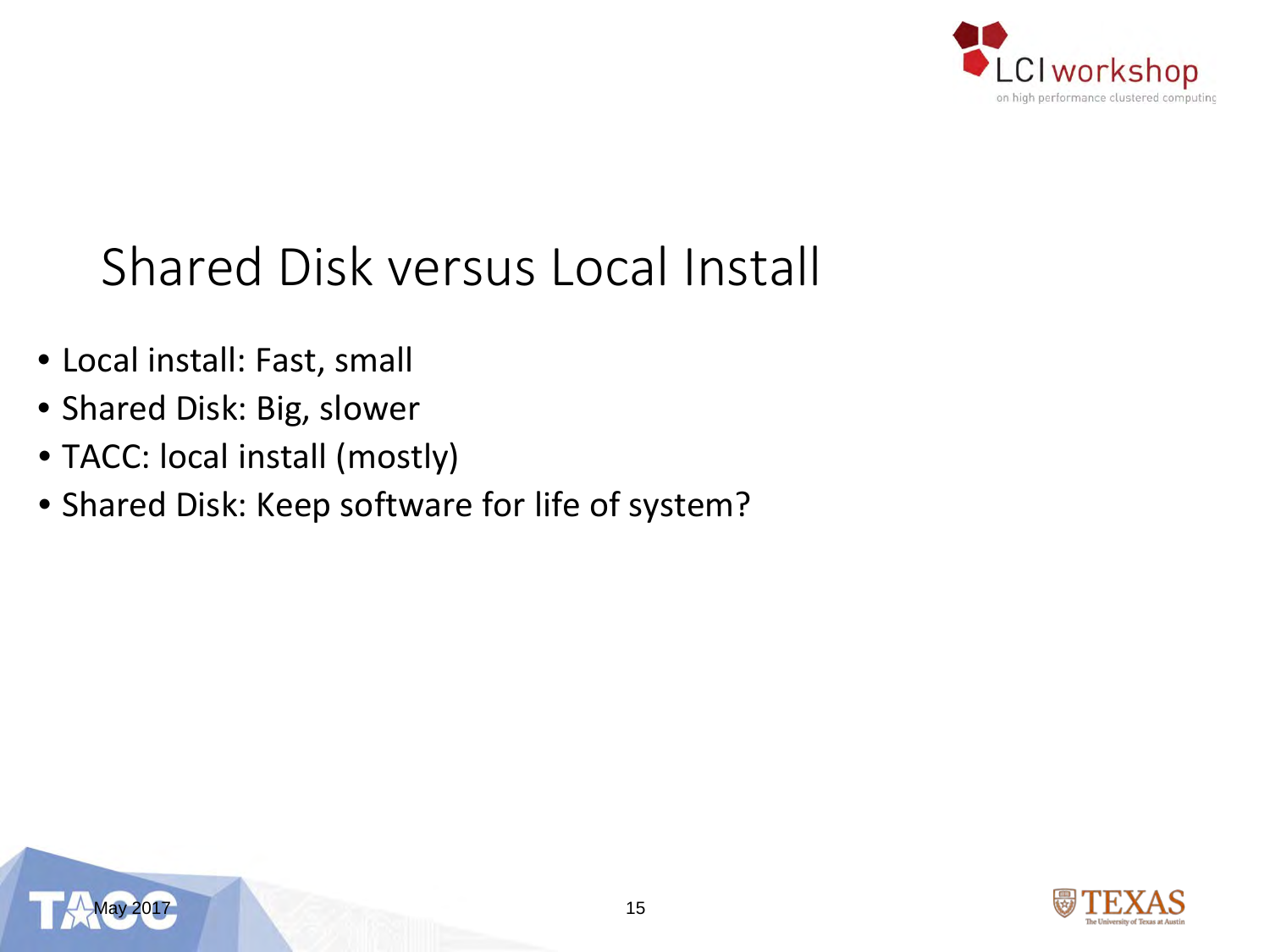

### Shared Disk versus Local Install

- Local install: Fast, small
- Shared Disk: Big, slower
- TACC: local install (mostly)
- Shared Disk: Keep software for life of system?



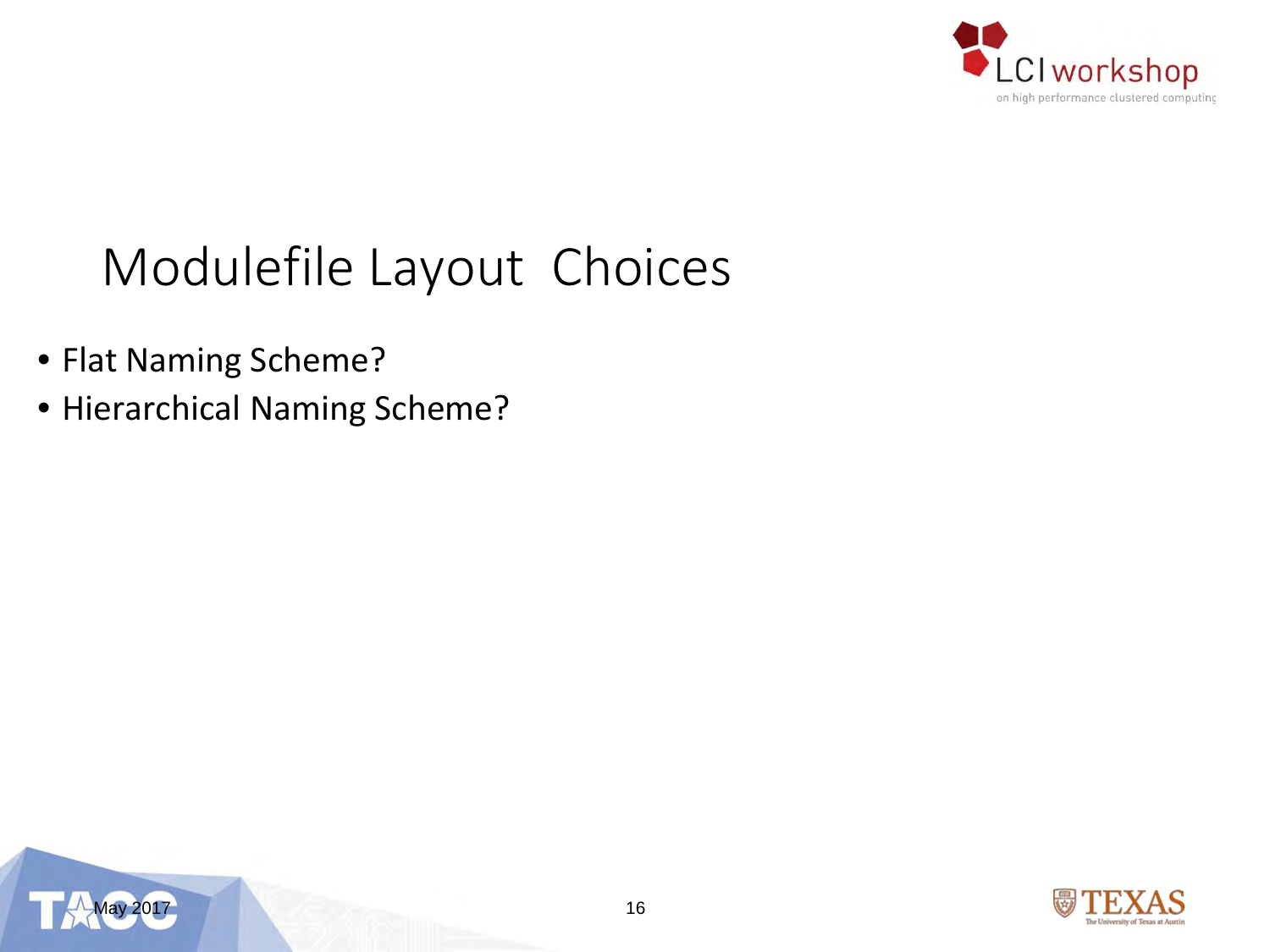

### Modulefile Layout Choices

- Flat Naming Scheme?
- Hierarchical Naming Scheme?



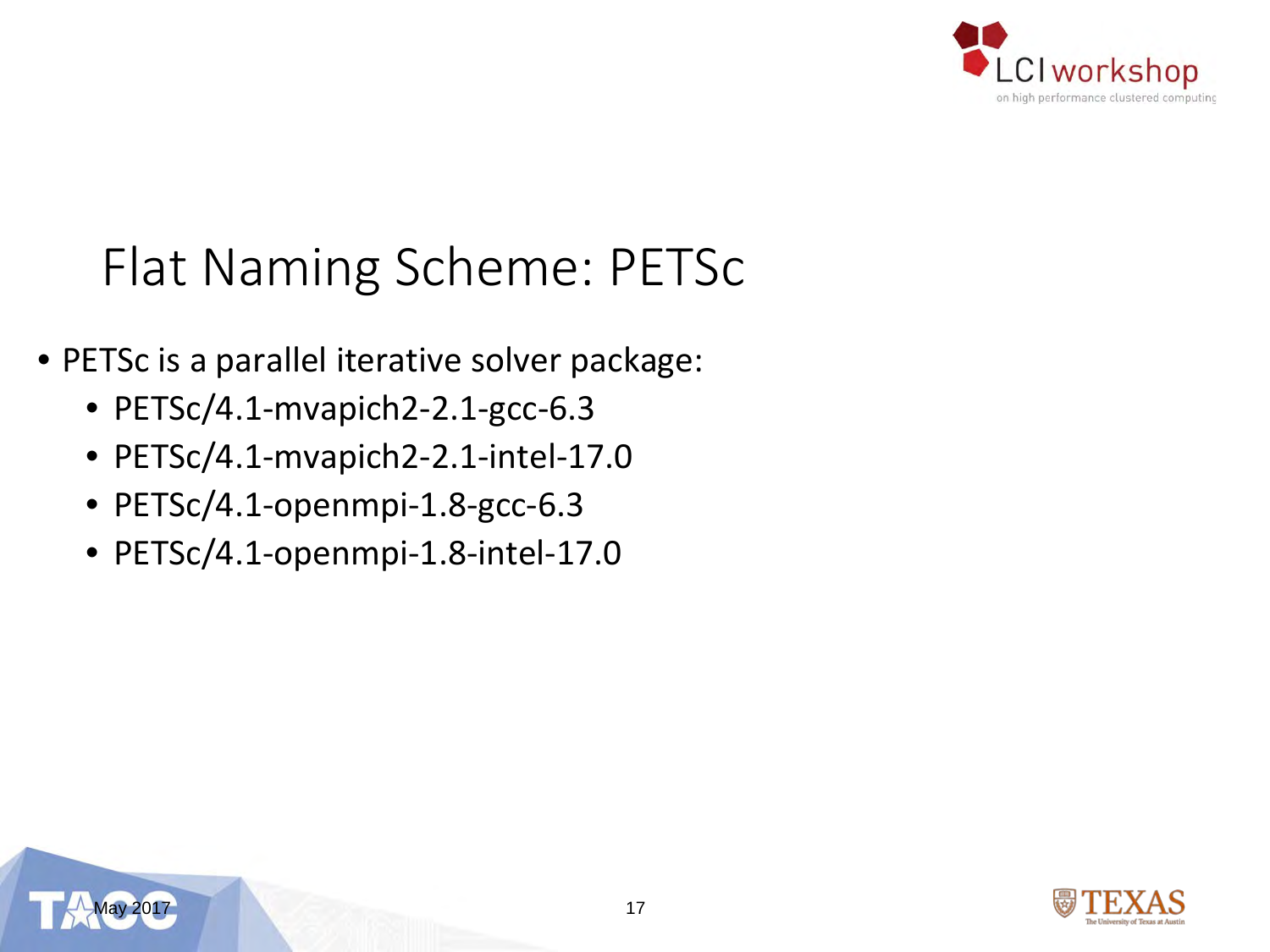

#### Flat Naming Scheme: PETSc

- PETSc is a parallel iterative solver package:
	- PETSc/4.1-mvapich2-2.1-gcc-6.3
	- PETSc/4.1-mvapich2-2.1-intel-17.0
	- PETSc/4.1-openmpi-1.8-gcc-6.3
	- PETSc/4.1-openmpi-1.8-intel-17.0



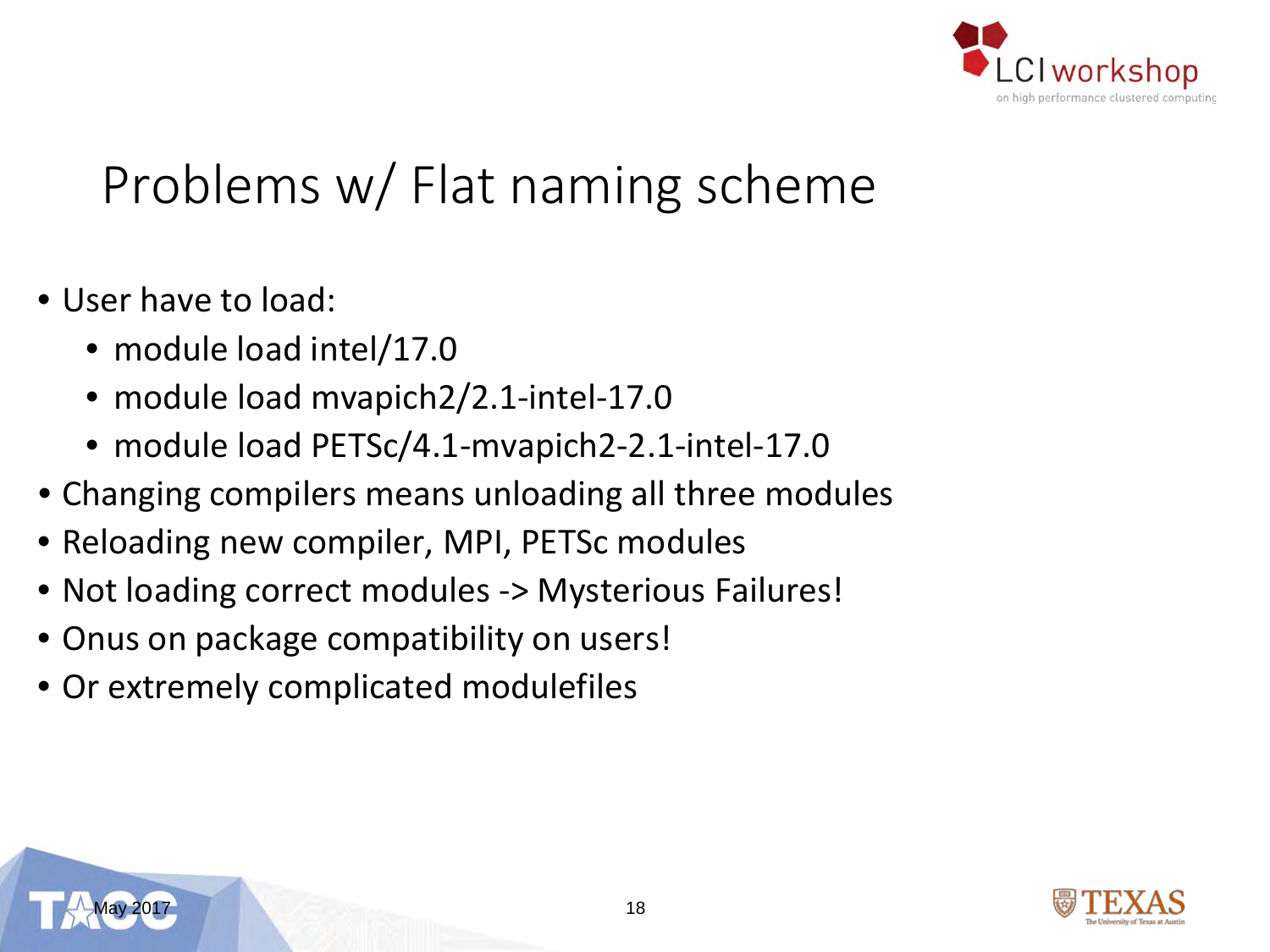

### Problems w/ Flat naming scheme

- User have to load:
	- module load intel/17.0
	- module load mvapich2/2.1-intel-17.0
	- module load PETSc/4.1-mvapich2-2.1-intel-17.0
- Changing compilers means unloading all three modules
- Reloading new compiler, MPI, PETSc modules
- Not loading correct modules -> Mysterious Failures!
- Onus on package compatibility on users!
- Or extremely complicated modulefiles

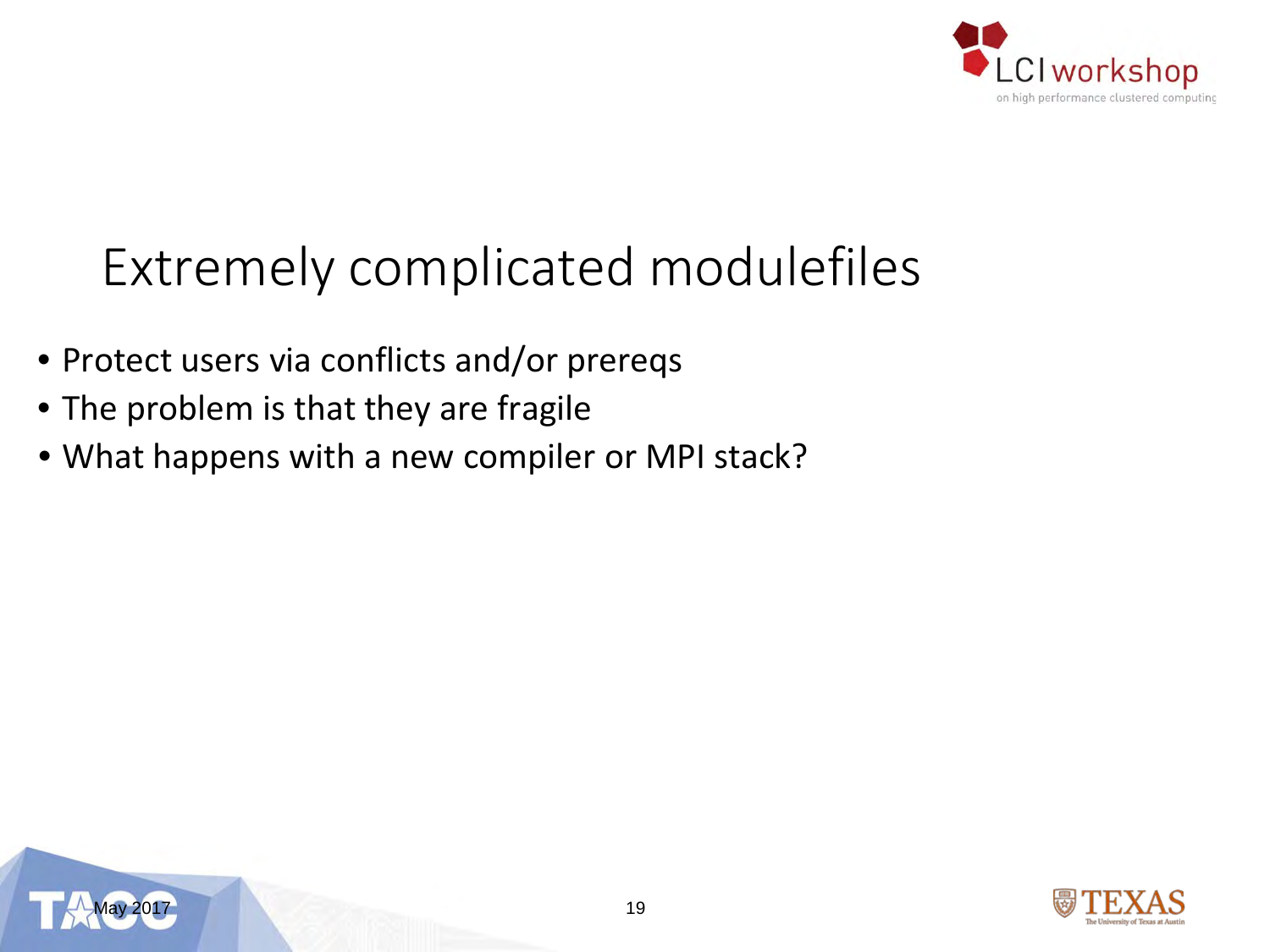

### Extremely complicated modulefiles

- Protect users via conflicts and/or prereqs
- The problem is that they are fragile
- What happens with a new compiler or MPI stack?



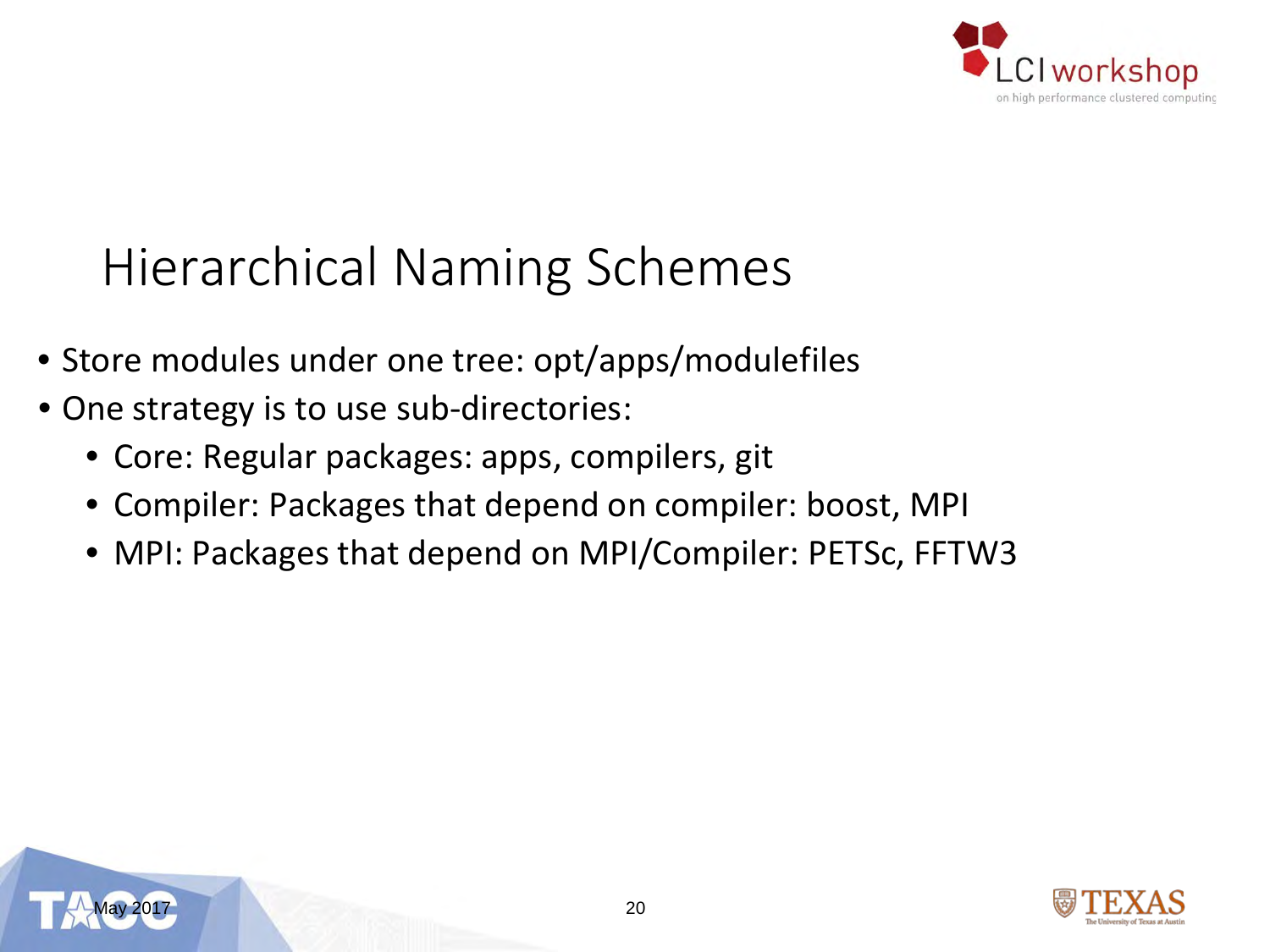

### Hierarchical Naming Schemes

- Store modules under one tree: opt/apps/modulefiles
- One strategy is to use sub-directories:
	- Core: Regular packages: apps, compilers, git
	- Compiler: Packages that depend on compiler: boost, MPI
	- MPI: Packages that depend on MPI/Compiler: PETSc, FFTW3



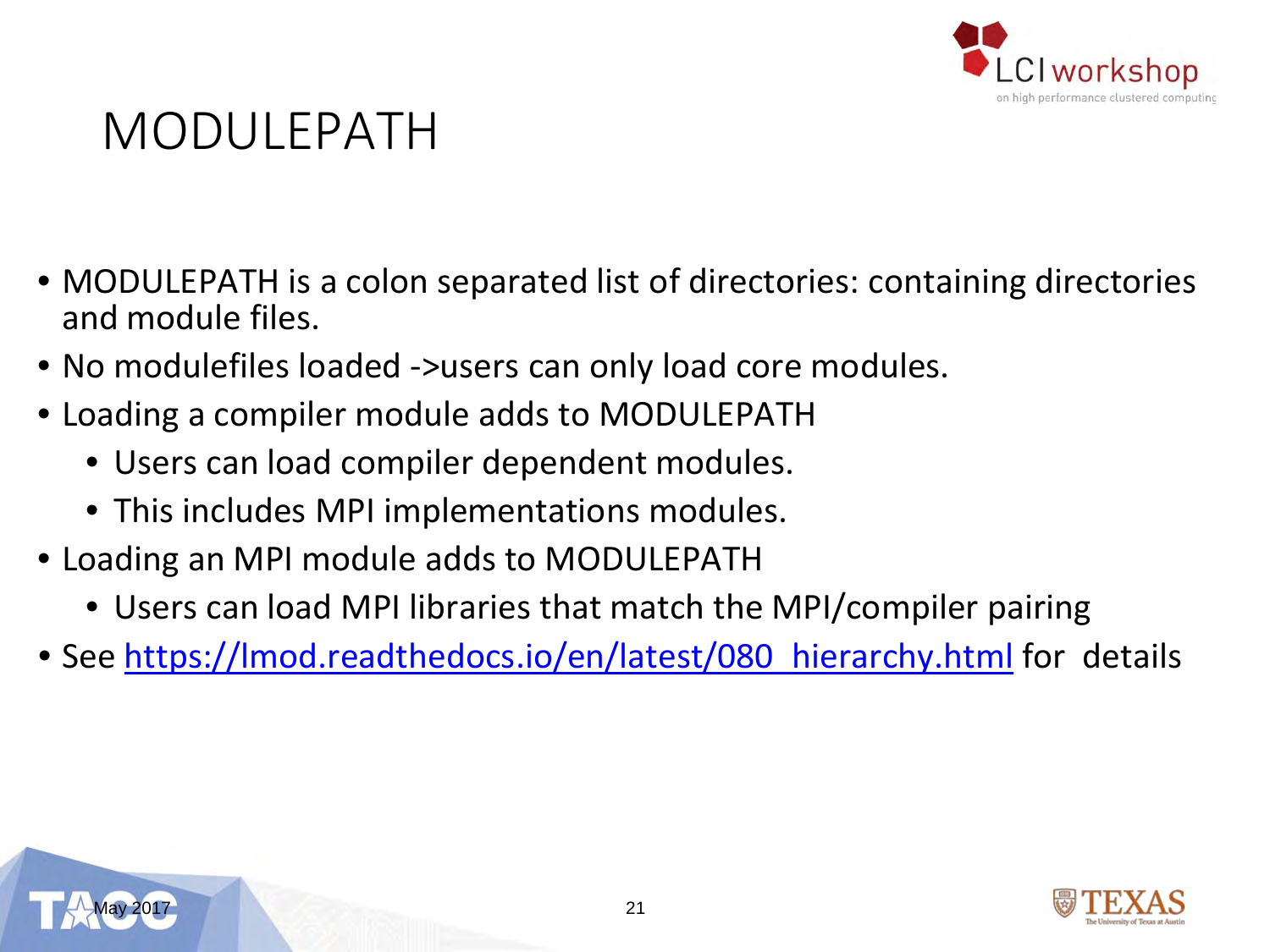

#### MODULEPATH

- MODULEPATH is a colon separated list of directories: containing directories and module files.
- No modulefiles loaded ->users can only load core modules.
- Loading a compiler module adds to MODULEPATH
	- Users can load compiler dependent modules.
	- This includes MPI implementations modules.
- Loading an MPI module adds to MODULEPATH
	- Users can load MPI libraries that match the MPI/compiler pairing
- See https://lmod.readthedocs.io/en/latest/080 hierarchy.html for details



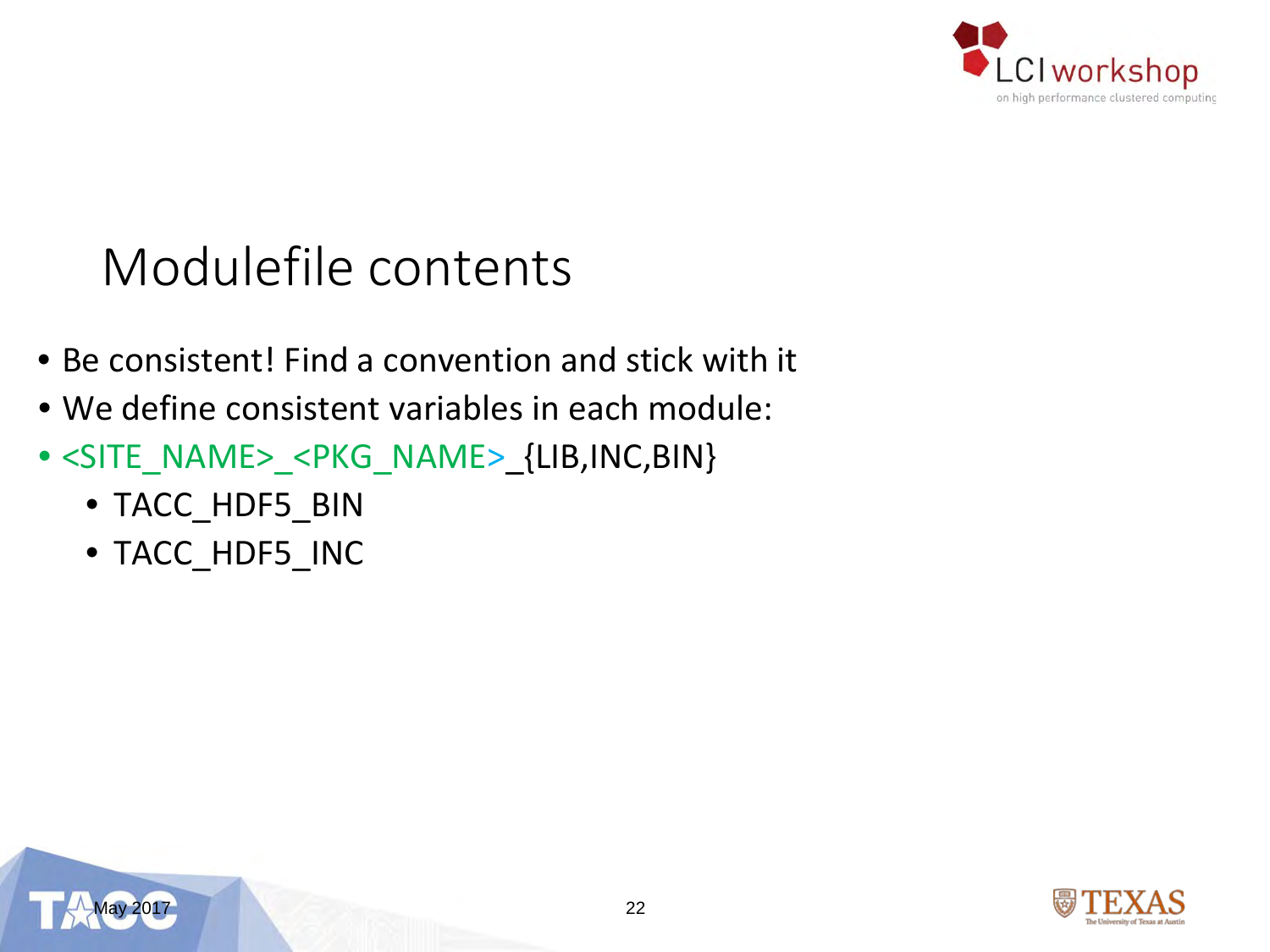

### Modulefile contents

- Be consistent! Find a convention and stick with it
- We define consistent variables in each module:
- <SITE\_NAME>\_<PKG\_NAME>\_{LIB,INC,BIN}
	- TACC\_HDF5\_BIN
	- TACC\_HDF5\_INC



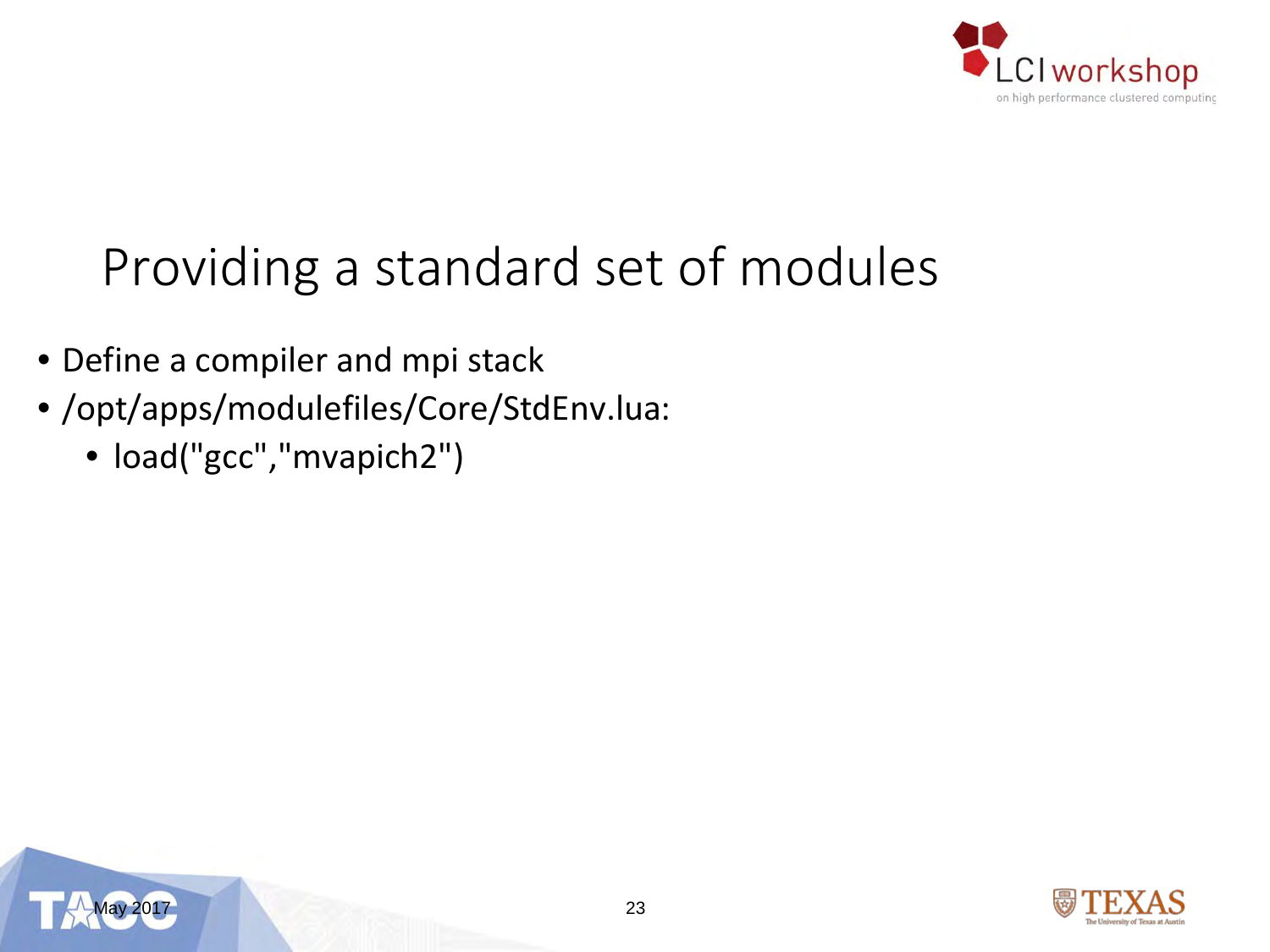

## Providing a standard set of modules

- Define a compiler and mpi stack
- /opt/apps/modulefiles/Core/StdEnv.lua:
	- load("gcc","mvapich2")



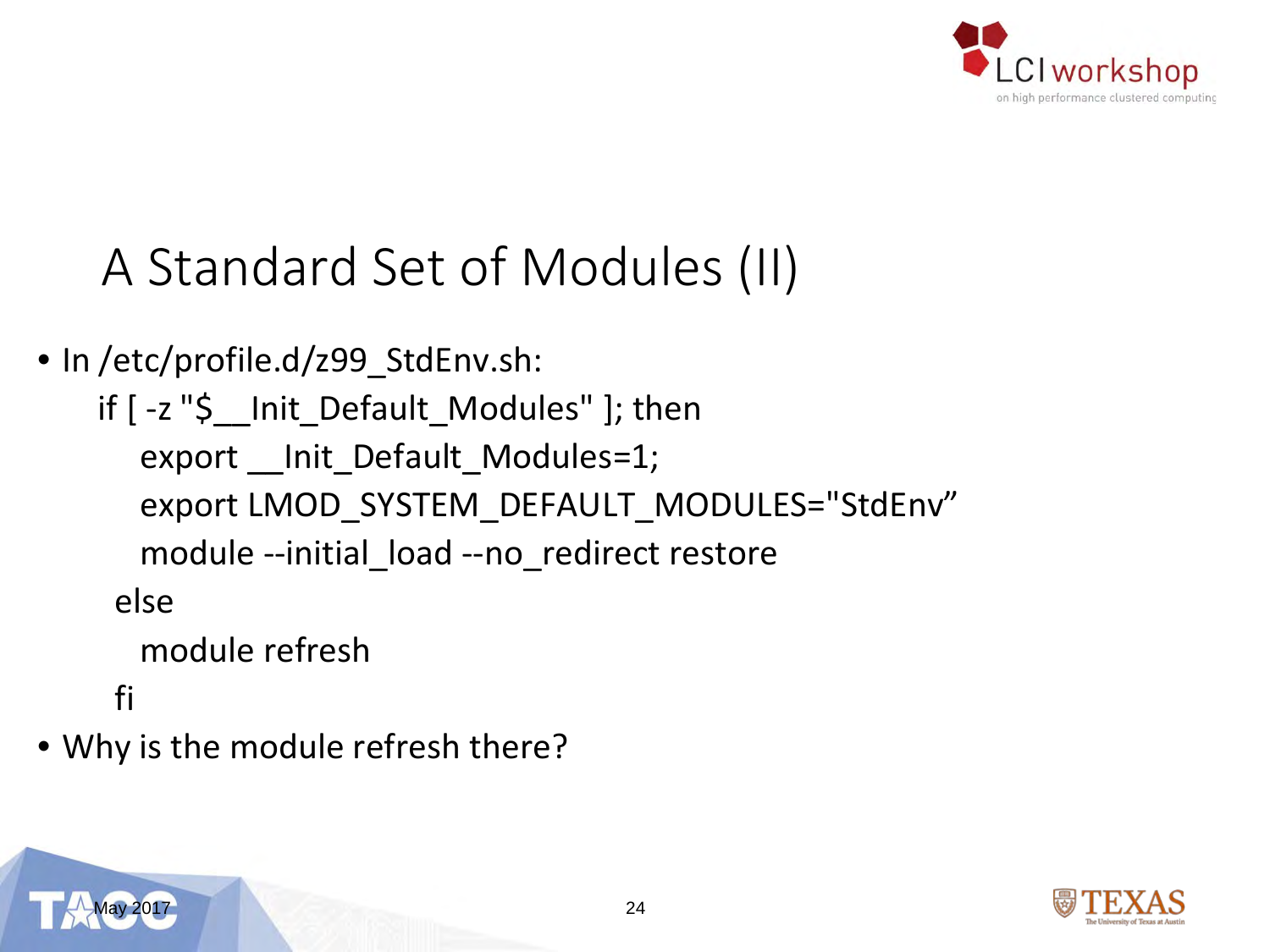

### A Standard Set of Modules (II)

• In /etc/profile.d/z99\_StdEnv.sh:

```
if [ -z "$__Init_Default_Modules" ]; then
  export __Init_Default_Modules=1;
  export LMOD_SYSTEM_DEFAULT_MODULES="StdEnv"
  module --initial_load --no_redirect restore
 else
  module refresh
 fi
```
• Why is the module refresh there?

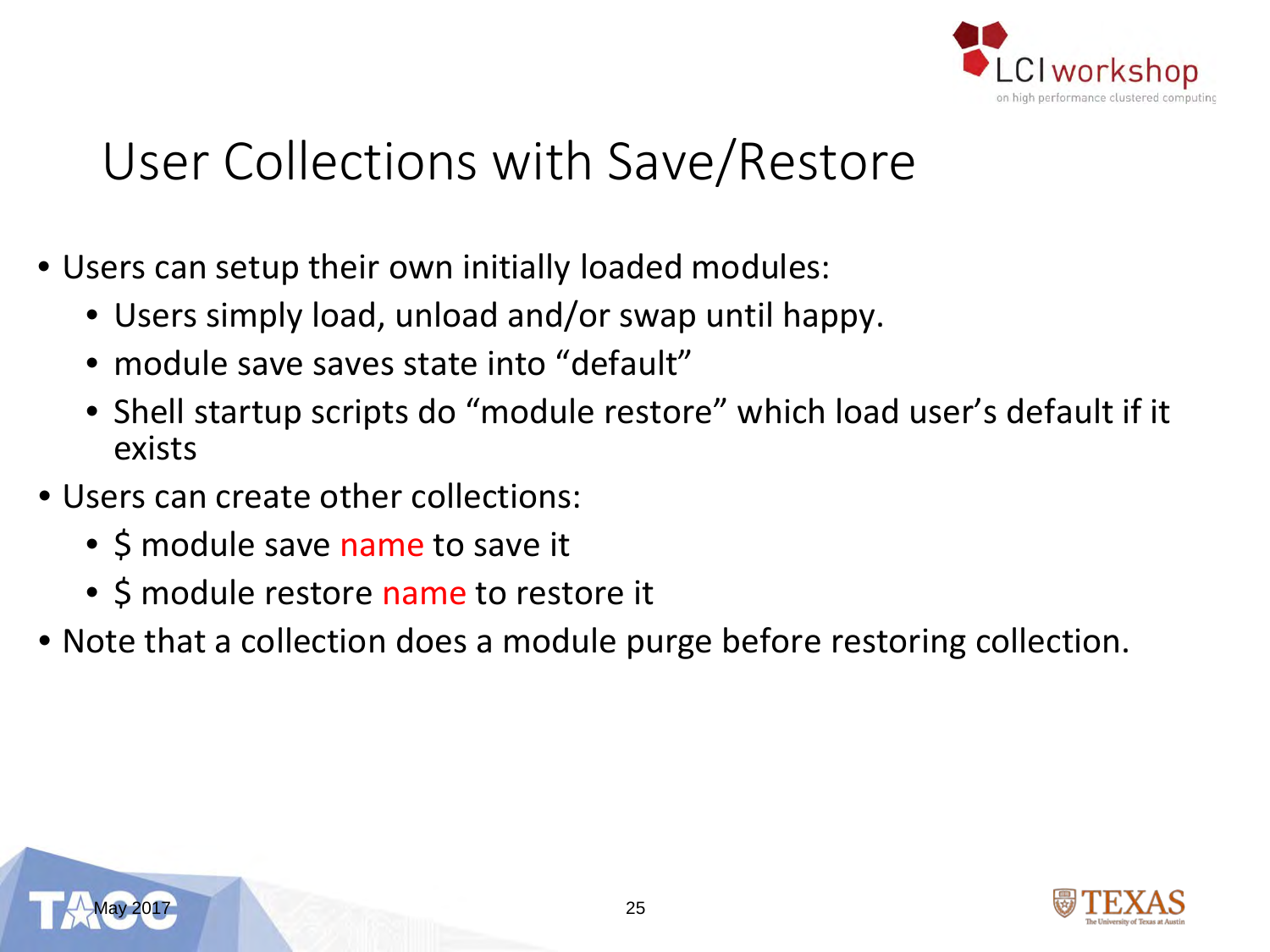

### User Collections with Save/Restore

- Users can setup their own initially loaded modules:
	- Users simply load, unload and/or swap until happy.
	- module save saves state into "default"
	- Shell startup scripts do "module restore" which load user's default if it exists
- Users can create other collections:
	- \$ module save name to save it
	- \$ module restore name to restore it
- Note that a collection does a module purge before restoring collection.



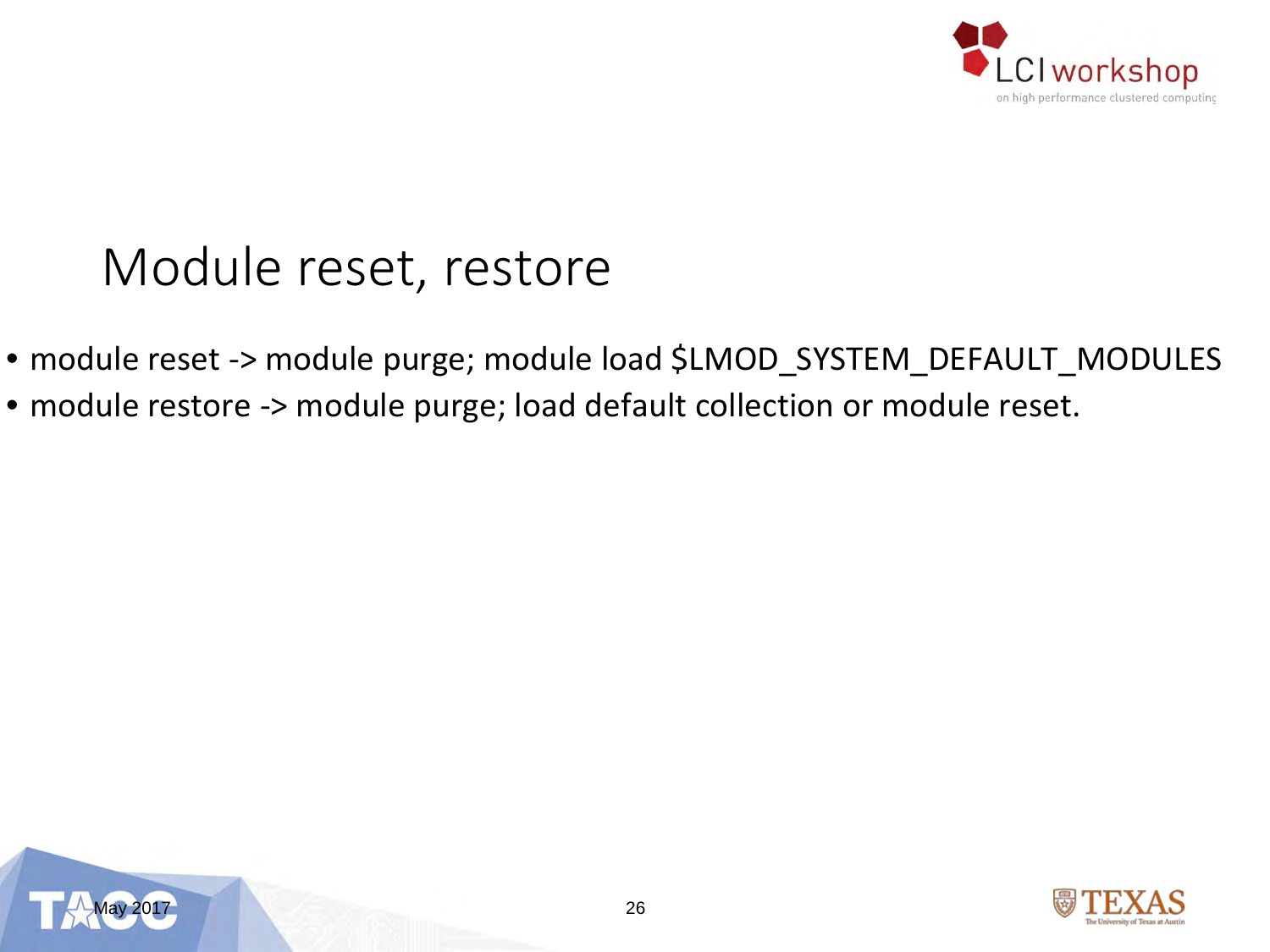

### Module reset, restore

- module reset -> module purge; module load \$LMOD\_SYSTEM\_DEFAULT\_MODULES
- module restore -> module purge; load default collection or module reset.



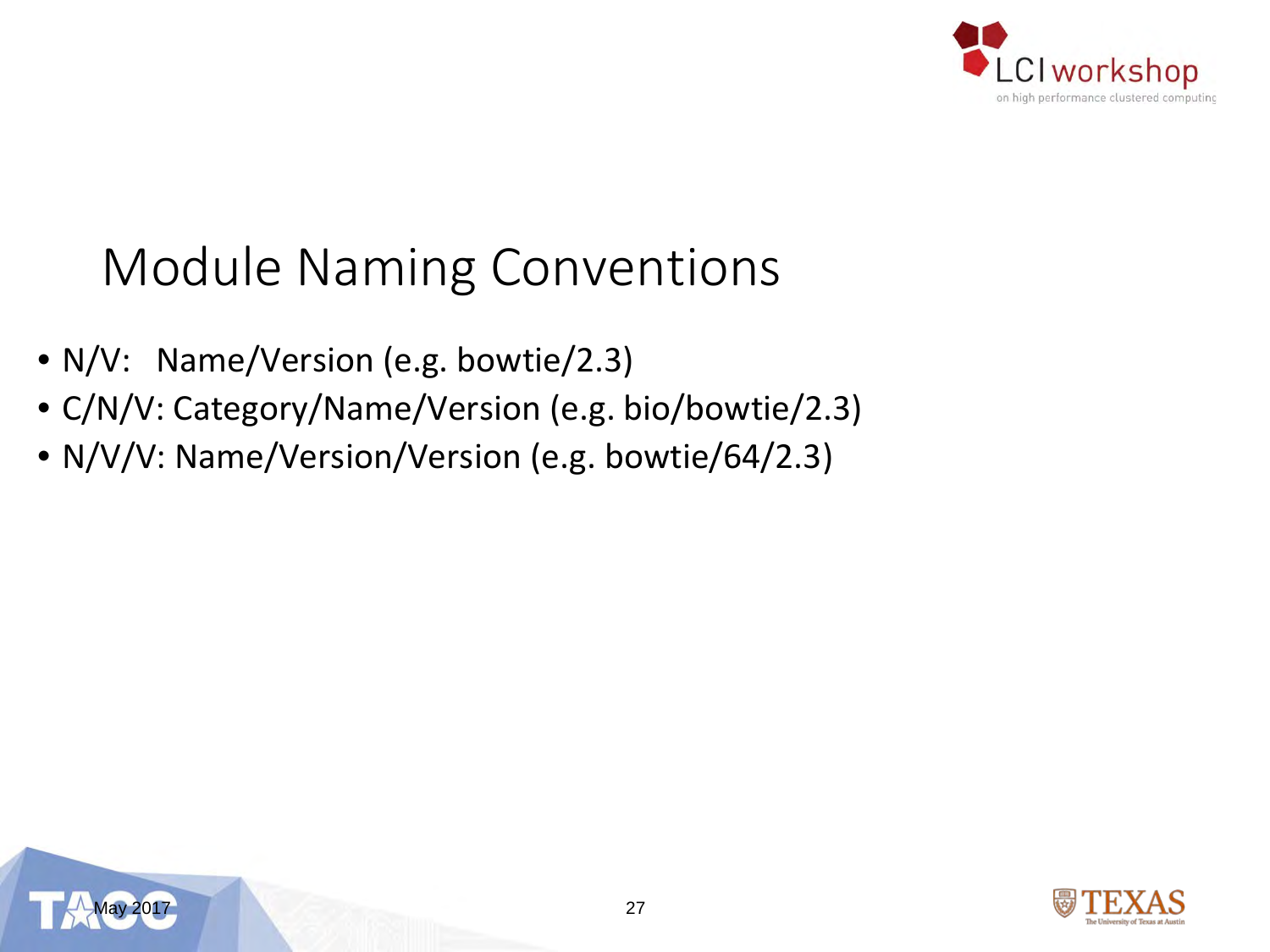

### Module Naming Conventions

- N/V: Name/Version (e.g. bowtie/2.3)
- C/N/V: Category/Name/Version (e.g. bio/bowtie/2.3)
- N/V/V: Name/Version/Version (e.g. bowtie/64/2.3)



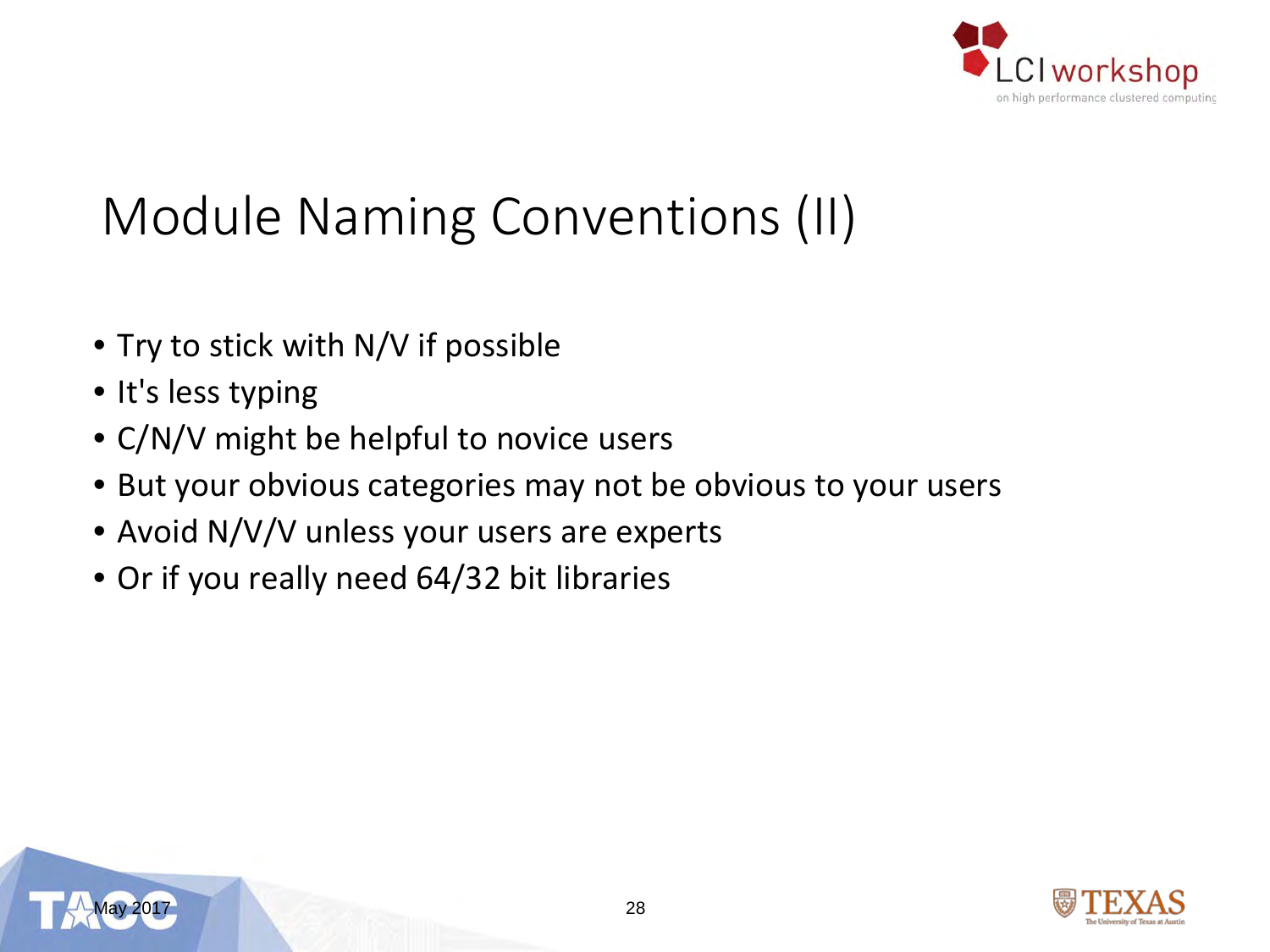

### Module Naming Conventions (II)

- Try to stick with N/V if possible
- It's less typing
- C/N/V might be helpful to novice users
- But your obvious categories may not be obvious to your users
- Avoid N/V/V unless your users are experts
- Or if you really need 64/32 bit libraries



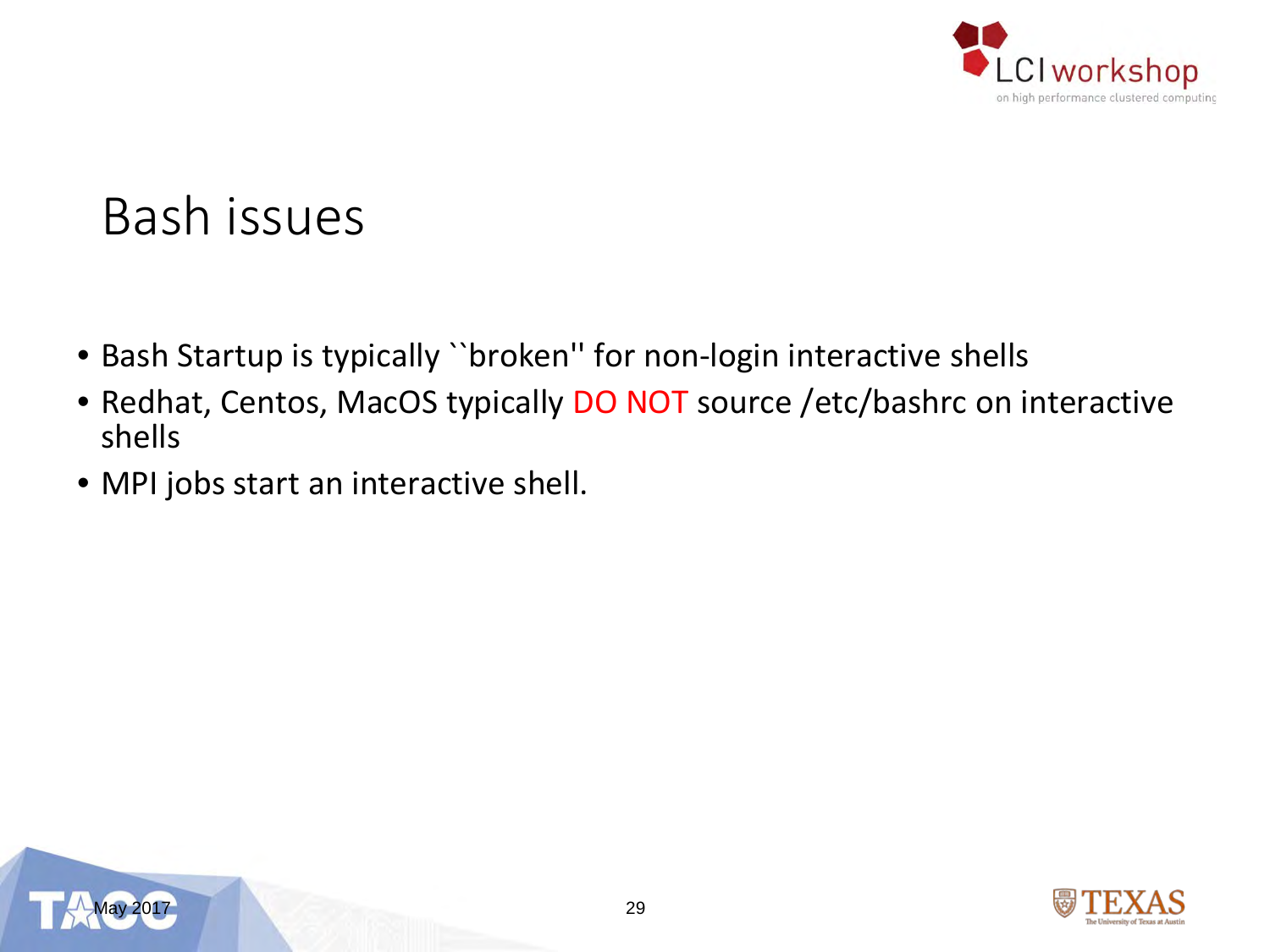

#### Bash issues

- Bash Startup is typically ``broken'' for non-login interactive shells
- Redhat, Centos, MacOS typically DO NOT source /etc/bashrc on interactive shells
- MPI jobs start an interactive shell.



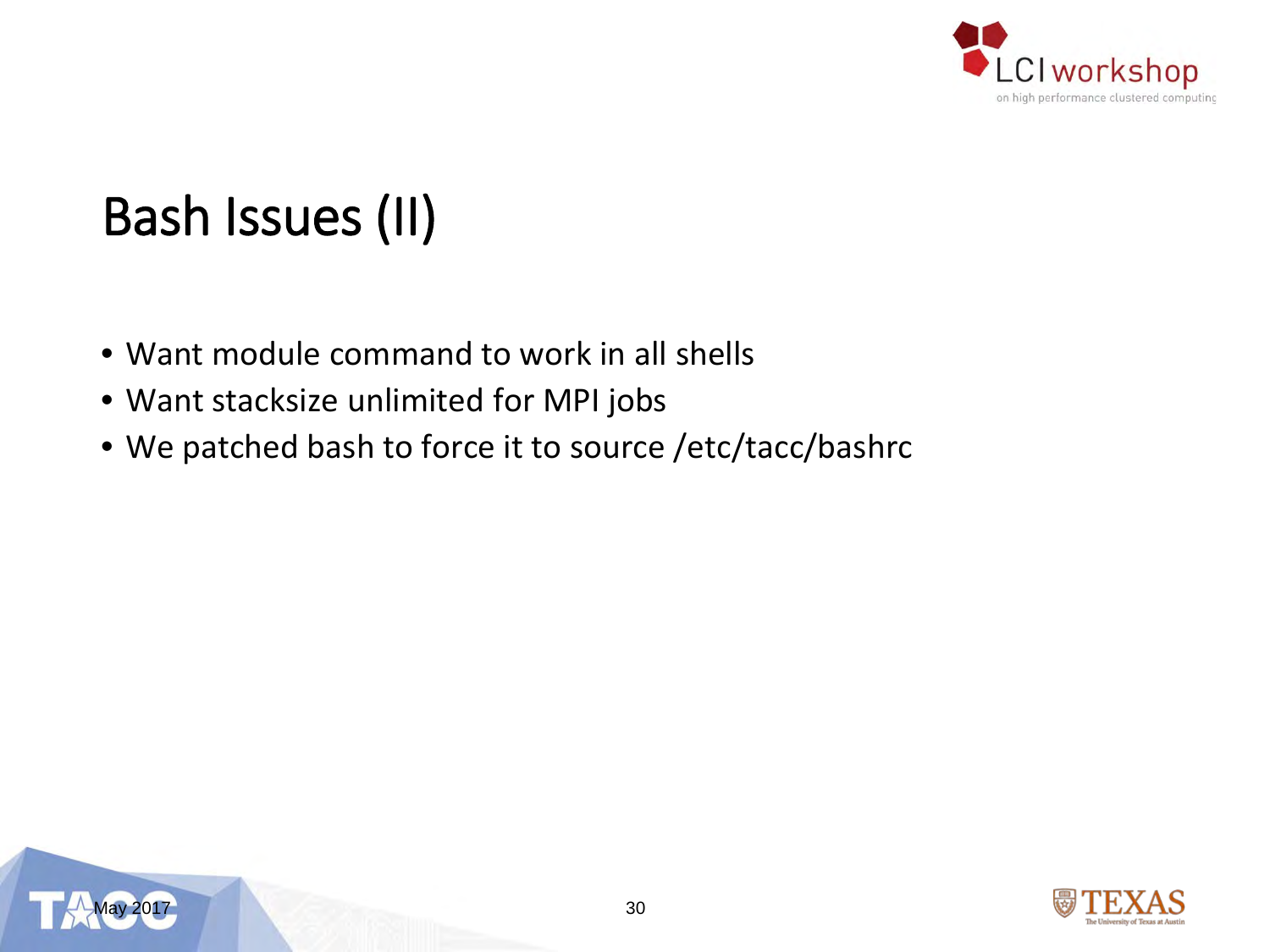

## Bash Issues (II)

- Want module command to work in all shells
- Want stacksize unlimited for MPI jobs
- We patched bash to force it to source /etc/tacc/bashrc



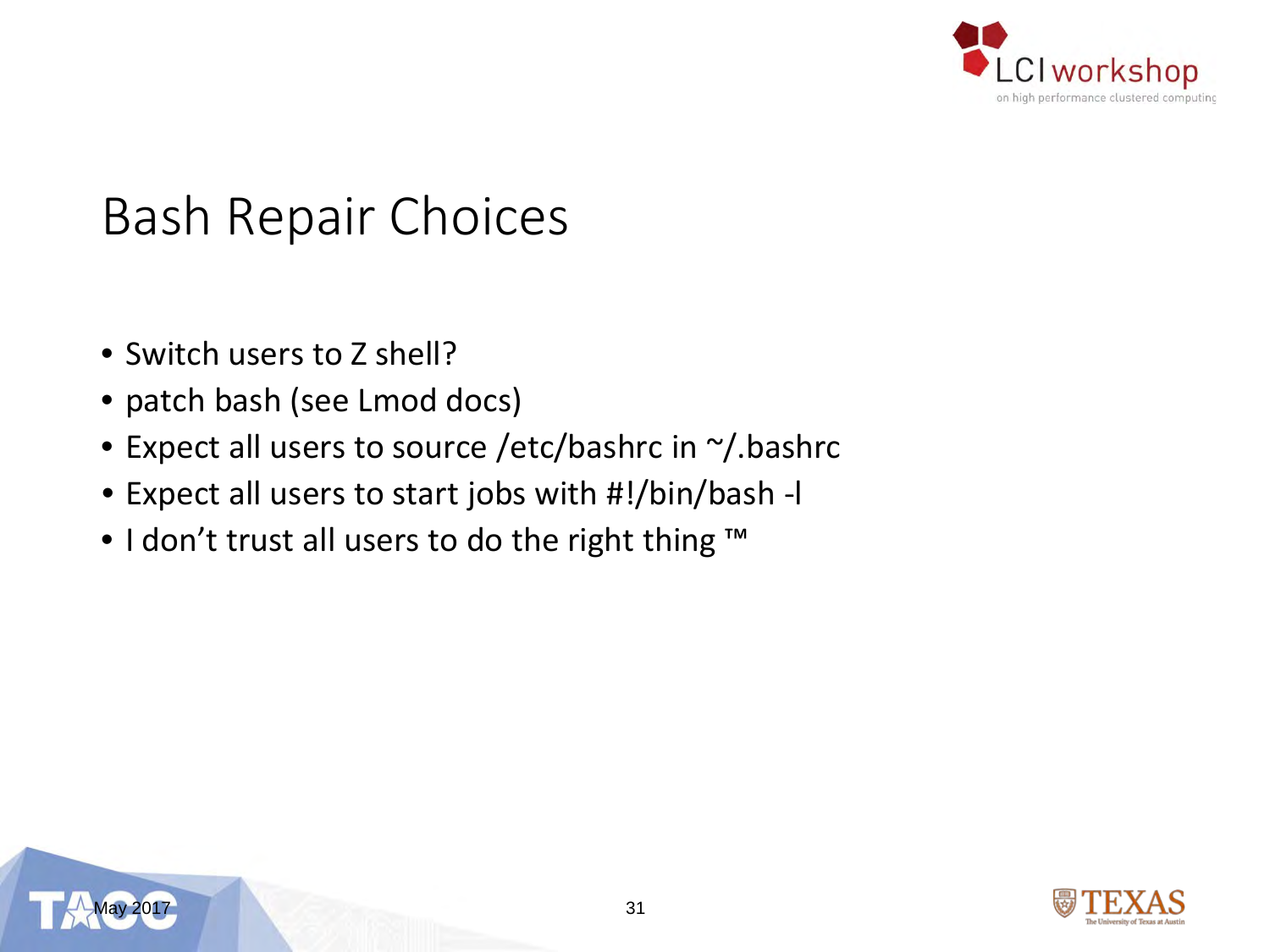

#### Bash Repair Choices

- Switch users to Z shell?
- patch bash (see Lmod docs)
- Expect all users to source /etc/bashrc in ~/.bashrc
- Expect all users to start jobs with #!/bin/bash -l
- I don't trust all users to do the right thing ™



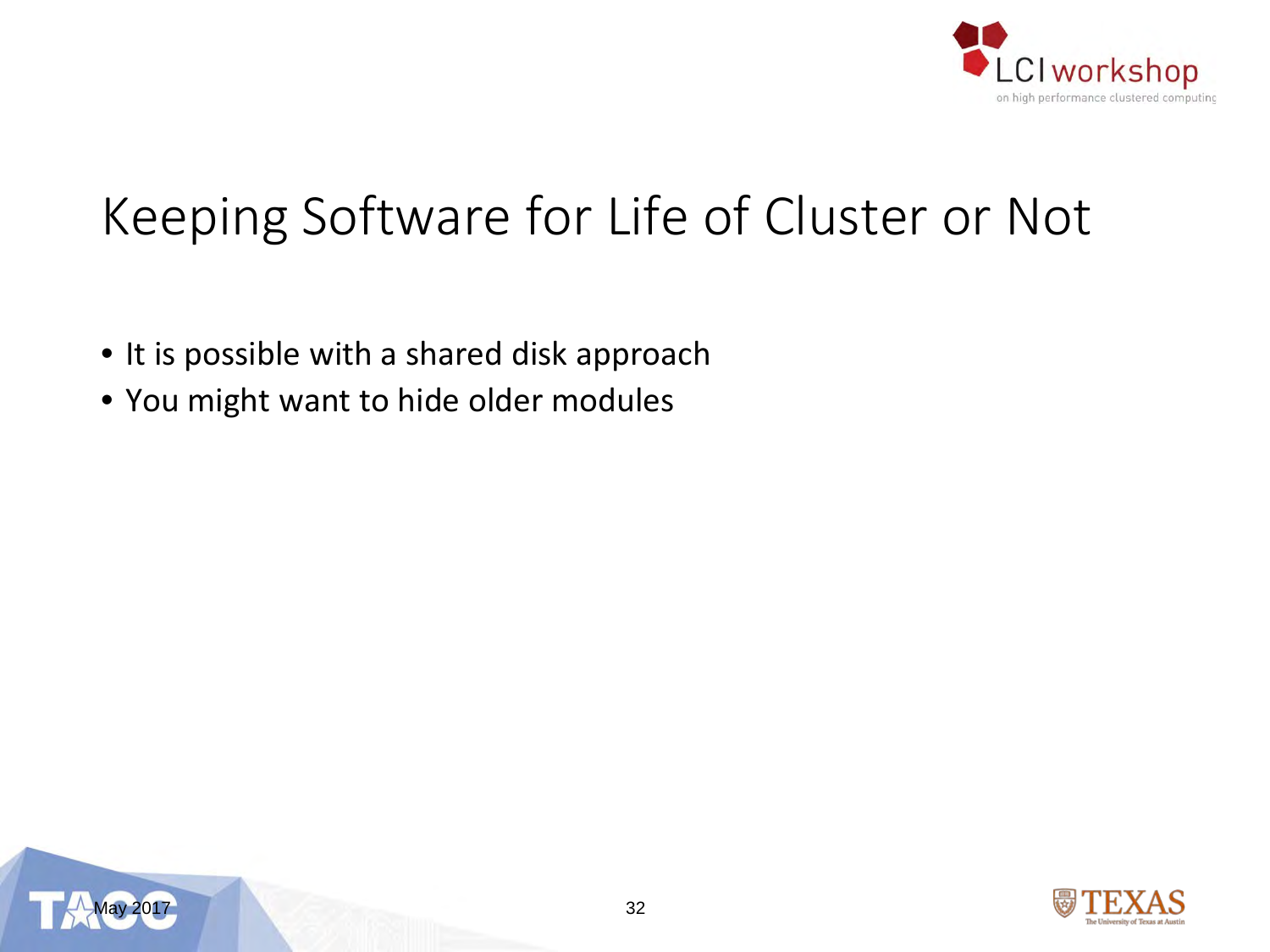

### Keeping Software for Life of Cluster or Not

- It is possible with a shared disk approach
- You might want to hide older modules



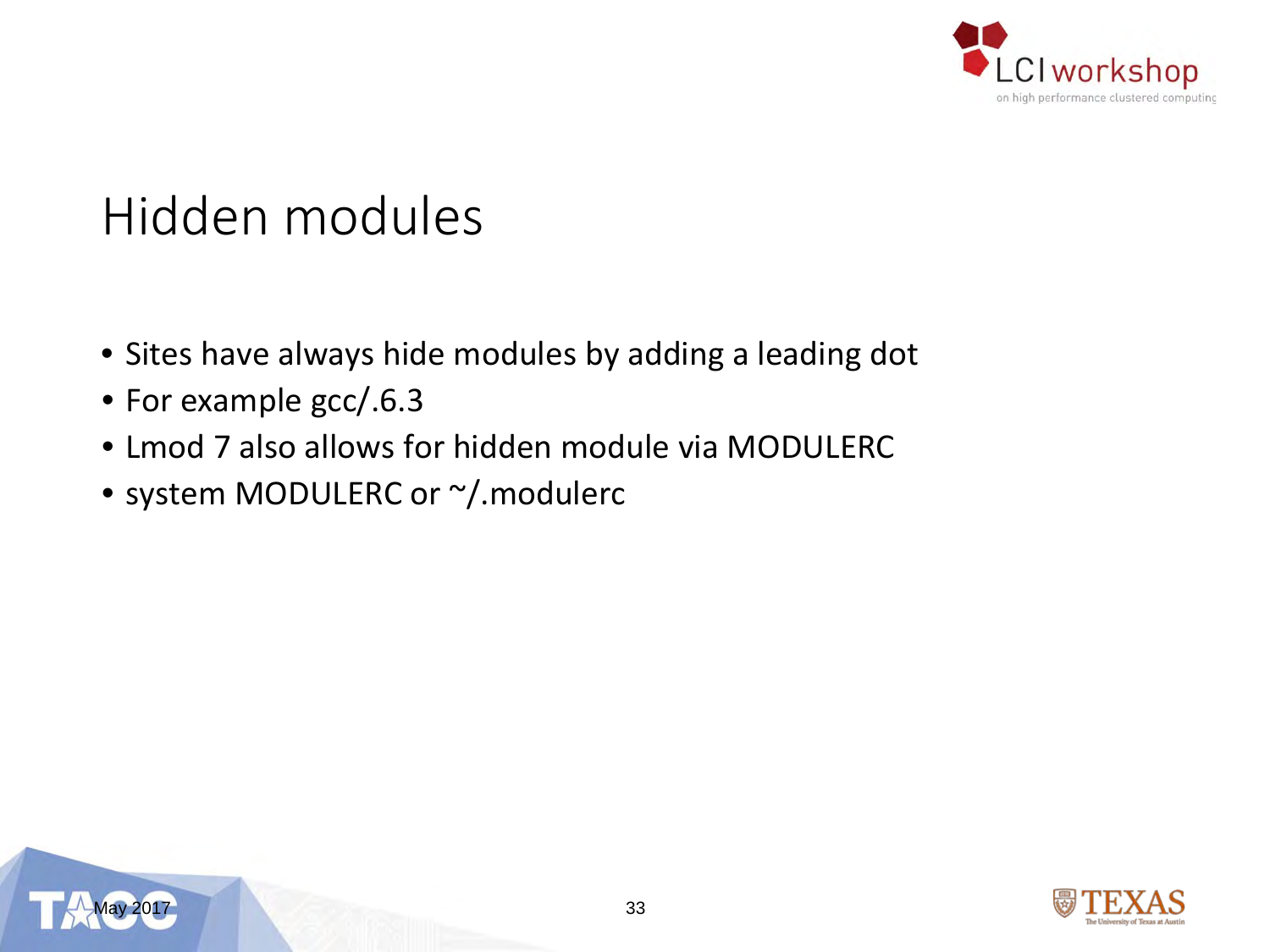

### Hidden modules

- Sites have always hide modules by adding a leading dot
- For example gcc/.6.3
- Lmod 7 also allows for hidden module via MODULERC
- system MODULERC or ~/.modulerc



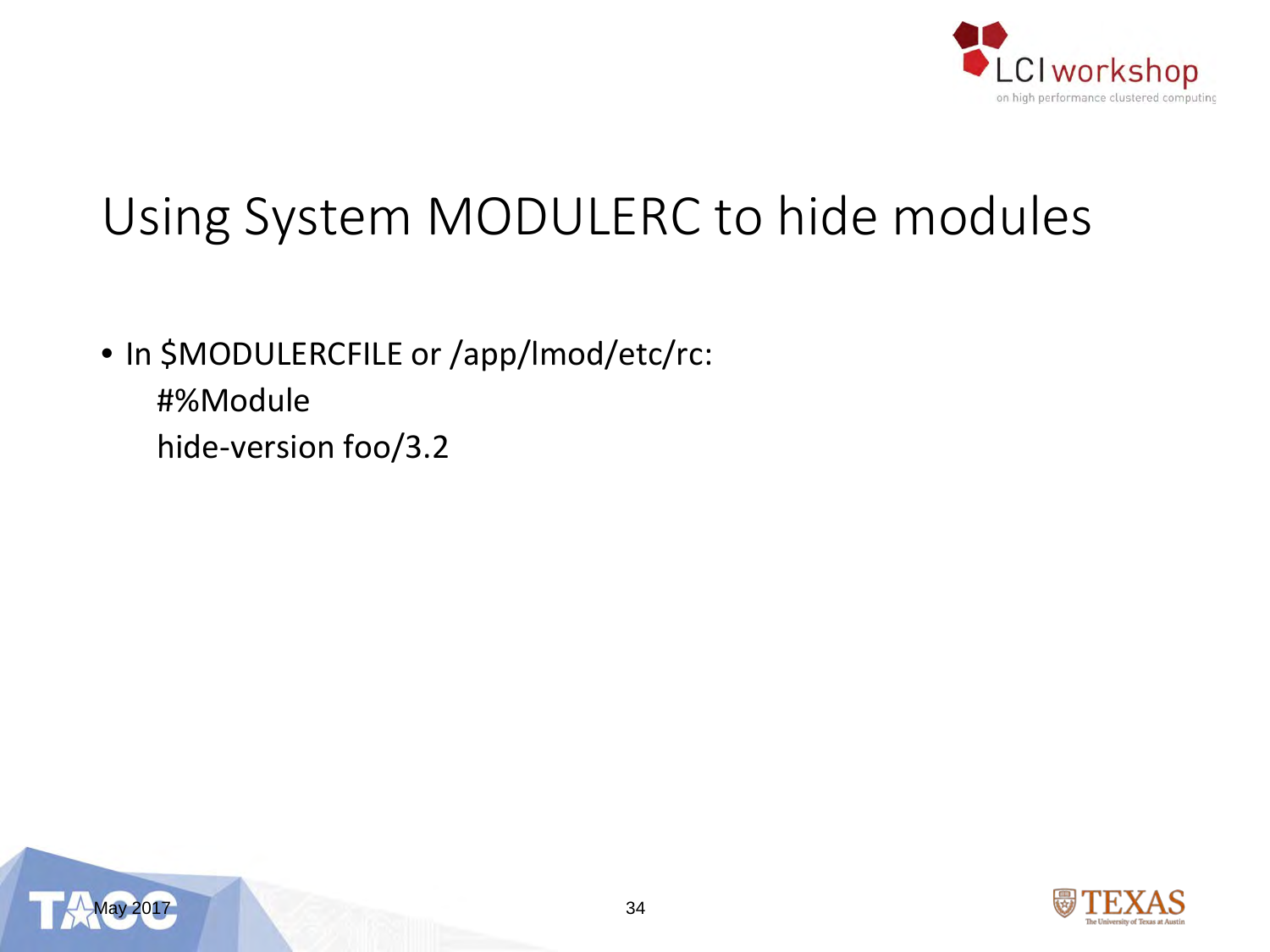

### Using System MODULERC to hide modules

- In \$MODULERCFILE or /app/lmod/etc/rc:
	- #%Module
	- hide-version foo/3.2



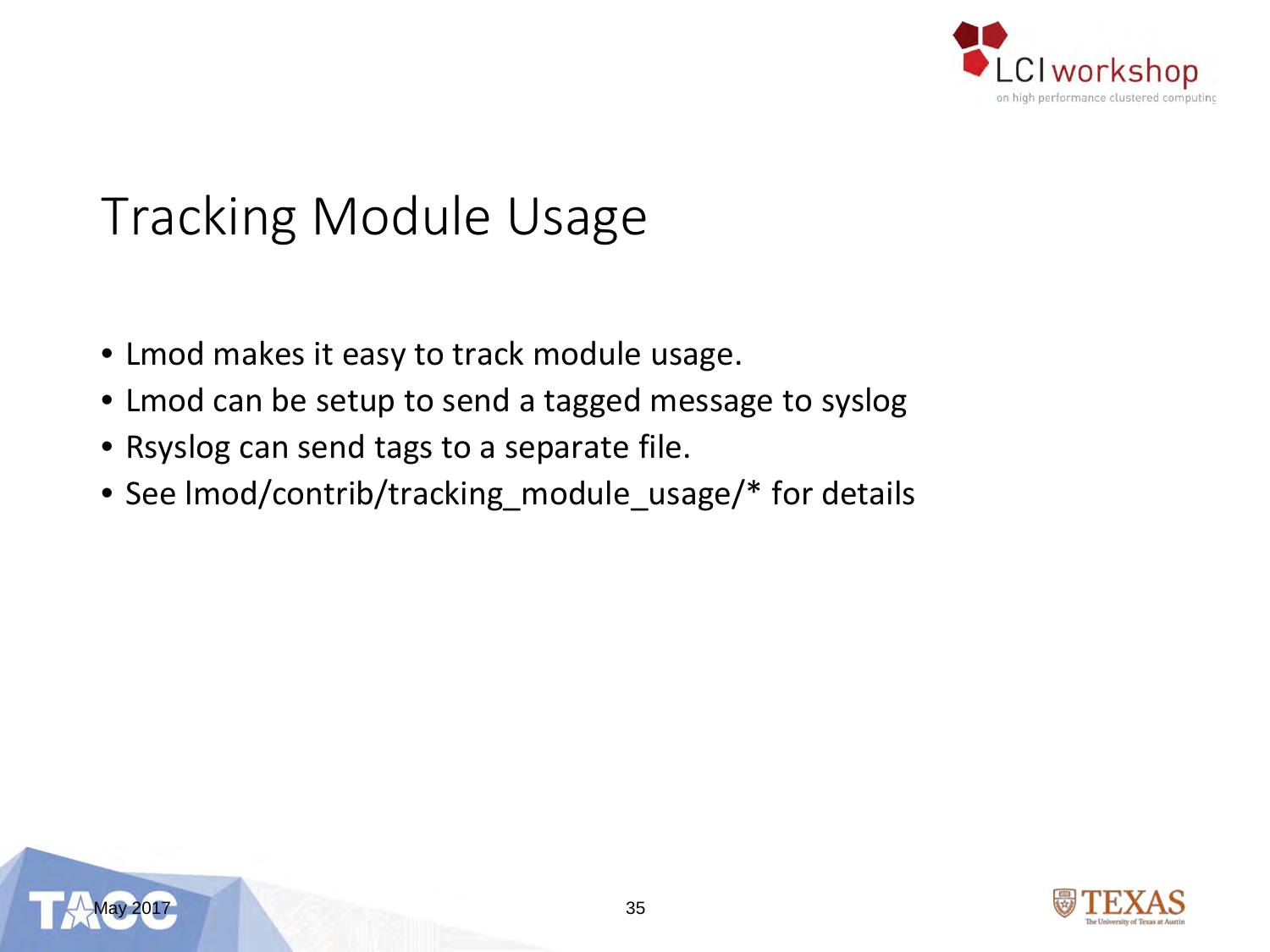

### Tracking Module Usage

- Lmod makes it easy to track module usage.
- Lmod can be setup to send a tagged message to syslog
- Rsyslog can send tags to a separate file.
- See lmod/contrib/tracking\_module\_usage/\* for details



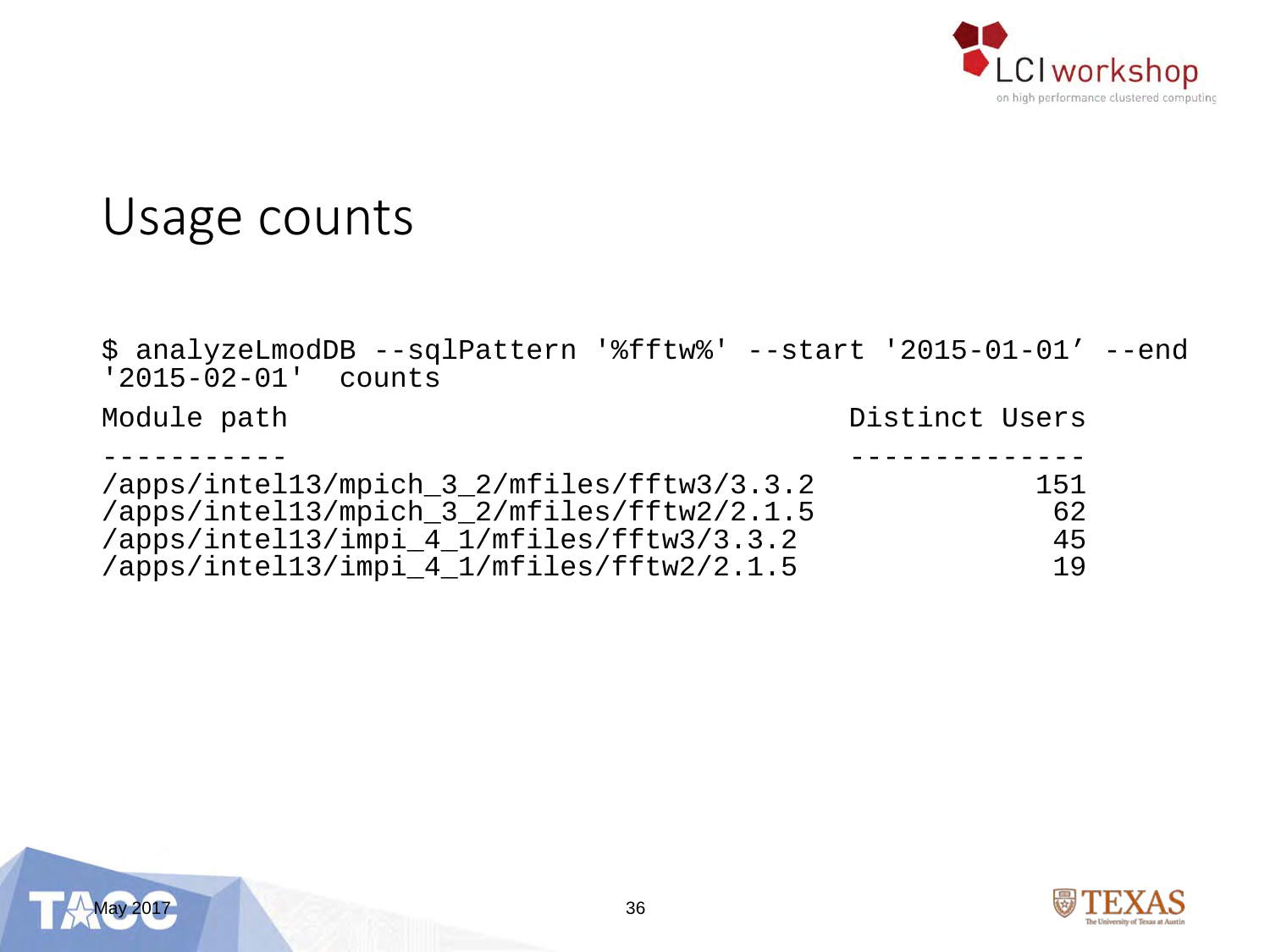

#### Usage counts

\$ analyzeLmodDB --sqlPattern '%fftw%' --start '2015-01-01' --end<br>'2015-02-01' counts

Module path  $\blacksquare$ 

| /apps/intel13/mpich_3_2/mfiles/fftw3/3.3.2 | 151 |
|--------------------------------------------|-----|
| /apps/intel13/mpich_3_2/mfiles/fftw2/2.1.5 | 62  |
| /apps/intel13/impi_4_1/mfiles/fftw3/3.3.2  | 45  |
| /apps/intel13/impi_4_1/mfiles/fftw2/2.1.5  | 19  |



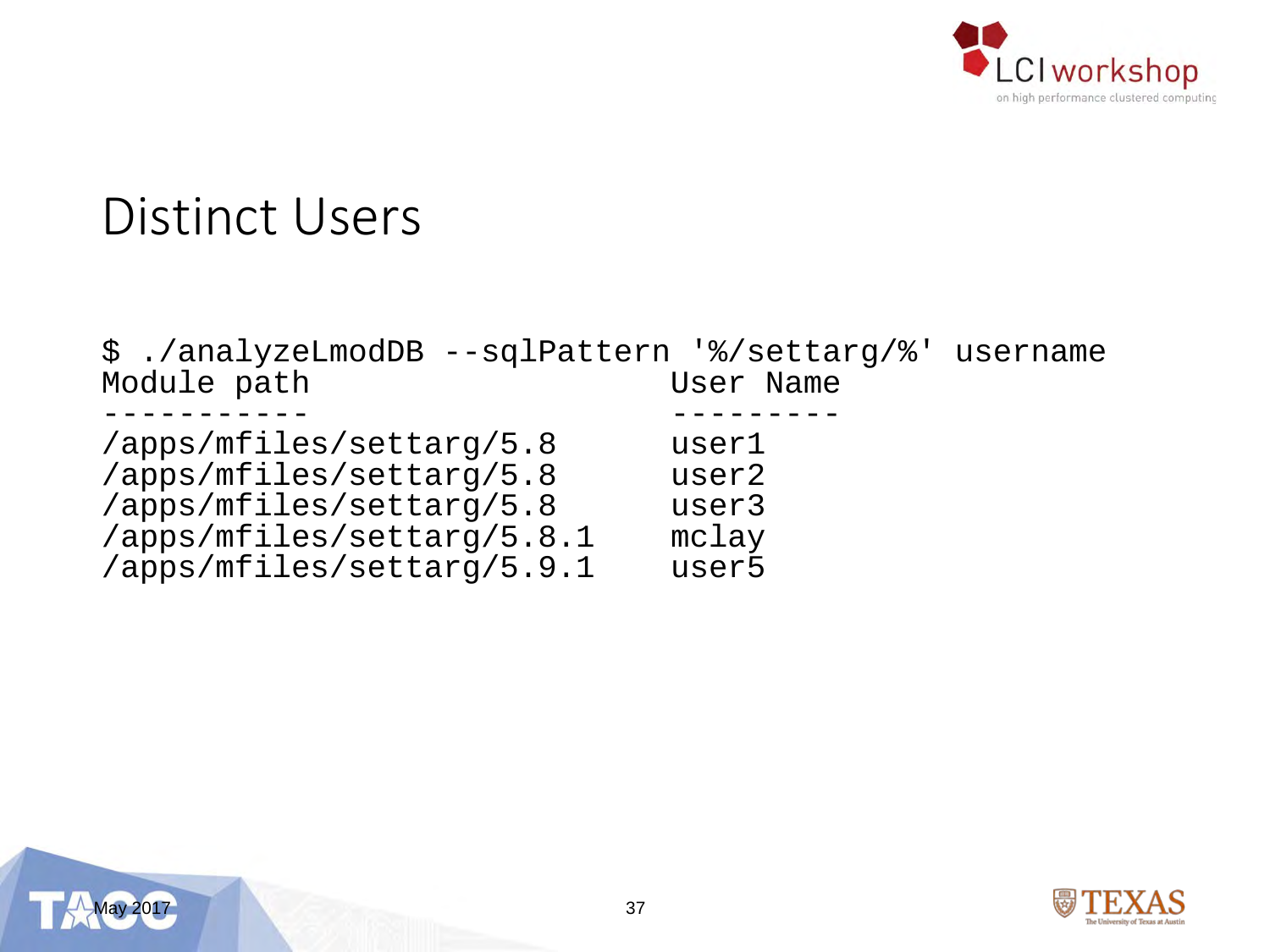

#### Distinct Users

| Module path                | User Name |
|----------------------------|-----------|
|                            |           |
|                            |           |
| /apps/mfiles/settarg/5.8   | userl     |
| /apps/mfiles/settarg/5.8   | user2     |
| /apps/mfiles/settarg/5.8   | user3     |
| /apps/mfiles/settarg/5.8.1 | mclay     |
| /apps/mfiles/settarg/5.9.1 | user5     |



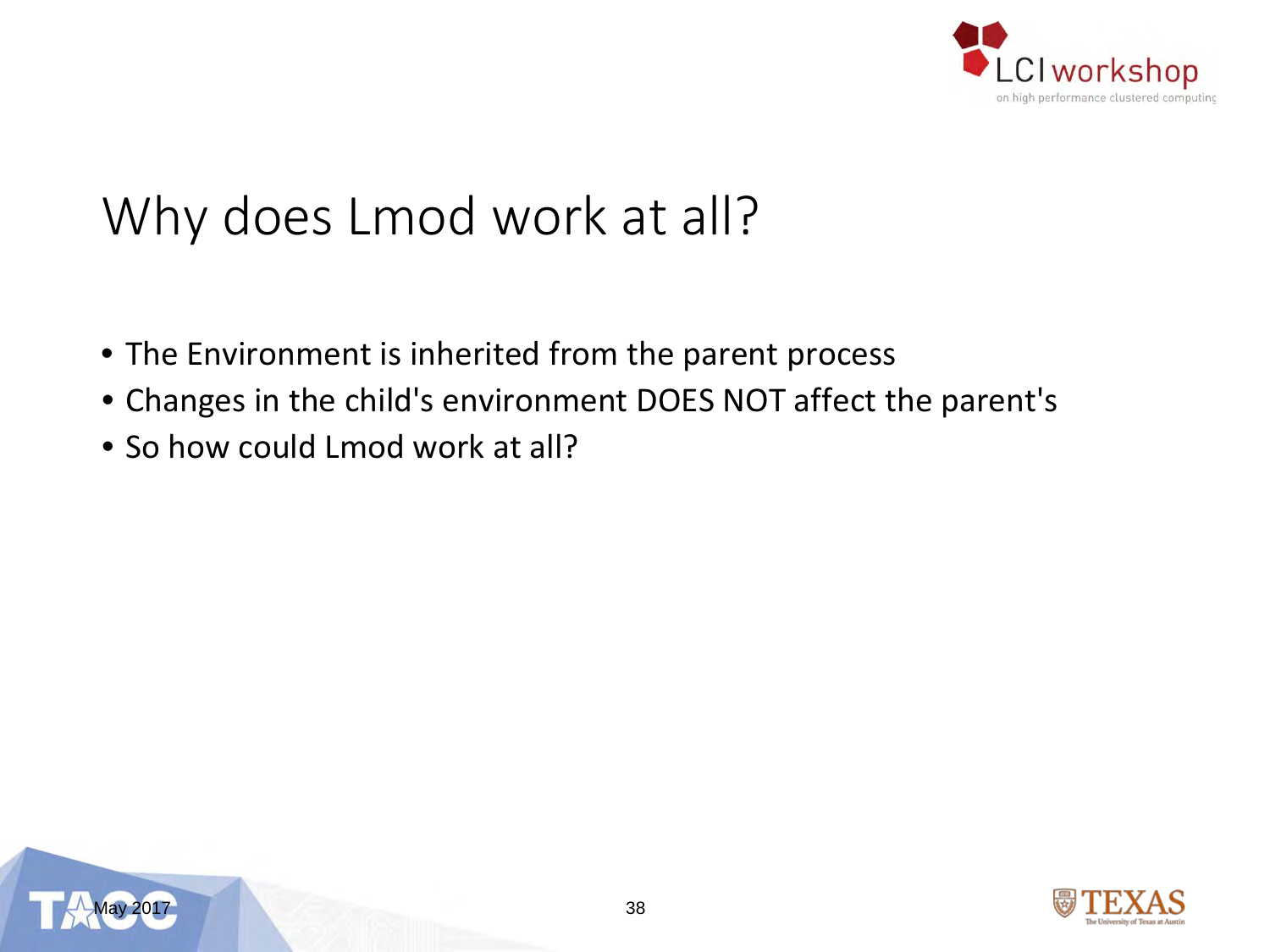

### Why does Lmod work at all?

- The Environment is inherited from the parent process
- Changes in the child's environment DOES NOT affect the parent's
- So how could Lmod work at all?



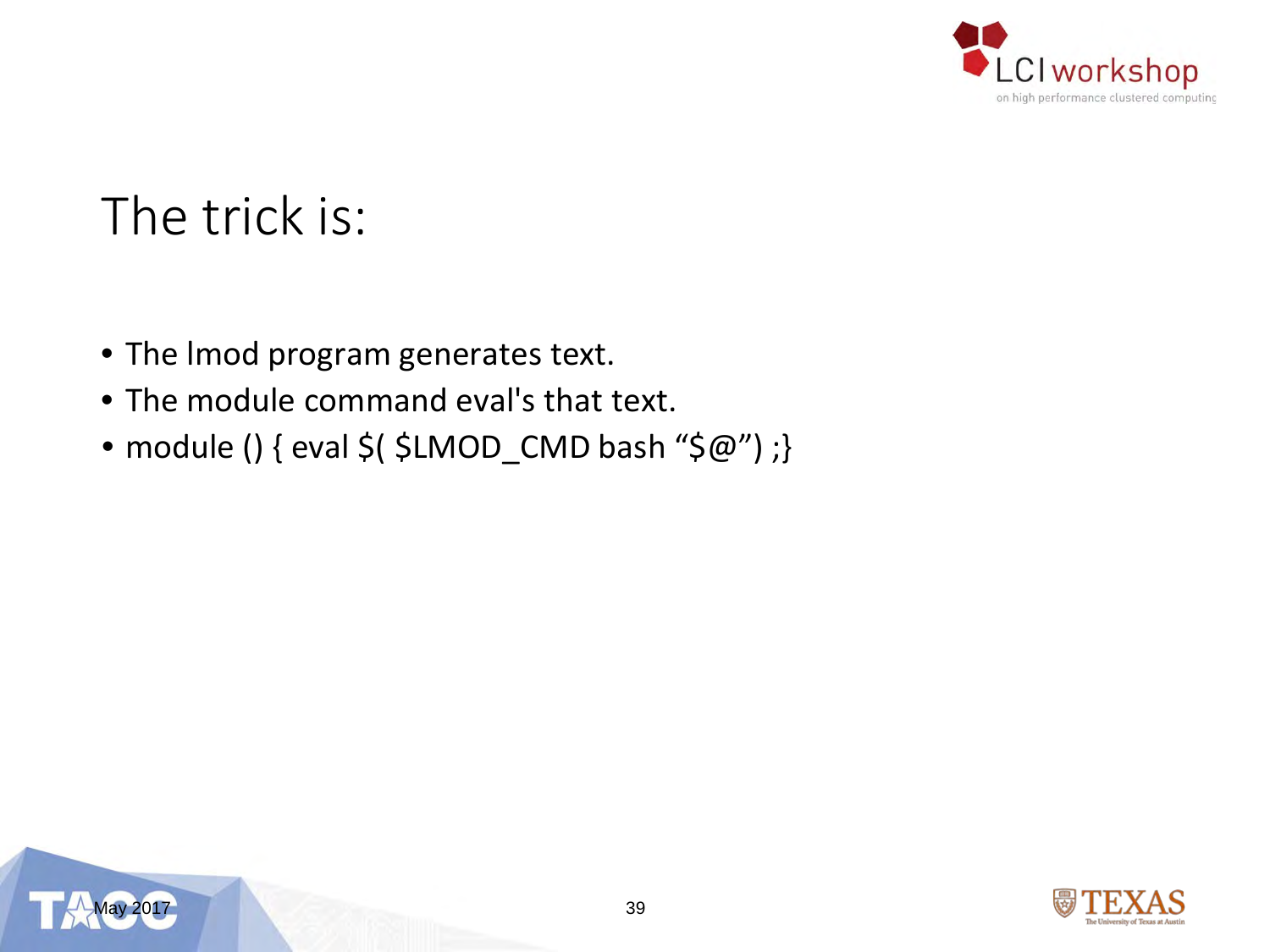

### The trick is:

- The lmod program generates text.
- The module command eval's that text.
- module () { eval \$(  $$LMOD_CMD$  bash " $$@"$ ) ;}



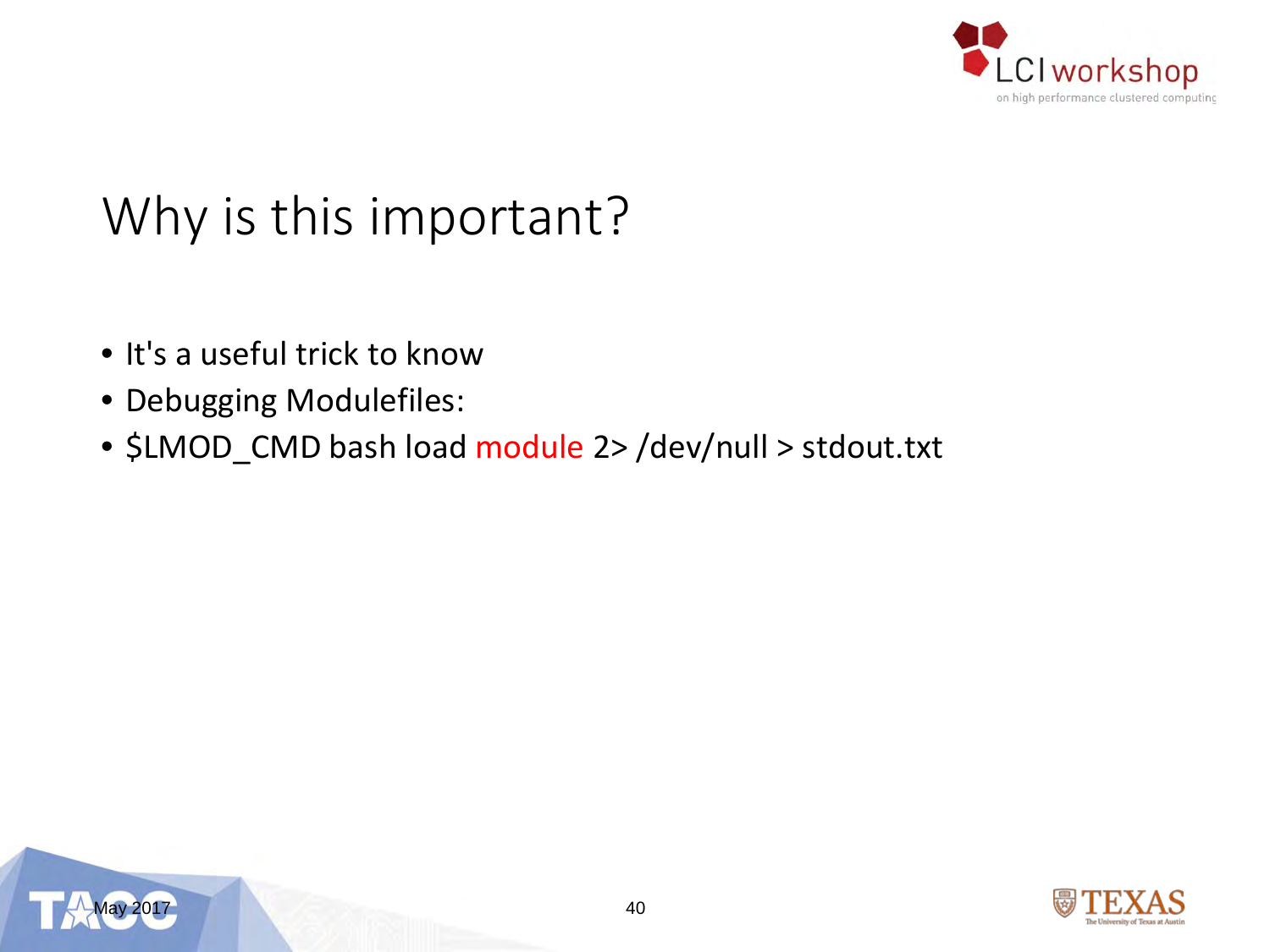

### Why is this important?

- It's a useful trick to know
- Debugging Modulefiles:
- \$LMOD\_CMD bash load module 2> /dev/null > stdout.txt



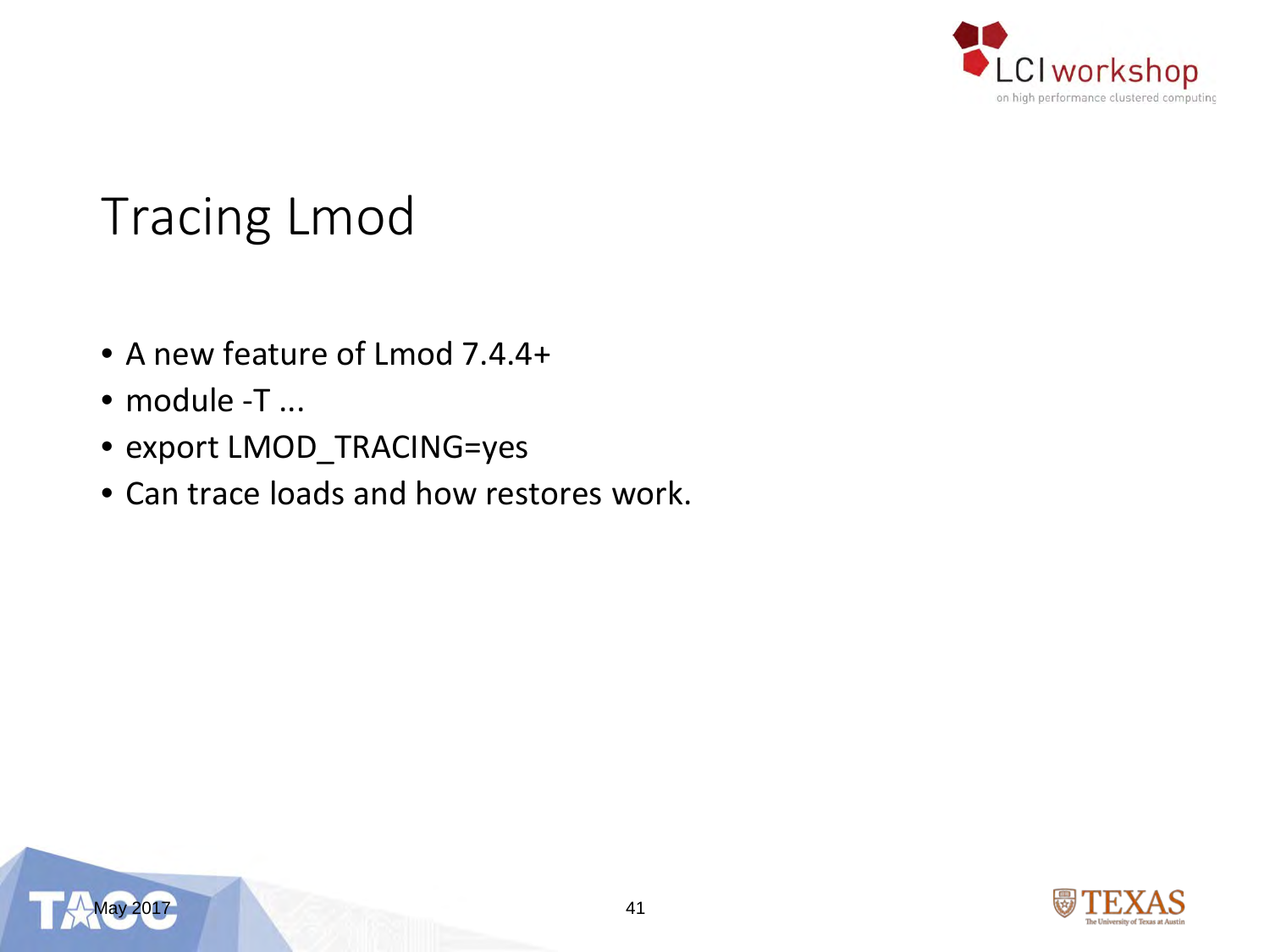

### Tracing Lmod

- A new feature of Lmod 7.4.4+
- module -T ...
- export LMOD\_TRACING=yes
- Can trace loads and how restores work.



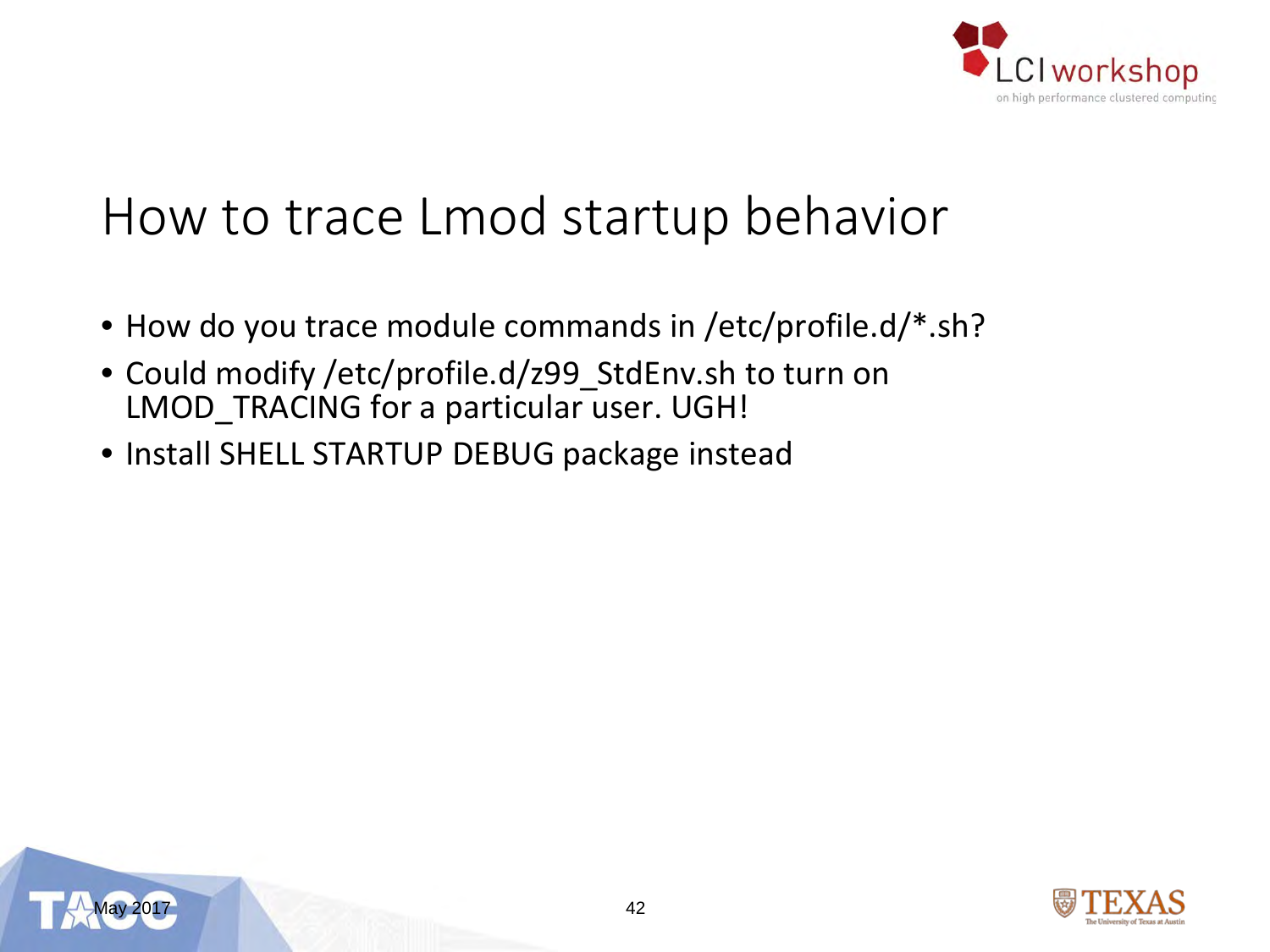

#### How to trace Lmod startup behavior

- How do you trace module commands in /etc/profile.d/\*.sh?
- Could modify /etc/profile.d/z99\_StdEnv.sh to turn on LMOD\_TRACING for a particular user. UGH!
- Install SHELL STARTUP DEBUG package instead



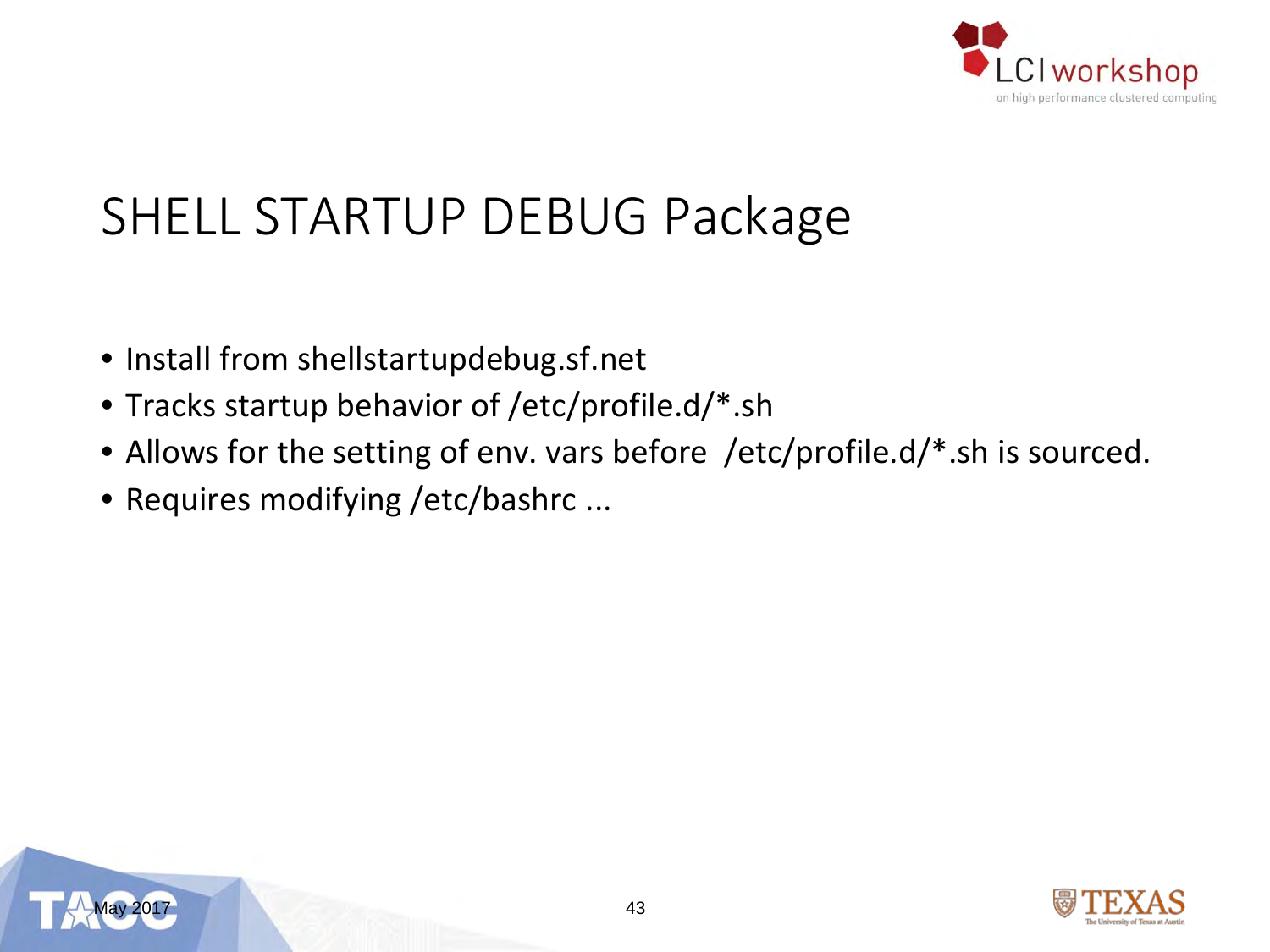

### SHELL STARTUP DEBUG Package

- Install from shellstartupdebug.sf.net
- Tracks startup behavior of /etc/profile.d/\*.sh
- Allows for the setting of env. vars before /etc/profile.d/\*.sh is sourced.
- Requires modifying /etc/bashrc ...



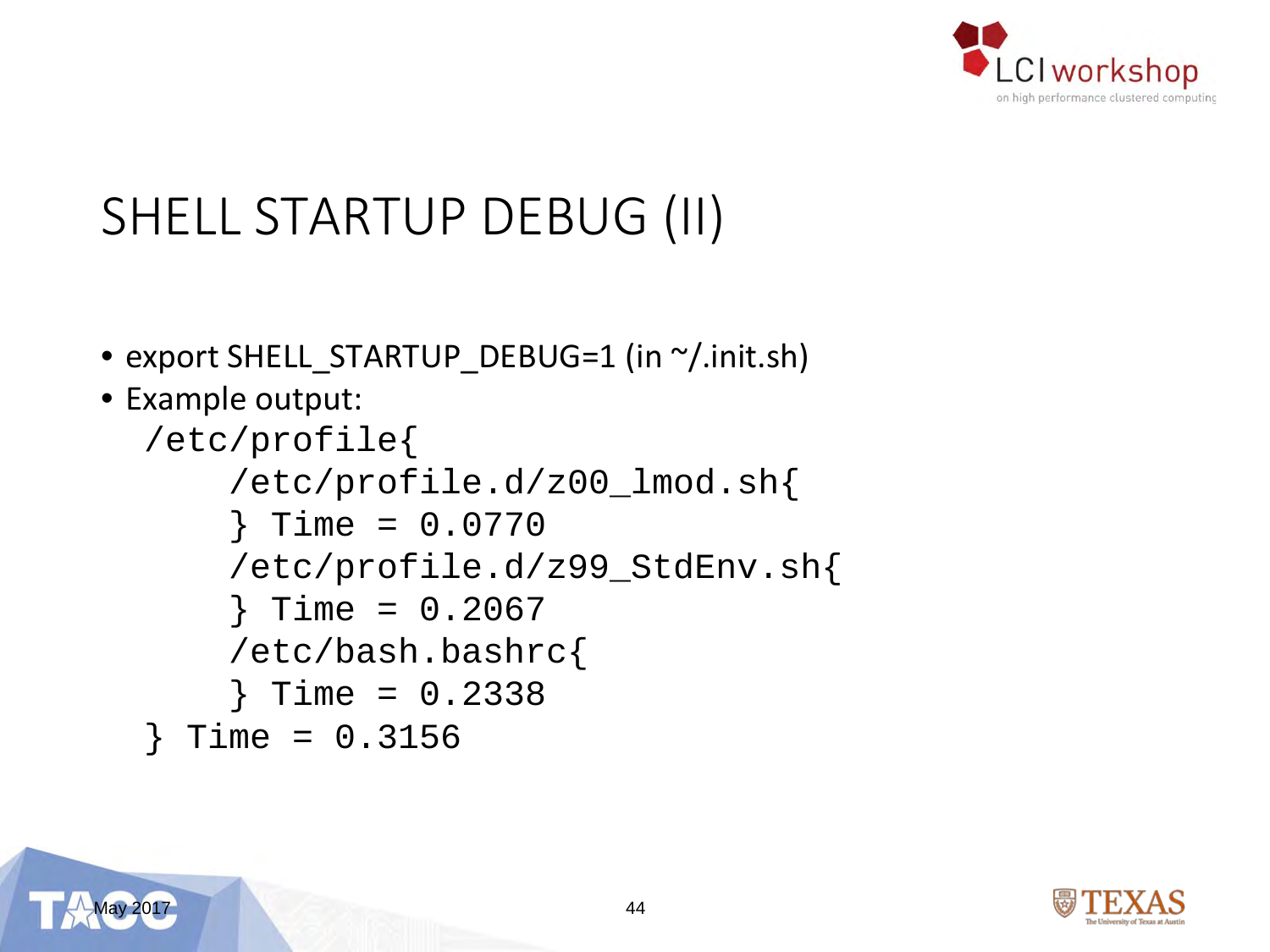

### SHELL STARTUP DEBUG (II)

- export SHELL\_STARTUP\_DEBUG=1 (in ~/.init.sh)
- Example output:

```
/etc/profile{
    /etc/profile.d/z00_lmod.sh{
    } Time = 0.0770
    /etc/profile.d/z99_StdEnv.sh{
    } Time = 0.2067
    /etc/bash.bashrc{
    } Time = 0.2338
 } Time = 0.3156
```
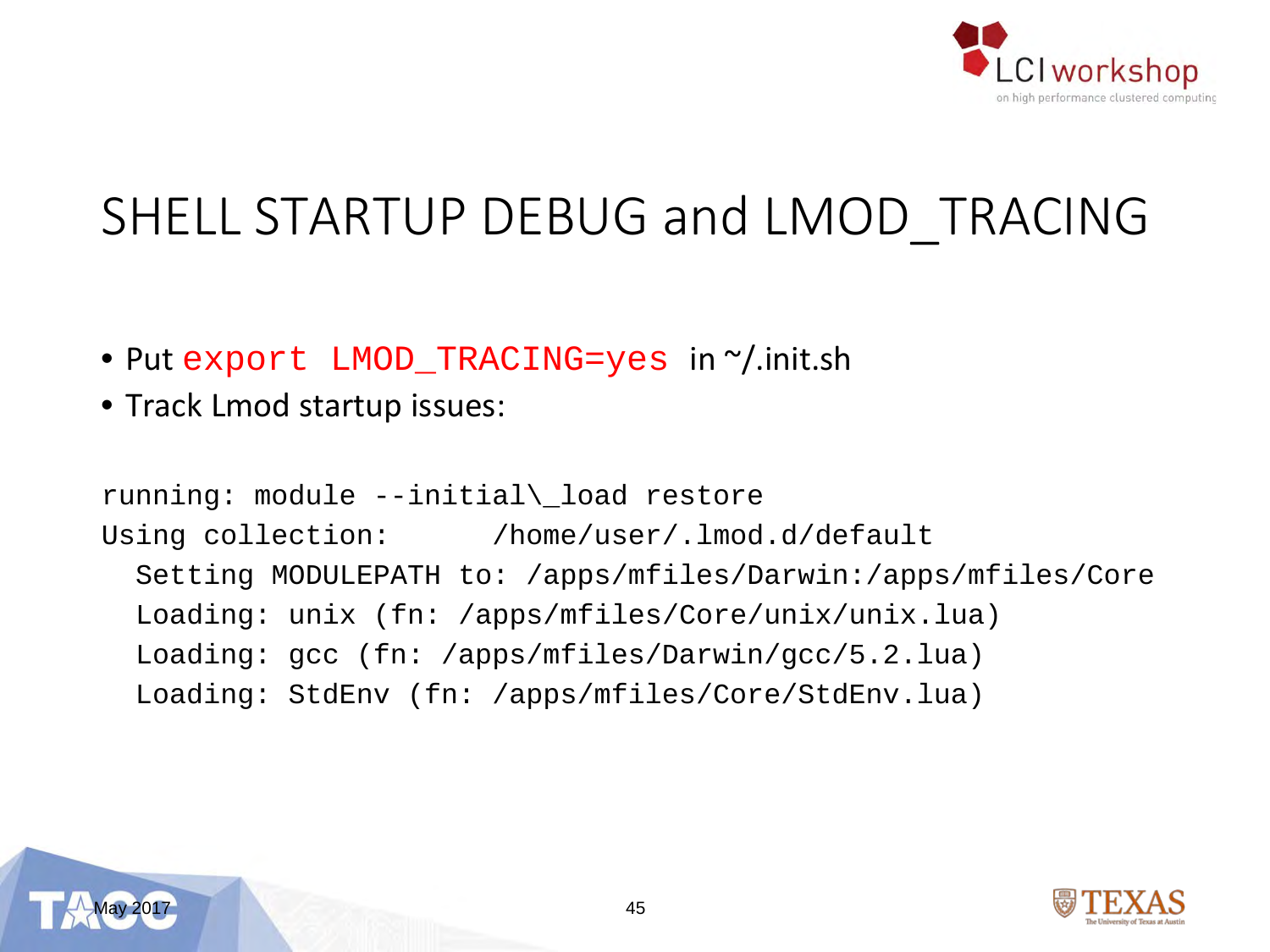

### SHELL STARTUP DEBUG and LMOD TRACING

- Put export LMOD TRACING=yes in ~/.init.sh
- Track Lmod startup issues:

```
running: module --initial\_load restore
Using collection: /home/user/.lmod.d/default
  Setting MODULEPATH to: /apps/mfiles/Darwin:/apps/mfiles/Core
  Loading: unix (fn: /apps/mfiles/Core/unix/unix.lua)
 Loading: gcc (fn: /apps/mfiles/Darwin/gcc/5.2.lua)
  Loading: StdEnv (fn: /apps/mfiles/Core/StdEnv.lua)
```
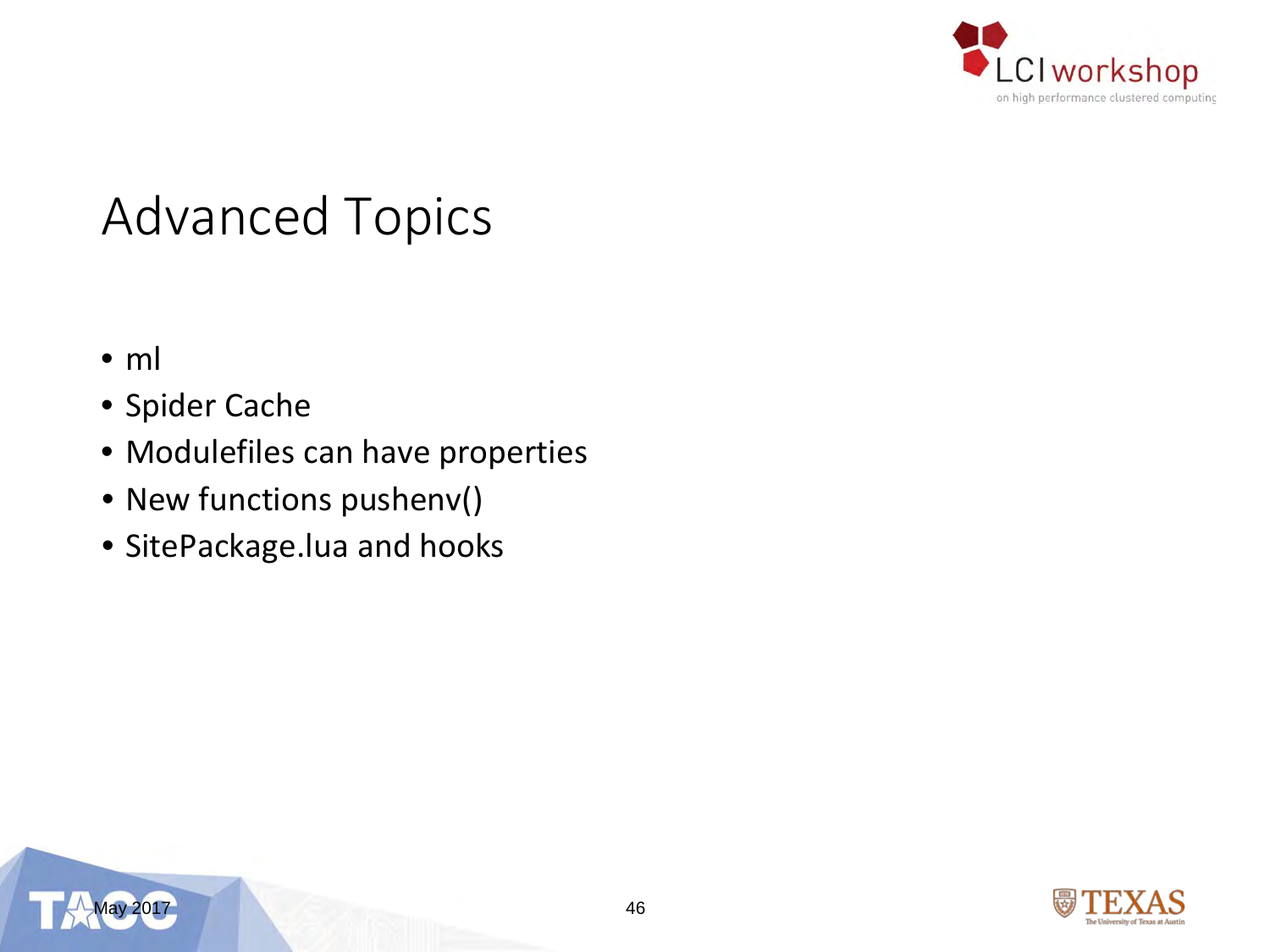

#### Advanced Topics

- ml
- Spider Cache
- Modulefiles can have properties
- New functions pushenv()
- SitePackage.lua and hooks



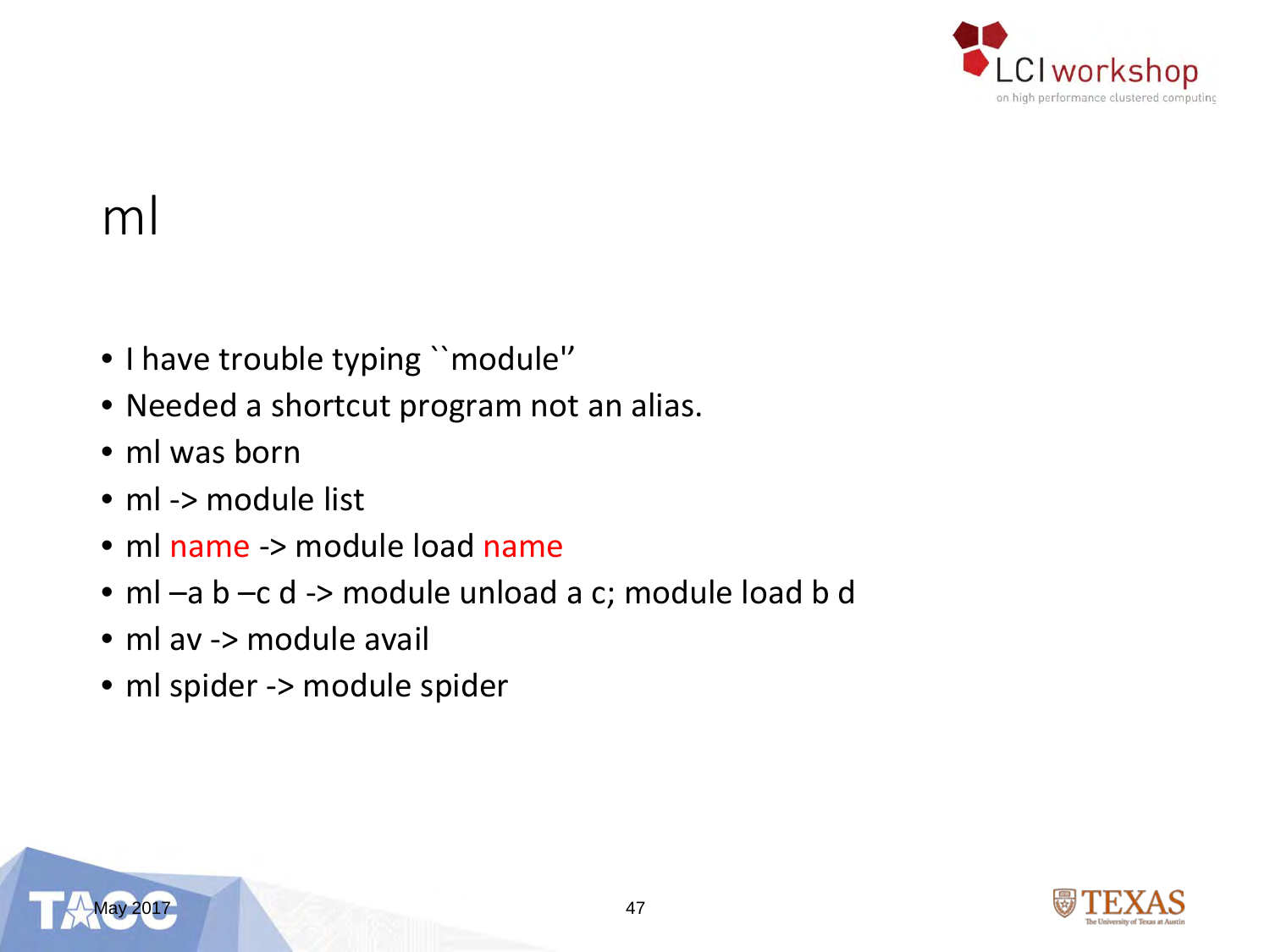

#### ml

- I have trouble typing ``module''
- Needed a shortcut program not an alias.
- ml was born
- ml -> module list
- ml name -> module load name
- ml –a b –c d -> module unload a c; module load b d
- ml av -> module avail
- ml spider -> module spider

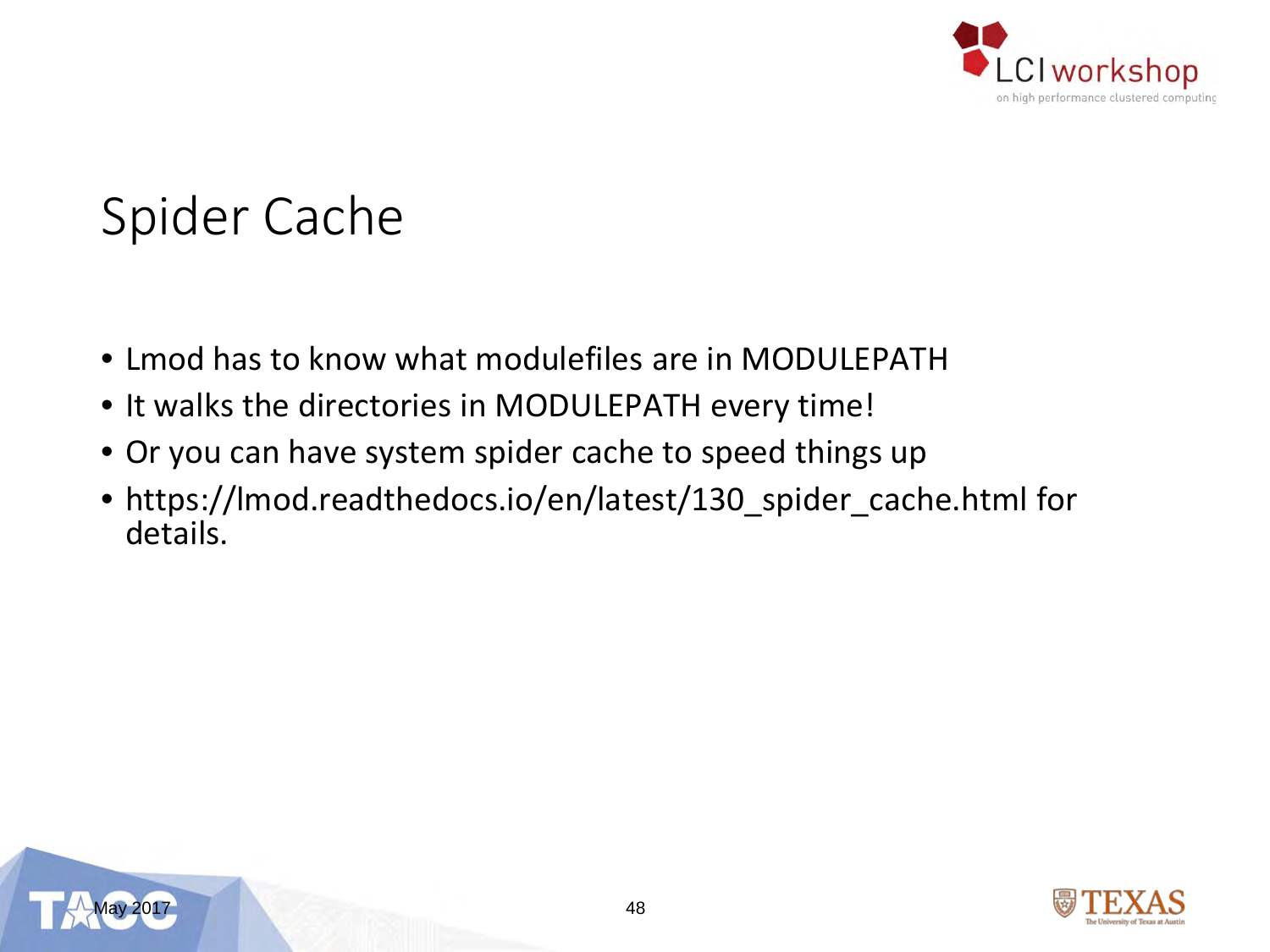

### Spider Cache

- Lmod has to know what modulefiles are in MODULEPATH
- It walks the directories in MODULEPATH every time!
- Or you can have system spider cache to speed things up
- https://lmod.readthedocs.io/en/latest/130\_spider\_cache.html for details.



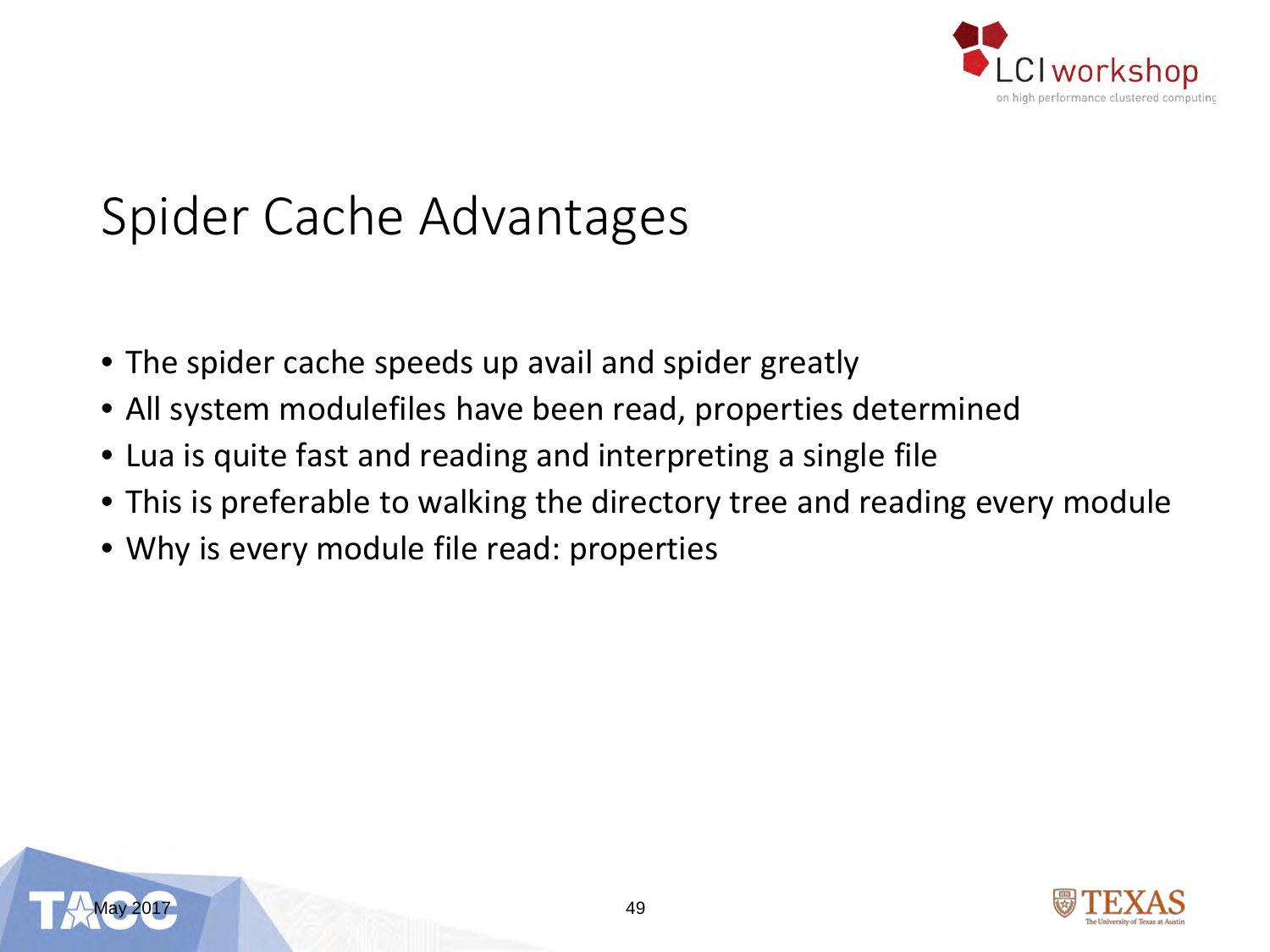

### Spider Cache Advantages

- The spider cache speeds up avail and spider greatly
- All system modulefiles have been read, properties determined
- Lua is quite fast and reading and interpreting a single file
- This is preferable to walking the directory tree and reading every module
- Why is every module file read: properties



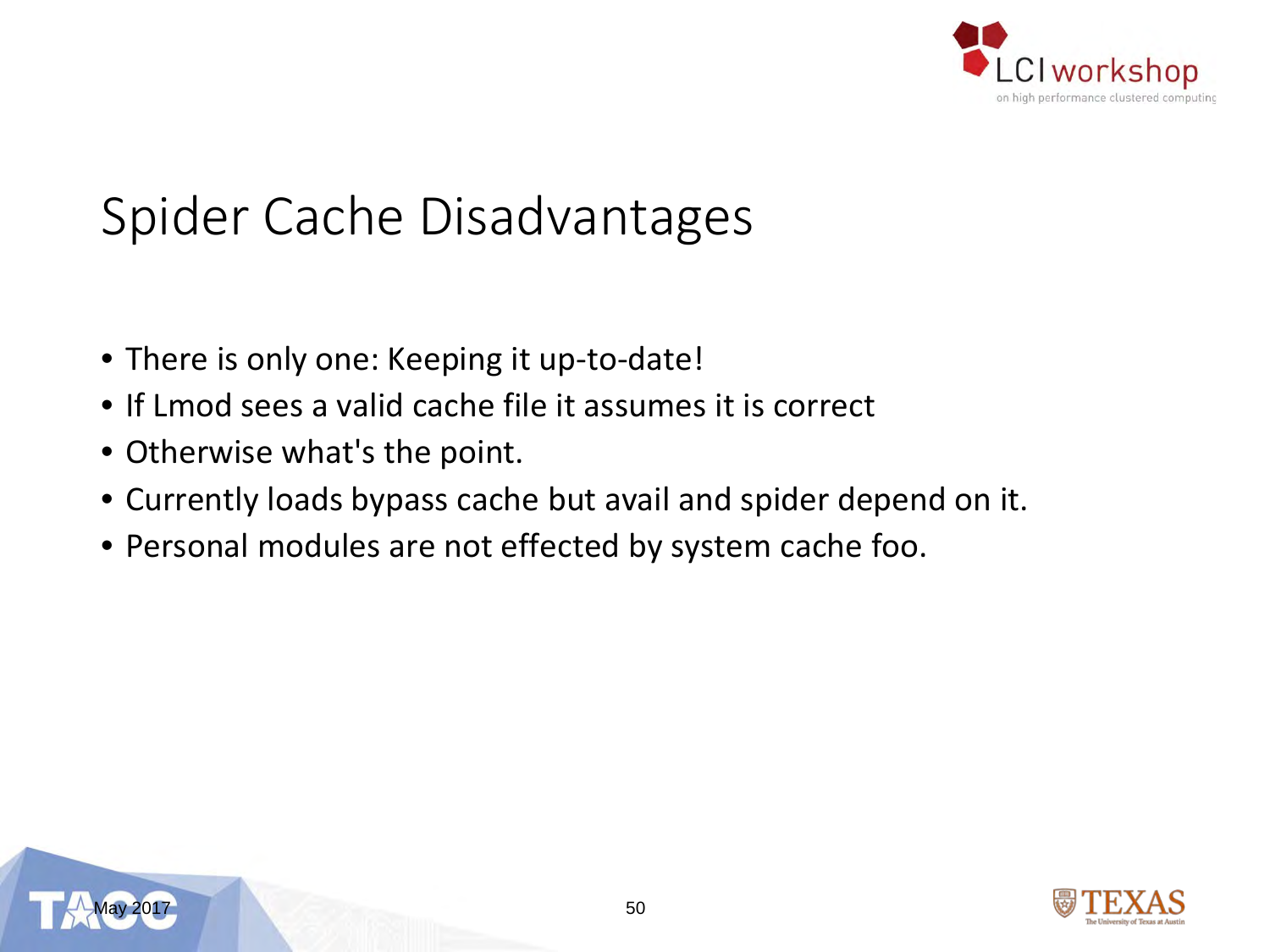

### Spider Cache Disadvantages

- There is only one: Keeping it up-to-date!
- If Lmod sees a valid cache file it assumes it is correct
- Otherwise what's the point.
- Currently loads bypass cache but avail and spider depend on it.
- Personal modules are not effected by system cache foo.



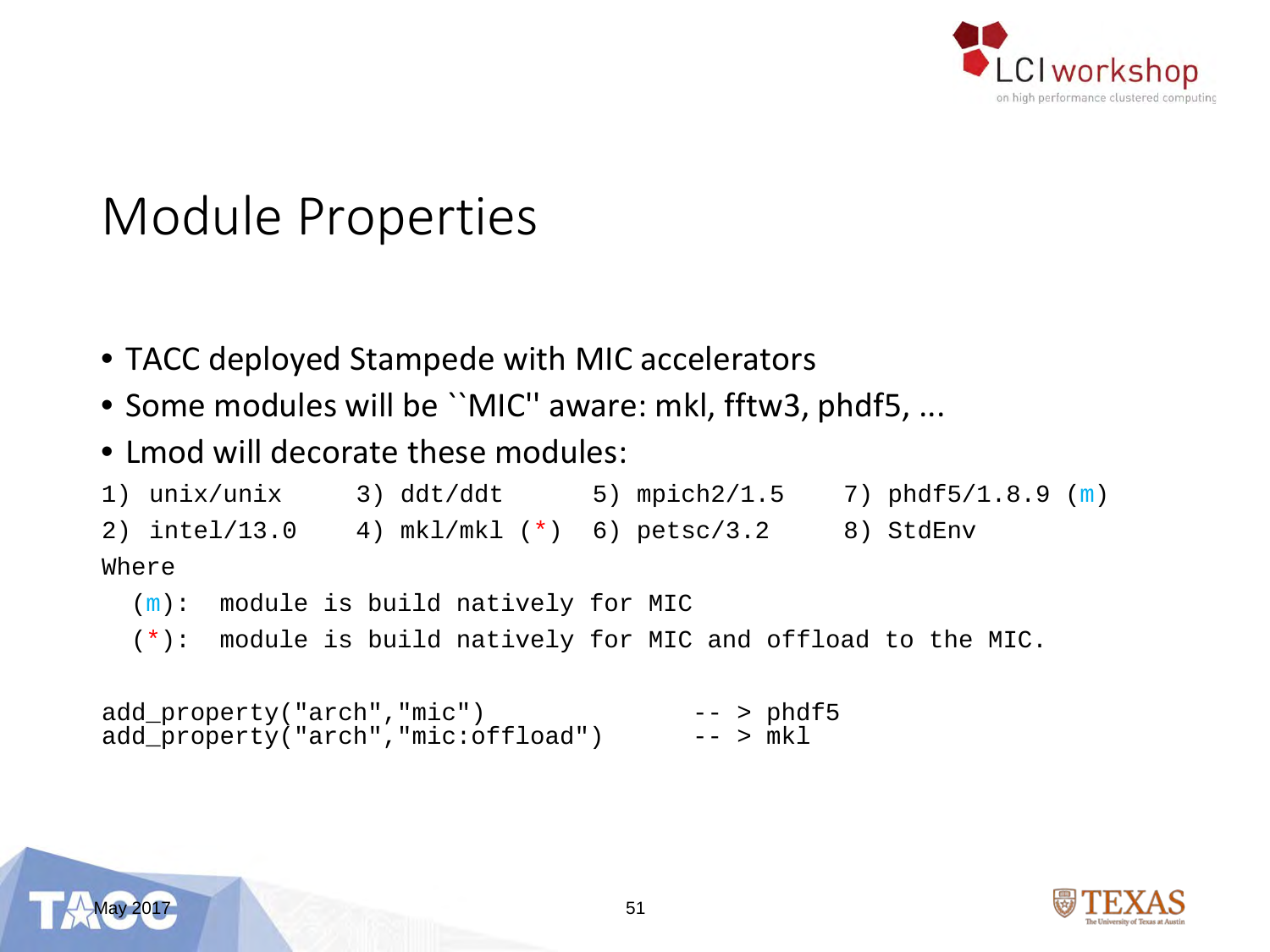

#### Module Properties

- TACC deployed Stampede with MIC accelerators
- Some modules will be ``MIC'' aware: mkl, fftw3, phdf5, ...
- Lmod will decorate these modules:

```
1) unix/unix 3) ddt/ddt 5) mpich2/1.5 7) phdf5/1.8.9 (m)
2) intel/13.0 4) mkl/mkl (*) 6) petsc/3.2 8) StdEnv
Where
 (m): module is build natively for MIC
 (*): module is build natively for MIC and offload to the MIC.
```

```
add_property("arch","mic") -- > phdf5 
add property("arch","mic:offload")
```
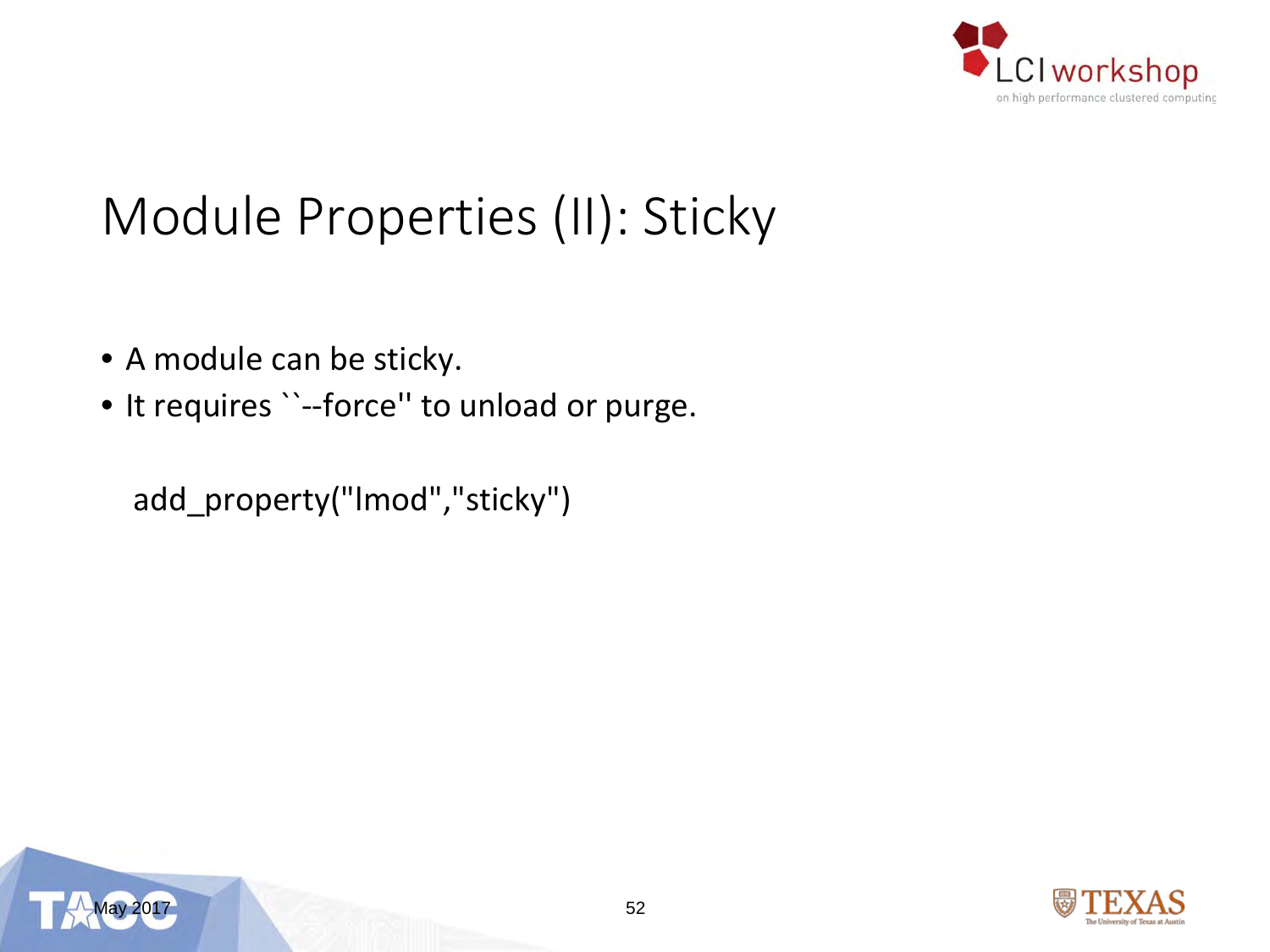

### Module Properties (II): Sticky

- A module can be sticky.
- It requires ``--force'' to unload or purge.

add\_property("lmod","sticky")



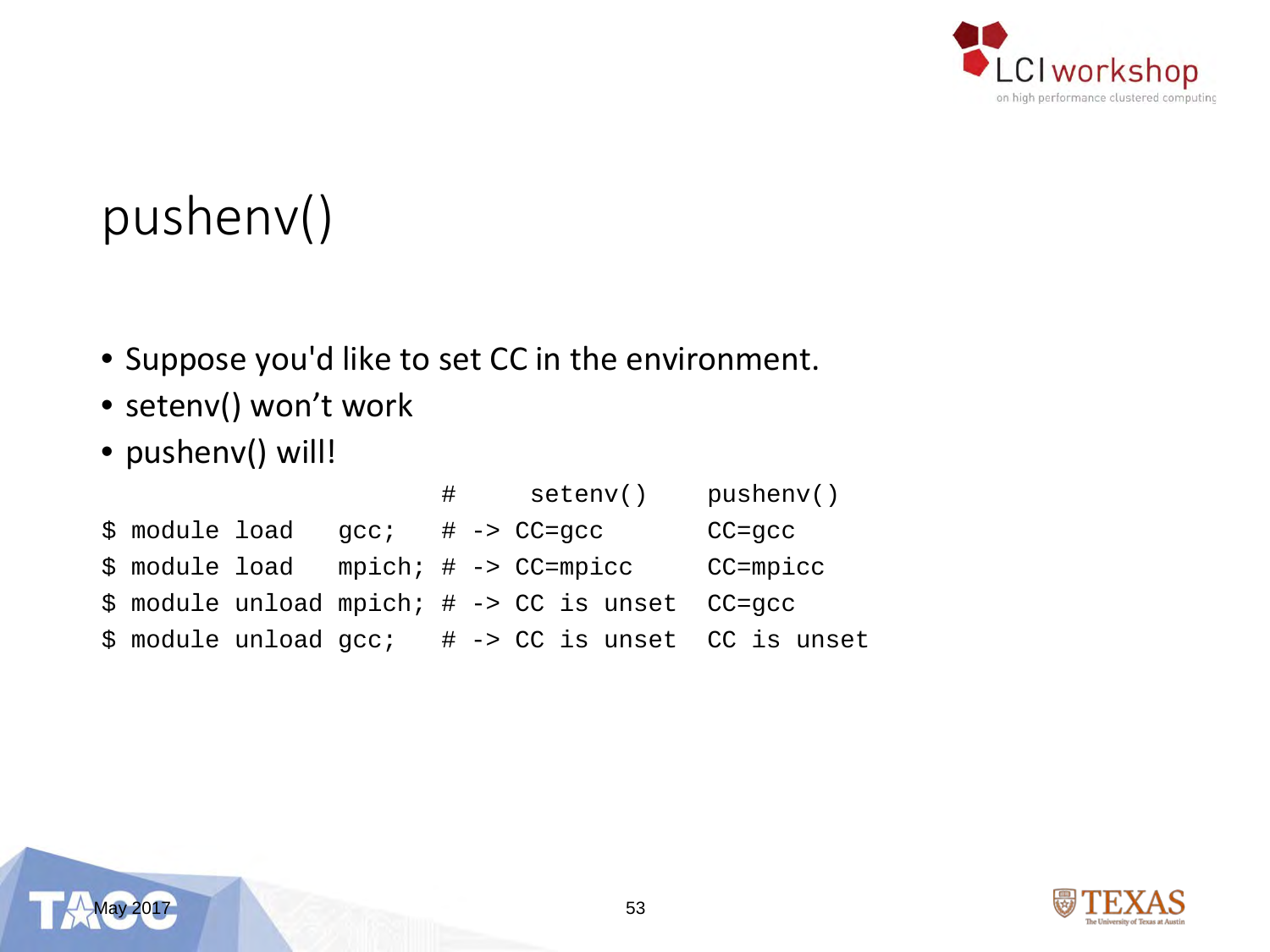

## pushenv()

- Suppose you'd like to set CC in the environment.
- setenv() won't work
- pushenv() will!

|                |      | $\#$ | setenv()                                                         | pusheny()     |
|----------------|------|------|------------------------------------------------------------------|---------------|
| \$ module load | qcc; |      | $\#$ -> $CC =$ q $cc$                                            | $CC =$ q $cc$ |
| \$ module load |      |      | $mpich: # -> CC=mpicc$                                           | CC=mpicc      |
|                |      |      | \$ module unload mpich; # -> CC is unset CC=qcc                  |               |
|                |      |      | $\frac{1}{2}$ module unload $qcc$ ; # -> CC is unset CC is unset |               |



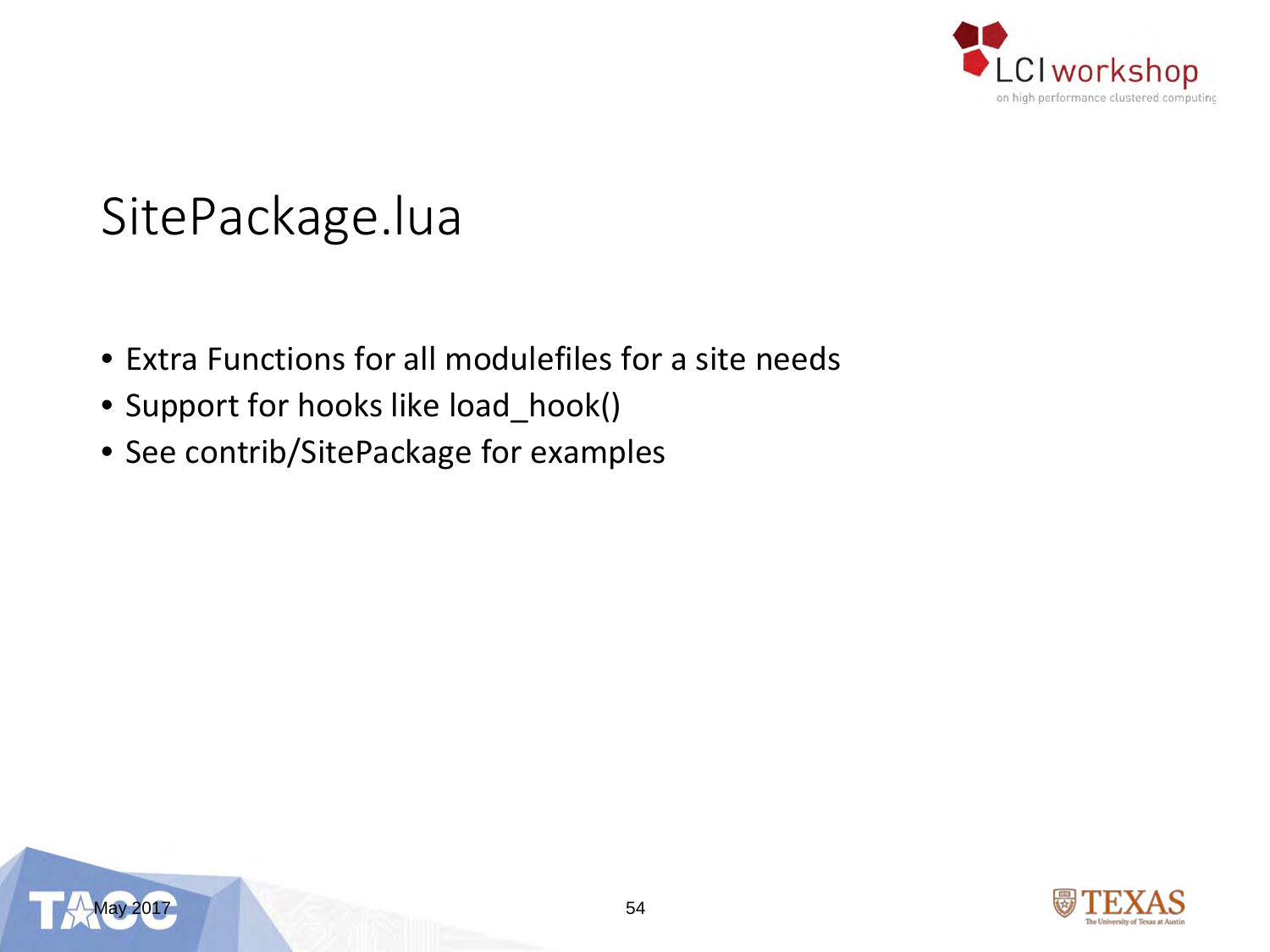

#### SitePackage.lua

- Extra Functions for all modulefiles for a site needs
- Support for hooks like load\_hook()
- See contrib/SitePackage for examples



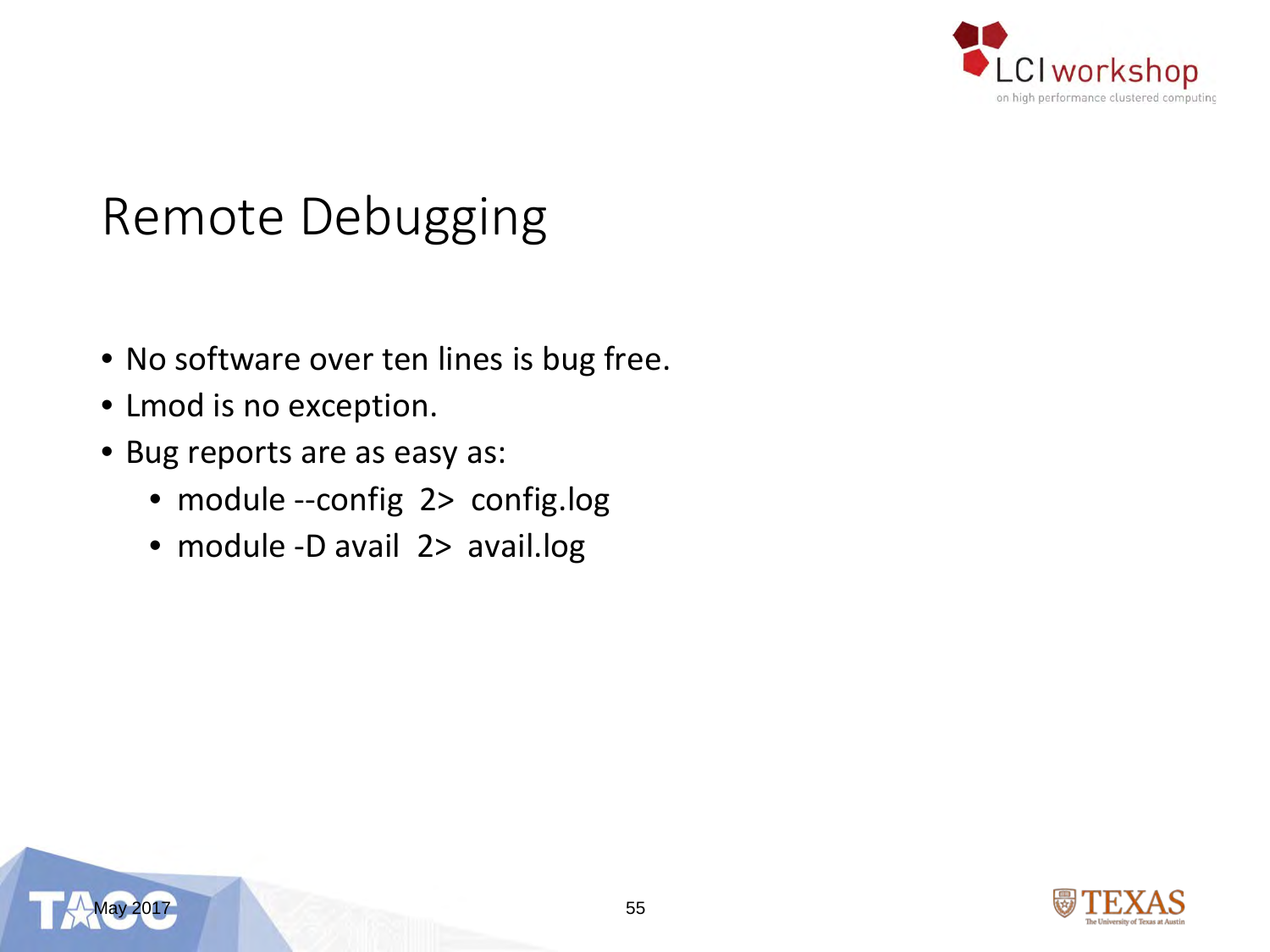

#### Remote Debugging

- No software over ten lines is bug free.
- Lmod is no exception.
- Bug reports are as easy as:
	- module --config 2> config.log
	- module -D avail 2> avail.log